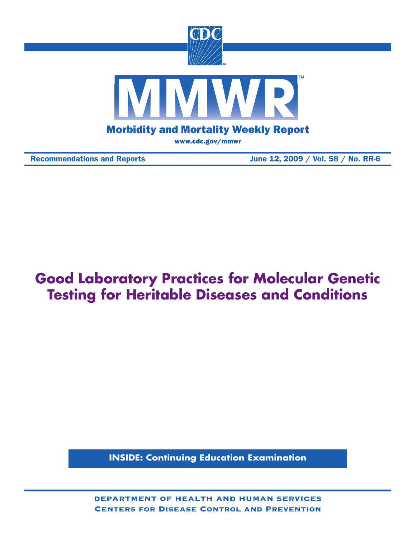

Recommendations and Reports June 12, 2009 / Vol. 58 / No. RR-6

# **Good Laboratory Practices for Molecular Genetic Testing for Heritable Diseases and Conditions**

**INSIDE: Continuing Education Examination**

department of health and human services Centers for Disease Control and Prevention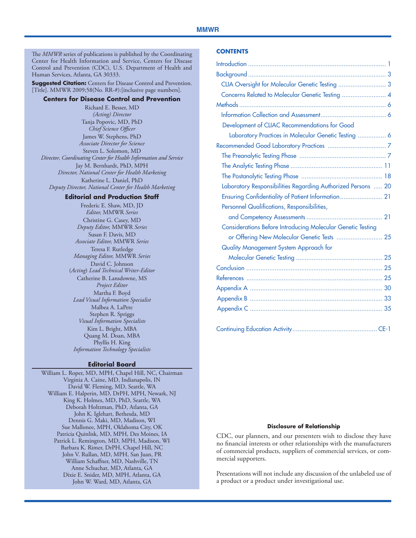#### **MMWR**

The *MMWR* series of publications is published by the Coordinating Center for Health Information and Service, Centers for Disease Control and Prevention (CDC), U.S. Department of Health and Human Services, Atlanta, GA 30333.

**Suggested Citation:** Centers for Disease Control and Prevention. [Title]. MMWR 2009;58(No. RR-#):[inclusive page numbers].

#### **Centers for Disease Control and Prevention**

Richard E. Besser, MD *(Acting) Director* Tanja Popovic, MD, PhD *Chief Science Officer* James W. Stephens, PhD *Associate Director for Science* Steven L. Solomon, MD *Director, Coordinating Center for Health Information and Service* Jay M. Bernhardt, PhD, MPH *Director, National Center for Health Marketing* Katherine L. Daniel, PhD *Deputy Director, National Center for Health Marketing*

#### **Editorial and Production Staff**

Frederic E. Shaw, MD, JD *Editor,* MMWR *Series* Christine G. Casey, MD *Deputy Editor,* MMWR *Series* Susan F. Davis, MD *Associate Editor,* MMWR *Series* Teresa F. Rutledge *Managing Editor,* MMWR *Series* David C. Johnson (*Acting*) *Lead Technical Writer-Editor* Catherine B. Lansdowne, MS *Project Editor* Martha F. Boyd *Lead Visual Information Specialist* Malbea A. LaPete Stephen R. Spriggs *Visual Information Specialists* Kim L. Bright, MBA Quang M. Doan, MBA Phyllis H. King *Information Technology Specialists*

#### **Editorial Board**

William L. Roper, MD, MPH, Chapel Hill, NC, Chairman Virginia A. Caine, MD, Indianapolis, IN David W. Fleming, MD, Seattle, WA William E. Halperin, MD, DrPH, MPH, Newark, NJ King K. Holmes, MD, PhD, Seattle, WA Deborah Holtzman, PhD, Atlanta, GA John K. Iglehart, Bethesda, MD Dennis G. Maki, MD, Madison, WI Sue Mallonee, MPH, Oklahoma City, OK Patricia Quinlisk, MD, MPH, Des Moines, IA Patrick L. Remington, MD, MPH, Madison, WI Barbara K. Rimer, DrPH, Chapel Hill, NC John V. Rullan, MD, MPH, San Juan, PR William Schaffner, MD, Nashville, TN Anne Schuchat, MD, Atlanta, GA Dixie E. Snider, MD, MPH, Atlanta, GA John W. Ward, MD, Atlanta, GA

#### **Contents**

| CLIA Oversight for Molecular Genetic Testing  3                    |
|--------------------------------------------------------------------|
| Concerns Related to Molecular Genetic Testing  4                   |
|                                                                    |
|                                                                    |
| Development of CLIAC Recommendations for Good                      |
| Laboratory Practices in Molecular Genetic Testing  6               |
|                                                                    |
|                                                                    |
|                                                                    |
|                                                                    |
| Laboratory Responsibilities Regarding Authorized Persons  20       |
|                                                                    |
| Personnel Qualifications, Responsibilities,                        |
|                                                                    |
| <b>Considerations Before Introducing Molecular Genetic Testing</b> |
| or Offering New Molecular Genetic Tests  25                        |
| Quality Management System Approach for                             |
|                                                                    |
|                                                                    |
|                                                                    |
|                                                                    |
|                                                                    |
|                                                                    |
|                                                                    |

#### **Disclosure of Relationship**

CDC, our planners, and our presenters wish to disclose they have no financial interests or other relationships with the manufacturers of commercial products, suppliers of commercial services, or commercial supporters.

Presentations will not include any discussion of the unlabeled use of a product or a product under investigational use.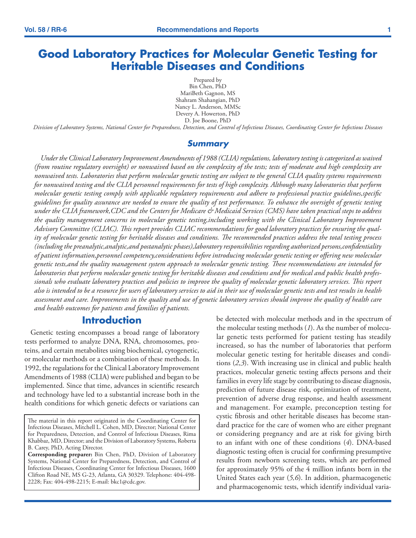# <span id="page-2-0"></span>**Good Laboratory Practices for Molecular Genetic Testing for Heritable Diseases and Conditions**

Prepared by Bin Chen, PhD MariBeth Gagnon, MS Shahram Shahangian, PhD Nancy L. Anderson, MMSc Devery A. Howerton, PhD D. Joe Boone, PhD

*Division of Laboratory Systems, National Center for Preparedness, Detection, and Control of Infectious Diseases, Coordinating Center for Infectious Diseases*

#### *Summary*

*Under the Clinical Laboratory Improvement Amendments of 1988 (CLIA) regulations, laboratory testing is categorized as waived (from routine regulatory oversight) or nonwaived based on the complexity of the tests; tests of moderate and high complexity are nonwaived tests. Laboratories that perform molecular genetic testing are subject to the general CLIA quality systems requirements for nonwaived testing and the CLIA personnel requirements for tests of high complexity. Although many laboratories that perform molecular genetic testing comply with applicable regulatory requirements and adhere to professional practice guidelines,specific guidelines for quality assurance are needed to ensure the quality of test performance. To enhance the oversight of genetic testing under the CLIA framework,CDC and the Centers for Medicare & Medicaid Services (CMS) have taken practical steps to address the quality management concerns in molecular genetic testing,including working with the Clinical Laboratory Improvement Advisory Committee (CLIAC). This report provides CLIAC recommendations for good laboratory practices for ensuring the quality of molecular genetic testing for heritable diseases and conditions. The recommended practices address the total testing process (including the preanalytic,analytic,and postanalytic phases),laboratory responsibilities regarding authorized persons,confidentiality of patient information,personnel competency,considerations before introducing molecular genetic testing or offering new molecular genetic tests,and the quality management system approach to molecular genetic testing. These recommendations are intended for laboratories that perform molecular genetic testing for heritable diseases and conditions and for medical and public health professionals who evaluate laboratory practices and policies to improve the quality of molecular genetic laboratory services. This report also is intended to be a resource for users of laboratory services to aid in their use of molecular genetic tests and test results in health assessment and care. Improvements in the quality and use of genetic laboratory services should improve the quality of health care and health outcomes for patients and families of patients.*

### **Introduction**

Genetic testing encompasses a broad range of laboratory tests performed to analyze DNA, RNA, chromosomes, proteins, and certain metabolites using biochemical, cytogenetic, or molecular methods or a combination of these methods. In 1992, the regulations for the Clinical Laboratory Improvement Amendments of 1988 (CLIA) were published and began to be implemented. Since that time, advances in scientific research and technology have led to a substantial increase both in the health conditions for which genetic defects or variations can

**Corresponding preparer:** Bin Chen, PhD, Division of Laboratory Systems, National Center for Preparedness, Detection, and Control of Infectious Diseases, Coordinating Center for Infectious Diseases, 1600 Clifton Road NE, MS G-23, Atlanta, GA 30329. Telephone: 404-498- 2228; Fax: 404-498-2215; E-mail: bkc1@cdc.gov.

be detected with molecular methods and in the spectrum of the molecular testing methods (*1*). As the number of molecular genetic tests performed for patient testing has steadily increased, so has the number of laboratories that perform molecular genetic testing for heritable diseases and conditions (*2,3*). With increasing use in clinical and public health practices, molecular genetic testing affects persons and their families in every life stage by contributing to disease diagnosis, prediction of future disease risk, optimization of treatment, prevention of adverse drug response, and health assessment and management. For example, preconception testing for cystic fibrosis and other heritable diseases has become standard practice for the care of women who are either pregnant or considering pregnancy and are at risk for giving birth to an infant with one of these conditions (*4*). DNA-based diagnostic testing often is crucial for confirming presumptive results from newborn screening tests, which are performed for approximately 95% of the 4 million infants born in the United States each year (*5,6*). In addition, pharmacogenetic and pharmacogenomic tests, which identify individual varia-

The material in this report originated in the Coordinating Center for Infectious Diseases, Mitchell L. Cohen, MD, Director; National Center for Preparedness, Detection, and Control of Infectious Diseases, Rima Khabbaz, MD, Director; and the Division of Laboratory Systems, Roberta B. Carey, PhD, Acting Director.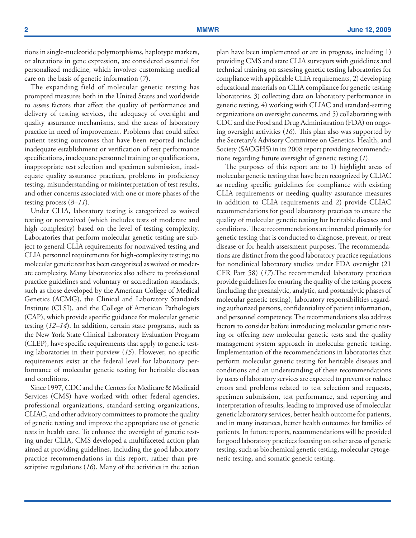tions in single-nucleotide polymorphisms, haplotype markers, or alterations in gene expression, are considered essential for personalized medicine, which involves customizing medical care on the basis of genetic information (*7*).

The expanding field of molecular genetic testing has prompted measures both in the United States and worldwide to assess factors that affect the quality of performance and delivery of testing services, the adequacy of oversight and quality assurance mechanisms, and the areas of laboratory practice in need of improvement. Problems that could affect patient testing outcomes that have been reported include inadequate establishment or verification of test performance specifications, inadequate personnel training or qualifications, inappropriate test selection and specimen submission, inadequate quality assurance practices, problems in proficiency testing, misunderstanding or misinterpretation of test results, and other concerns associated with one or more phases of the testing process (*8–11*).

Under CLIA, laboratory testing is categorized as waived testing or nonwaived (which includes tests of moderate and high complexity) based on the level of testing complexity. Laboratories that perform molecular genetic testing are subject to general CLIA requirements for nonwaived testing and CLIA personnel requirements for high-complexity testing; no molecular genetic test has been categorized as waived or moderate complexity. Many laboratories also adhere to professional practice guidelines and voluntary or accreditation standards, such as those developed by the American College of Medical Genetics (ACMG), the Clinical and Laboratory Standards Institute (CLSI), and the College of American Pathologists (CAP), which provide specific guidance for molecular genetic testing (*12–14*). In addition, certain state programs, such as the New York State Clinical Laboratory Evaluation Program (CLEP), have specific requirements that apply to genetic testing laboratories in their purview (*15*). However, no specific requirements exist at the federal level for laboratory performance of molecular genetic testing for heritable diseases and conditions.

Since 1997, CDC and the Centers for Medicare & Medicaid Services (CMS) have worked with other federal agencies, professional organizations, standard-setting organizations, CLIAC, and other advisory committees to promote the quality of genetic testing and improve the appropriate use of genetic tests in health care. To enhance the oversight of genetic testing under CLIA, CMS developed a multifaceted action plan aimed at providing guidelines, including the good laboratory practice recommendations in this report, rather than prescriptive regulations (*16*). Many of the activities in the action plan have been implemented or are in progress, including 1) providing CMS and state CLIA surveyors with guidelines and technical training on assessing genetic testing laboratories for compliance with applicable CLIA requirements, 2) developing educational materials on CLIA compliance for genetic testing laboratories, 3) collecting data on laboratory performance in genetic testing, 4) working with CLIAC and standard-setting organizations on oversight concerns, and 5) collaborating with CDC and the Food and Drug Administration (FDA) on ongoing oversight activities (*16*). This plan also was supported by the Secretary's Advisory Committee on Genetics, Health, and Society (SACGHS) in its 2008 report providing recommendations regarding future oversight of genetic testing (*1*).

 The purposes of this report are to 1) highlight areas of molecular genetic testing that have been recognized by CLIAC as needing specific guidelines for compliance with existing CLIA requirements or needing quality assurance measures in addition to CLIA requirements and 2) provide CLIAC recommendations for good laboratory practices to ensure the quality of molecular genetic testing for heritable diseases and conditions. These recommendations are intended primarily for genetic testing that is conducted to diagnose, prevent, or treat disease or for health assessment purposes. The recommendations are distinct from the good laboratory practice regulations for nonclinical laboratory studies under FDA oversight (21 CFR Part 58) (*17*).The recommended laboratory practices provide guidelines for ensuring the quality of the testing process (including the preanalytic, analytic, and postanalytic phases of molecular genetic testing), laboratory responsibilities regarding authorized persons, confidentiality of patient information, and personnel competency. The recommendations also address factors to consider before introducing molecular genetic testing or offering new molecular genetic tests and the quality management system approach in molecular genetic testing. Implementation of the recommendations in laboratories that perform molecular genetic testing for heritable diseases and conditions and an understanding of these recommendations by users of laboratory services are expected to prevent or reduce errors and problems related to test selection and requests, specimen submission, test performance, and reporting and interpretation of results, leading to improved use of molecular genetic laboratory services, better health outcome for patients, and in many instances, better health outcomes for families of patients. In future reports, recommendations will be provided for good laboratory practices focusing on other areas of genetic testing, such as biochemical genetic testing, molecular cytogenetic testing, and somatic genetic testing.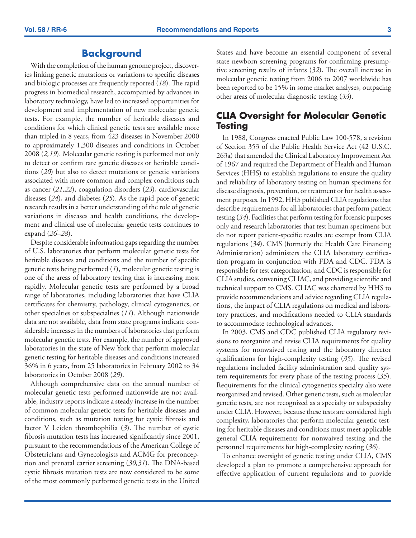# **Background**

<span id="page-4-0"></span>With the completion of the human genome project, discoveries linking genetic mutations or variations to specific diseases and biologic processes are frequently reported (*18*). The rapid progress in biomedical research, accompanied by advances in laboratory technology, have led to increased opportunities for development and implementation of new molecular genetic tests. For example, the number of heritable diseases and conditions for which clinical genetic tests are available more than tripled in 8 years, from 423 diseases in November 2000 to approximately 1,300 diseases and conditions in October 2008 (*2,19*). Molecular genetic testing is performed not only to detect or confirm rare genetic diseases or heritable conditions (*20*) but also to detect mutations or genetic variations associated with more common and complex conditions such as cancer (*21,22*), coagulation disorders (*23*), cardiovascular diseases (*24*), and diabetes (*25*). As the rapid pace of genetic research results in a better understanding of the role of genetic variations in diseases and health conditions, the development and clinical use of molecular genetic tests continues to expand (*26–28*).

Despite considerable information gaps regarding the number of U.S. laboratories that perform molecular genetic tests for heritable diseases and conditions and the number of specific genetic tests being performed (*1*), molecular genetic testing is one of the areas of laboratory testing that is increasing most rapidly. Molecular genetic tests are performed by a broad range of laboratories, including laboratories that have CLIA certificates for chemistry, pathology, clinical cytogenetics, or other specialties or subspecialties (*11*). Although nationwide data are not available, data from state programs indicate considerable increases in the numbers of laboratories that perform molecular genetic tests. For example, the number of approved laboratories in the state of New York that perform molecular genetic testing for heritable diseases and conditions increased 36% in 6 years, from 25 laboratories in February 2002 to 34 laboratories in October 2008 (*29*).

Although comprehensive data on the annual number of molecular genetic tests performed nationwide are not available, industry reports indicate a steady increase in the number of common molecular genetic tests for heritable diseases and conditions, such as mutation testing for cystic fibrosis and factor V Leiden thrombophilia (*3*). The number of cystic fibrosis mutation tests has increased significantly since 2001, pursuant to the recommendations of the American College of Obstetricians and Gynecologists and ACMG for preconception and prenatal carrier screening (*30,31*). The DNA-based cystic fibrosis mutation tests are now considered to be some of the most commonly performed genetic tests in the United

States and have become an essential component of several state newborn screening programs for confirming presumptive screening results of infants (*32*). The overall increase in molecular genetic testing from 2006 to 2007 worldwide has been reported to be 15% in some market analyses, outpacing other areas of molecular diagnostic testing (*33*).

# **CLIA Oversight for Molecular Genetic Testing**

In 1988, Congress enacted Public Law 100-578, a revision of Section 353 of the Public Health Service Act (42 U.S.C. 263a) that amended the Clinical Laboratory Improvement Act of 1967 and required the Department of Health and Human Services (HHS) to establish regulations to ensure the quality and reliability of laboratory testing on human specimens for disease diagnosis, prevention, or treatment or for health assessment purposes. In 1992, HHS published CLIA regulations that describe requirements for all laboratories that perform patient testing (*34*). Facilities that perform testing for forensic purposes only and research laboratories that test human specimens but do not report patient-specific results are exempt from CLIA regulations (*34*). CMS (formerly the Health Care Financing Administration) administers the CLIA laboratory certification program in conjunction with FDA and CDC. FDA is responsible for test categorization, and CDC is responsible for CLIA studies, convening CLIAC, and providing scientific and technical support to CMS. CLIAC was chartered by HHS to provide recommendations and advice regarding CLIA regulations, the impact of CLIA regulations on medical and laboratory practices, and modifications needed to CLIA standards to accommodate technological advances.

In 2003, CMS and CDC published CLIA regulatory revisions to reorganize and revise CLIA requirements for quality systems for nonwaived testing and the laboratory director qualifications for high-complexity testing (*35*). The revised regulations included facility administration and quality system requirements for every phase of the testing process (*35*). Requirements for the clinical cytogenetics specialty also were reorganized and revised. Other genetic tests, such as molecular genetic tests, are not recognized as a specialty or subspecialty under CLIA. However, because these tests are considered high complexity, laboratories that perform molecular genetic testing for heritable diseases and conditions must meet applicable general CLIA requirements for nonwaived testing and the personnel requirements for high-complexity testing (*36*).

To enhance oversight of genetic testing under CLIA, CMS developed a plan to promote a comprehensive approach for effective application of current regulations and to provide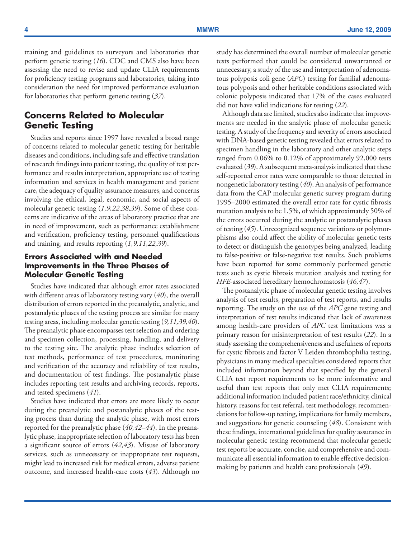<span id="page-5-0"></span>training and guidelines to surveyors and laboratories that perform genetic testing (*16*). CDC and CMS also have been assessing the need to revise and update CLIA requirements for proficiency testing programs and laboratories, taking into consideration the need for improved performance evaluation for laboratories that perform genetic testing (*37*).

# **Concerns Related to Molecular Genetic Testing**

Studies and reports since 1997 have revealed a broad range of concerns related to molecular genetic testing for heritable diseases and conditions, including safe and effective translation of research findings into patient testing, the quality of test performance and results interpretation, appropriate use of testing information and services in health management and patient care, the adequacy of quality assurance measures, and concerns involving the ethical, legal, economic, and social aspects of molecular genetic testing (*1,9,22,38,39*). Some of these concerns are indicative of the areas of laboratory practice that are in need of improvement, such as performance establishment and verification, proficiency testing, personnel qualifications and training, and results reporting (*1,9,11,22,39*).

### **Errors Associated with and Needed Improvements in the Three Phases of Molecular Genetic Testing**

Studies have indicated that although error rates associated with different areas of laboratory testing vary (*40*), the overall distribution of errors reported in the preanalytic, analytic, and postanalytic phases of the testing process are similar for many testing areas, including molecular genetic testing (*9,11,39,40*). The preanalytic phase encompasses test selection and ordering and specimen collection, processing, handling, and delivery to the testing site. The analytic phase includes selection of test methods, performance of test procedures, monitoring and verification of the accuracy and reliability of test results, and documentation of test findings. The postanalytic phase includes reporting test results and archiving records, reports, and tested specimens (*41*).

Studies have indicated that errors are more likely to occur during the preanalytic and postanalytic phases of the testing process than during the analytic phase, with most errors reported for the preanalytic phase (*40,42–44*). In the preanalytic phase, inappropriate selection of laboratory tests has been a significant source of errors (*42,43*). Misuse of laboratory services, such as unnecessary or inappropriate test requests, might lead to increased risk for medical errors, adverse patient outcome, and increased health-care costs (*43*). Although no study has determined the overall number of molecular genetic tests performed that could be considered unwarranted or unnecessary, a study of the use and interpretation of adenomatous polyposis coli gene (*APC*) testing for familial adenomatous polyposis and other heritable conditions associated with colonic polyposis indicated that 17% of the cases evaluated did not have valid indications for testing (*22*).

Although data are limited, studies also indicate that improvements are needed in the analytic phase of molecular genetic testing. A study of the frequency and severity of errors associated with DNA-based genetic testing revealed that errors related to specimen handling in the laboratory and other analytic steps ranged from 0.06% to 0.12% of approximately 92,000 tests evaluated (*39*). A subsequent meta-analysis indicated that these self-reported error rates were comparable to those detected in nongenetic laboratory testing (*40*). An analysis of performance data from the CAP molecular genetic survey program during 1995–2000 estimated the overall error rate for cystic fibrosis mutation analysis to be 1.5%, of which approximately 50% of the errors occurred during the analytic or postanalytic phases of testing (*45*). Unrecognized sequence variations or polymorphisms also could affect the ability of molecular genetic tests to detect or distinguish the genotypes being analyzed, leading to false-positive or false-negative test results. Such problems have been reported for some commonly performed genetic tests such as cystic fibrosis mutation analysis and testing for *HFE*-associated hereditary hemochromatosis (*46,47*).

The postanalytic phase of molecular genetic testing involves analysis of test results, preparation of test reports, and results reporting. The study on the use of the *APC* gene testing and interpretation of test results indicated that lack of awareness among health-care providers of *APC* test limitations was a primary reason for misinterpretation of test results (*22*). In a study assessing the comprehensiveness and usefulness of reports for cystic fibrosis and factor V Leiden thrombophilia testing, physicians in many medical specialties considered reports that included information beyond that specified by the general CLIA test report requirements to be more informative and useful than test reports that only met CLIA requirements; additional information included patient race/ethnicity, clinical history, reasons for test referral, test methodology, recommendations for follow-up testing, implications for family members, and suggestions for genetic counseling (*48*). Consistent with these findings, international guidelines for quality assurance in molecular genetic testing recommend that molecular genetic test reports be accurate, concise, and comprehensive and communicate all essential information to enable effective decisionmaking by patients and health care professionals (*49*).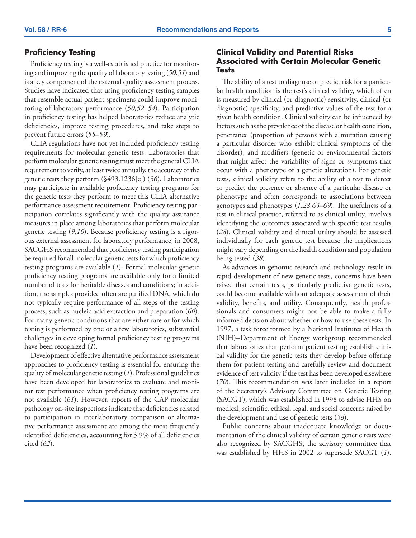### **Proficiency Testing**

Proficiency testing is a well-established practice for monitoring and improving the quality of laboratory testing (*50,51*) and is a key component of the external quality assessment process. Studies have indicated that using proficiency testing samples that resemble actual patient specimens could improve monitoring of laboratory performance (*50,52–54*). Participation in proficiency testing has helped laboratories reduce analytic deficiencies, improve testing procedures, and take steps to prevent future errors (*55–59*).

CLIA regulations have not yet included proficiency testing requirements for molecular genetic tests. Laboratories that perform molecular genetic testing must meet the general CLIA requirement to verify, at least twice annually, the accuracy of the genetic tests they perform (§493.1236[c]) (*36*). Laboratories may participate in available proficiency testing programs for the genetic tests they perform to meet this CLIA alternative performance assessment requirement. Proficiency testing participation correlates significantly with the quality assurance measures in place among laboratories that perform molecular genetic testing (*9,10*). Because proficiency testing is a rigorous external assessment for laboratory performance, in 2008, SACGHS recommended that proficiency testing participation be required for all molecular genetic tests for which proficiency testing programs are available (*1*). Formal molecular genetic proficiency testing programs are available only for a limited number of tests for heritable diseases and conditions; in addition, the samples provided often are purified DNA, which do not typically require performance of all steps of the testing process, such as nucleic acid extraction and preparation (*60*). For many genetic conditions that are either rare or for which testing is performed by one or a few laboratories, substantial challenges in developing formal proficiency testing programs have been recognized (*1*).

Development of effective alternative performance assessment approaches to proficiency testing is essential for ensuring the quality of molecular genetic testing (*1*). Professional guidelines have been developed for laboratories to evaluate and monitor test performance when proficiency testing programs are not available (*61*). However, reports of the CAP molecular pathology on-site inspections indicate that deficiencies related to participation in interlaboratory comparison or alternative performance assessment are among the most frequently identified deficiencies, accounting for 3.9% of all deficiencies cited (*62*).

### **Clinical Validity and Potential Risks Associated with Certain Molecular Genetic Tests**

The ability of a test to diagnose or predict risk for a particular health condition is the test's clinical validity, which often is measured by clinical (or diagnostic) sensitivity, clinical (or diagnostic) specificity, and predictive values of the test for a given health condition. Clinical validity can be influenced by factors such as the prevalence of the disease or health condition, penetrance (proportion of persons with a mutation causing a particular disorder who exhibit clinical symptoms of the disorder), and modifiers (genetic or environmental factors that might affect the variability of signs or symptoms that occur with a phenotype of a genetic alteration). For genetic tests, clinical validity refers to the ability of a test to detect or predict the presence or absence of a particular disease or phenotype and often corresponds to associations between genotypes and phenotypes (*1,28,63–69*). The usefulness of a test in clinical practice, referred to as clinical utility, involves identifying the outcomes associated with specific test results (*28*). Clinical validity and clinical utility should be assessed individually for each genetic test because the implications might vary depending on the health condition and population being tested (*38*).

As advances in genomic research and technology result in rapid development of new genetic tests, concerns have been raised that certain tests, particularly predictive genetic tests, could become available without adequate assessment of their validity, benefits, and utility. Consequently, health professionals and consumers might not be able to make a fully informed decision about whether or how to use these tests. In 1997, a task force formed by a National Institutes of Health (NIH)–Department of Energy workgroup recommended that laboratories that perform patient testing establish clinical validity for the genetic tests they develop before offering them for patient testing and carefully review and document evidence of test validity if the test has been developed elsewhere (*70*). This recommendation was later included in a report of the Secretary's Advisory Committee on Genetic Testing (SACGT), which was established in 1998 to advise HHS on medical, scientific, ethical, legal, and social concerns raised by the development and use of genetic tests (*38*).

Public concerns about inadequate knowledge or documentation of the clinical validity of certain genetic tests were also recognized by SACGHS, the advisory committee that was established by HHS in 2002 to supersede SACGT (*1*).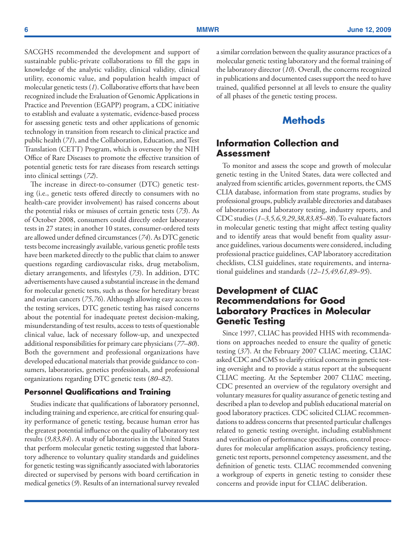<span id="page-7-0"></span>SACGHS recommended the development and support of sustainable public-private collaborations to fill the gaps in knowledge of the analytic validity, clinical validity, clinical utility, economic value, and population health impact of molecular genetic tests (*1*). Collaborative efforts that have been recognized include the Evaluation of Genomic Applications in Practice and Prevention (EGAPP) program, a CDC initiative to establish and evaluate a systematic, evidence-based process for assessing genetic tests and other applications of genomic technology in transition from research to clinical practice and public health (*71*), and the Collaboration, Education, and Test Translation (CETT) Program, which is overseen by the NIH Office of Rare Diseases to promote the effective transition of potential genetic tests for rare diseases from research settings into clinical settings (*72*).

The increase in direct-to-consumer (DTC) genetic testing (i.e., genetic tests offered directly to consumers with no health-care provider involvement) has raised concerns about the potential risks or misuses of certain genetic tests (*73*). As of October 2008, consumers could directly order laboratory tests in 27 states; in another 10 states, consumer-ordered tests are allowed under defined circumstances (*74*). As DTC genetic tests become increasingly available, various genetic profile tests have been marketed directly to the public that claim to answer questions regarding cardiovascular risks, drug metabolism, dietary arrangements, and lifestyles (*73*). In addition, DTC advertisements have caused a substantial increase in the demand for molecular genetic tests, such as those for hereditary breast and ovarian cancers (*75,76*). Although allowing easy access to the testing services, DTC genetic testing has raised concerns about the potential for inadequate pretest decision-making, misunderstanding of test results, access to tests of questionable clinical value, lack of necessary follow-up, and unexpected additional responsibilities for primary care physicians (*77–80*). Both the government and professional organizations have developed educational materials that provide guidance to consumers, laboratories, genetics professionals, and professional organizations regarding DTC genetic tests (*80–82*).

### **Personnel Qualifications and Training**

Studies indicate that qualifications of laboratory personnel, including training and experience, are critical for ensuring quality performance of genetic testing, because human error has the greatest potential influence on the quality of laboratory test results (*9,83,84*). A study of laboratories in the United States that perform molecular genetic testing suggested that laboratory adherence to voluntary quality standards and guidelines for genetic testing was significantly associated with laboratories directed or supervised by persons with board certification in medical genetics (*9*). Results of an international survey revealed a similar correlation between the quality assurance practices of a molecular genetic testing laboratory and the formal training of the laboratory director (*10*). Overall, the concerns recognized in publications and documented cases support the need to have trained, qualified personnel at all levels to ensure the quality of all phases of the genetic testing process.

# **Methods**

## **Information Collection and Assessment**

To monitor and assess the scope and growth of molecular genetic testing in the United States, data were collected and analyzed from scientific articles, government reports, the CMS CLIA database, information from state programs, studies by professional groups, publicly available directories and databases of laboratories and laboratory testing, industry reports, and CDC studies (*1–3,5,6,9,29,38,83,85–88*). To evaluate factors in molecular genetic testing that might affect testing quality and to identify areas that would benefit from quality assurance guidelines, various documents were considered, including professional practice guidelines, CAP laboratory accreditation checklists, CLSI guidelines, state requirements, and international guidelines and standards (*12–15,49,61,89–95*).

# **Development of CLIAC Recommendations for Good Laboratory Practices in Molecular Genetic Testing**

Since 1997, CLIAC has provided HHS with recommendations on approaches needed to ensure the quality of genetic testing (*37*). At the February 2007 CLIAC meeting, CLIAC asked CDC and CMS to clarify critical concerns in genetic testing oversight and to provide a status report at the subsequent CLIAC meeting. At the September 2007 CLIAC meeting, CDC presented an overview of the regulatory oversight and voluntary measures for quality assurance of genetic testing and described a plan to develop and publish educational material on good laboratory practices. CDC solicited CLIAC recommendations to address concerns that presented particular challenges related to genetic testing oversight, including establishment and verification of performance specifications, control procedures for molecular amplification assays, proficiency testing, genetic test reports, personnel competency assessment, and the definition of genetic tests. CLIAC recommended convening a workgroup of experts in genetic testing to consider these concerns and provide input for CLIAC deliberation.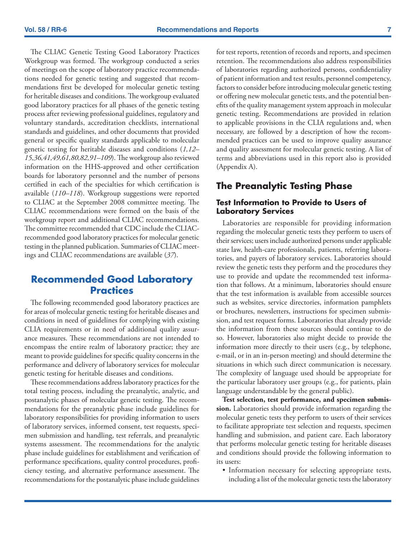<span id="page-8-0"></span>The CLIAC Genetic Testing Good Laboratory Practices Workgroup was formed. The workgroup conducted a series of meetings on the scope of laboratory practice recommendations needed for genetic testing and suggested that recommendations first be developed for molecular genetic testing for heritable diseases and conditions. The workgroup evaluated good laboratory practices for all phases of the genetic testing process after reviewing professional guidelines, regulatory and voluntary standards, accreditation checklists, international standards and guidelines, and other documents that provided general or specific quality standards applicable to molecular genetic testing for heritable diseases and conditions (*1,12– 15,36,41,49,61,80,82,91–109*). The workgroup also reviewed information on the HHS-approved and other certification boards for laboratory personnel and the number of persons certified in each of the specialties for which certification is available (*110–118*). Workgroup suggestions were reported to CLIAC at the September 2008 committee meeting. The CLIAC recommendations were formed on the basis of the workgroup report and additional CLIAC recommendations. The committee recommended that CDC include the CLIACrecommended good laboratory practices for molecular genetic testing in the planned publication. Summaries of CLIAC meetings and CLIAC recommendations are available (*37*).

# **Recommended Good Laboratory Practices**

The following recommended good laboratory practices are for areas of molecular genetic testing for heritable diseases and conditions in need of guidelines for complying with existing CLIA requirements or in need of additional quality assurance measures. These recommendations are not intended to encompass the entire realm of laboratory practice; they are meant to provide guidelines for specific quality concerns in the performance and delivery of laboratory services for molecular genetic testing for heritable diseases and conditions.

These recommendations address laboratory practices for the total testing process, including the preanalytic, analytic, and postanalytic phases of molecular genetic testing. The recommendations for the preanalytic phase include guidelines for laboratory responsibilities for providing information to users of laboratory services, informed consent, test requests, specimen submission and handling, test referrals, and preanalytic systems assessment. The recommendations for the analytic phase include guidelines for establishment and verification of performance specifications, quality control procedures, proficiency testing, and alternative performance assessment. The recommendations for the postanalytic phase include guidelines

for test reports, retention of records and reports, and specimen retention. The recommendations also address responsibilities of laboratories regarding authorized persons, confidentiality of patient information and test results, personnel competency, factors to consider before introducing molecular genetic testing or offering new molecular genetic tests, and the potential benefits of the quality management system approach in molecular genetic testing. Recommendations are provided in relation to applicable provisions in the CLIA regulations and, when necessary, are followed by a description of how the recommended practices can be used to improve quality assurance and quality assessment for molecular genetic testing. A list of terms and abbreviations used in this report also is provided (Appendix A).

## **The Preanalytic Testing Phase**

### **Test Information to Provide to Users of Laboratory Services**

Laboratories are responsible for providing information regarding the molecular genetic tests they perform to users of their services; users include authorized persons under applicable state law, health-care professionals, patients, referring laboratories, and payers of laboratory services. Laboratories should review the genetic tests they perform and the procedures they use to provide and update the recommended test information that follows. At a minimum, laboratories should ensure that the test information is available from accessible sources such as websites, service directories, information pamphlets or brochures, newsletters, instructions for specimen submission, and test request forms. Laboratories that already provide the information from these sources should continue to do so. However, laboratories also might decide to provide the information more directly to their users (e.g., by telephone, e-mail, or in an in-person meeting) and should determine the situations in which such direct communication is necessary. The complexity of language used should be appropriate for the particular laboratory user groups (e.g., for patients, plain language understandable by the general public).

**Test selection, test performance, and specimen submission.** Laboratories should provide information regarding the molecular genetic tests they perform to users of their services to facilitate appropriate test selection and requests, specimen handling and submission, and patient care. Each laboratory that performs molecular genetic testing for heritable diseases and conditions should provide the following information to its users:

• Information necessary for selecting appropriate tests, including a list of the molecular genetic tests the laboratory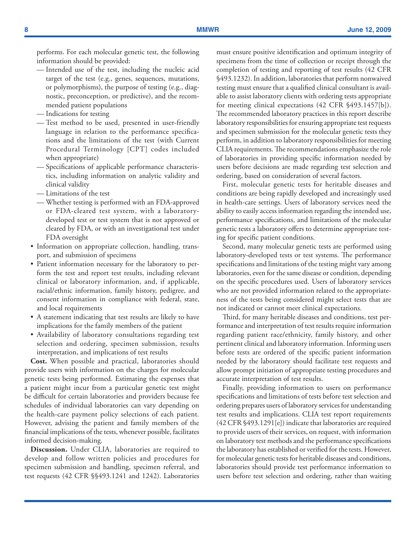performs. For each molecular genetic test, the following information should be provided:

- Intended use of the test, including the nucleic acid target of the test (e.g., genes, sequences, mutations, or polymorphisms), the purpose of testing (e.g., diagnostic, preconception, or predictive), and the recommended patient populations
- Indications for testing
- Test method to be used, presented in user-friendly language in relation to the performance specifications and the limitations of the test (with Current Procedural Terminology [CPT] codes included when appropriate)
- Specifications of applicable performance characteristics, including information on analytic validity and clinical validity
- Limitations of the test
- Whether testing is performed with an FDA-approved or FDA-cleared test system, with a laboratorydeveloped test or test system that is not approved or cleared by FDA, or with an investigational test under FDA oversight
- • Information on appropriate collection, handling, transport, and submission of specimens
- • Patient information necessary for the laboratory to perform the test and report test results, including relevant clinical or laboratory information, and, if applicable, racial/ethnic information, family history, pedigree, and consent information in compliance with federal, state, and local requirements
- A statement indicating that test results are likely to have implications for the family members of the patient
- Availability of laboratory consultations regarding test selection and ordering, specimen submission, results interpretation, and implications of test results

**Cost.** When possible and practical, laboratories should provide users with information on the charges for molecular genetic tests being performed. Estimating the expenses that a patient might incur from a particular genetic test might be difficult for certain laboratories and providers because fee schedules of individual laboratories can vary depending on the health-care payment policy selections of each patient. However, advising the patient and family members of the financial implications of the tests, whenever possible, facilitates informed decision-making.

**Discussion.** Under CLIA, laboratories are required to develop and follow written policies and procedures for specimen submission and handling, specimen referral, and test requests (42 CFR §§493.1241 and 1242). Laboratories must ensure positive identification and optimum integrity of specimens from the time of collection or receipt through the completion of testing and reporting of test results (42 CFR §493.1232). In addition, laboratories that perform nonwaived testing must ensure that a qualified clinical consultant is available to assist laboratory clients with ordering tests appropriate for meeting clinical expectations (42 CFR §493.1457[b]). The recommended laboratory practices in this report describe laboratory responsibilities for ensuring appropriate test requests and specimen submission for the molecular genetic tests they perform, in addition to laboratory responsibilities for meeting CLIA requirements. The recommendations emphasize the role of laboratories in providing specific information needed by users before decisions are made regarding test selection and ordering, based on consideration of several factors.

First, molecular genetic tests for heritable diseases and conditions are being rapidly developed and increasingly used in health-care settings. Users of laboratory services need the ability to easily access information regarding the intended use, performance specifications, and limitations of the molecular genetic tests a laboratory offers to determine appropriate testing for specific patient conditions.

Second, many molecular genetic tests are performed using laboratory-developed tests or test systems. The performance specifications and limitations of the testing might vary among laboratories, even for the same disease or condition, depending on the specific procedures used. Users of laboratory services who are not provided information related to the appropriateness of the tests being considered might select tests that are not indicated or cannot meet clinical expectations.

Third, for many heritable diseases and conditions, test performance and interpretation of test results require information regarding patient race/ethnicity, family history, and other pertinent clinical and laboratory information. Informing users before tests are ordered of the specific patient information needed by the laboratory should facilitate test requests and allow prompt initiation of appropriate testing procedures and accurate interpretation of test results.

Finally, providing information to users on performance specifications and limitations of tests before test selection and ordering prepares users of laboratory services for understanding test results and implications. CLIA test report requirements (42 CFR §493.1291[e]) indicate that laboratories are required to provide users of their services, on request, with information on laboratory test methods and the performance specifications the laboratory has established or verified for the tests. However, for molecular genetic tests for heritable diseases and conditions, laboratories should provide test performance information to users before test selection and ordering, rather than waiting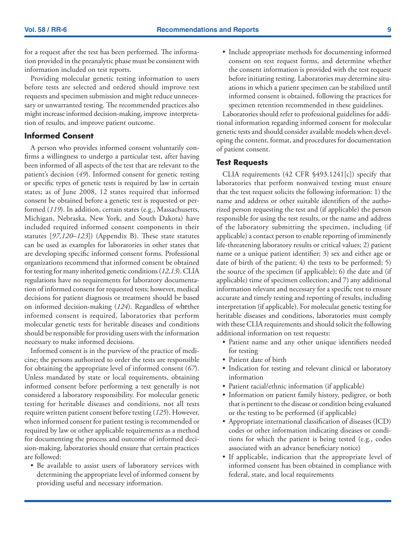for a request after the test has been performed. The information provided in the preanalytic phase must be consistent with information included on test reports.

Providing molecular genetic testing information to users before tests are selected and ordered should improve test requests and specimen submission and might reduce unnecessary or unwarranted testing. The recommended practices also might increase informed decision-making, improve interpretation of results, and improve patient outcome.

### **Informed Consent**

A person who provides informed consent voluntarily confirms a willingness to undergo a particular test, after having been informed of all aspects of the test that are relevant to the patient's decision (*49*). Informed consent for genetic testing or specific types of genetic tests is required by law in certain states; as of June 2008, 12 states required that informed consent be obtained before a genetic test is requested or performed (*119*). In addition, certain states (e.g., Massachusetts, Michigan, Nebraska, New York, and South Dakota) have included required informed consent components in their statutes [*97,120–123*]) (Appendix B). These state statutes can be used as examples for laboratories in other states that are developing specific informed consent forms. Professional organizations recommend that informed consent be obtained for testing for many inherited genetic conditions (*12,13*). CLIA regulations have no requirements for laboratory documentation of informed consent for requested tests; however, medical decisions for patient diagnosis or treatment should be based on informed decision-making (*124*). Regardless of whether informed consent is required, laboratories that perform molecular genetic tests for heritable diseases and conditions should be responsible for providing users with the information necessary to make informed decisions.

Informed consent is in the purview of the practice of medicine; the persons authorized to order the tests are responsible for obtaining the appropriate level of informed consent (*67*). Unless mandated by state or local requirements, obtaining informed consent before performing a test generally is not considered a laboratory responsibility. For molecular genetic testing for heritable diseases and conditions, not all tests require written patient consent before testing (*125*). However, when informed consent for patient testing is recommended or required by law or other applicable requirements as a method for documenting the process and outcome of informed decision-making, laboratories should ensure that certain practices are followed:

• Be available to assist users of laboratory services with determining the appropriate level of informed consent by providing useful and necessary information.

• Include appropriate methods for documenting informed consent on test request forms, and determine whether the consent information is provided with the test request before initiating testing. Laboratories may determine situations in which a patient specimen can be stabilized until informed consent is obtained, following the practices for specimen retention recommended in these guidelines.

Laboratories should refer to professional guidelines for additional information regarding informed consent for molecular genetic tests and should consider available models when developing the content, format, and procedures for documentation of patient consent.

#### **Test Requests**

CLIA requirements (42 CFR §493.1241[c]) specify that laboratories that perform nonwaived testing must ensure that the test request solicits the following information: 1) the name and address or other suitable identifiers of the authorized person requesting the test and (if applicable) the person responsible for using the test results, or the name and address of the laboratory submitting the specimen, including (if applicable) a contact person to enable reporting of imminently life-threatening laboratory results or critical values; 2) patient name or a unique patient identifier; 3) sex and either age or date of birth of the patient; 4) the tests to be performed; 5) the source of the specimen (if applicable); 6) the date and (if applicable) time of specimen collection; and 7) any additional information relevant and necessary for a specific test to ensure accurate and timely testing and reporting of results, including interpretation (if applicable). For molecular genetic testing for heritable diseases and conditions, laboratories must comply with these CLIA requirements and should solicit the following additional information on test requests:

- Patient name and any other unique identifiers needed for testing
- Patient date of birth
- Indication for testing and relevant clinical or laboratory information
- Patient racial/ethnic information (if applicable)
- Information on patient family history, pedigree, or both that is pertinent to the disease or condition being evaluated or the testing to be performed (if applicable)
- • Appropriate international classification of diseases (ICD) codes or other information indicating diseases or conditions for which the patient is being tested (e.g., codes associated with an advance beneficiary notice)
- If applicable, indication that the appropriate level of informed consent has been obtained in compliance with federal, state, and local requirements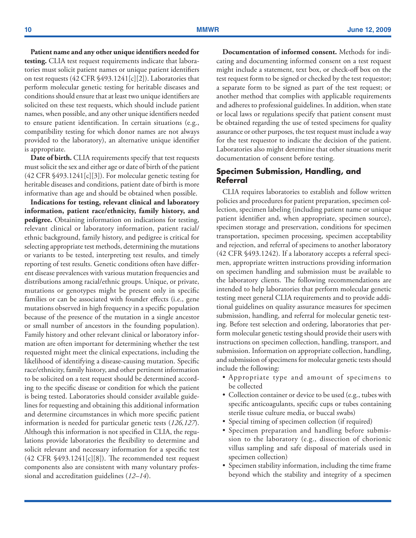**Patient name and any other unique identifiers needed for testing.** CLIA test request requirements indicate that laboratories must solicit patient names or unique patient identifiers on test requests (42 CFR §493.1241[c][2]). Laboratories that perform molecular genetic testing for heritable diseases and conditions should ensure that at least two unique identifiers are solicited on these test requests, which should include patient names, when possible, and any other unique identifiers needed to ensure patient identification. In certain situations (e.g., compatibility testing for which donor names are not always provided to the laboratory), an alternative unique identifier is appropriate.

**Date of birth.** CLIA requirements specify that test requests must solicit the sex and either age or date of birth of the patient (42 CFR §493.1241[c][3]). For molecular genetic testing for heritable diseases and conditions, patient date of birth is more informative than age and should be obtained when possible.

**Indications for testing, relevant clinical and laboratory information, patient race/ethnicity, family history, and pedigree.** Obtaining information on indications for testing, relevant clinical or laboratory information, patient racial/ ethnic background, family history, and pedigree is critical for selecting appropriate test methods, determining the mutations or variants to be tested, interpreting test results, and timely reporting of test results. Genetic conditions often have different disease prevalences with various mutation frequencies and distributions among racial/ethnic groups. Unique, or private, mutations or genotypes might be present only in specific families or can be associated with founder effects (i.e., gene mutations observed in high frequency in a specific population because of the presence of the mutation in a single ancestor or small number of ancestors in the founding population). Family history and other relevant clinical or laboratory information are often important for determining whether the test requested might meet the clinical expectations, including the likelihood of identifying a disease-causing mutation. Specific race/ethnicity, family history, and other pertinent information to be solicited on a test request should be determined according to the specific disease or condition for which the patient is being tested. Laboratories should consider available guidelines for requesting and obtaining this additional information and determine circumstances in which more specific patient information is needed for particular genetic tests (*126,127*). Although this information is not specified in CLIA, the regulations provide laboratories the flexibility to determine and solicit relevant and necessary information for a specific test (42 CFR §493.1241[c][8]). The recommended test request components also are consistent with many voluntary professional and accreditation guidelines (*12–14*).

**Documentation of informed consent.** Methods for indicating and documenting informed consent on a test request might include a statement, text box, or check-off box on the test request form to be signed or checked by the test requestor; a separate form to be signed as part of the test request; or another method that complies with applicable requirements and adheres to professional guidelines. In addition, when state or local laws or regulations specify that patient consent must be obtained regarding the use of tested specimens for quality assurance or other purposes, the test request must include a way for the test requestor to indicate the decision of the patient. Laboratories also might determine that other situations merit documentation of consent before testing.

#### **Specimen Submission, Handling, and Referral**

CLIA requires laboratories to establish and follow written policies and procedures for patient preparation, specimen collection, specimen labeling (including patient name or unique patient identifier and, when appropriate, specimen source), specimen storage and preservation, conditions for specimen transportation, specimen processing, specimen acceptability and rejection, and referral of specimens to another laboratory (42 CFR §493.1242). If a laboratory accepts a referral specimen, appropriate written instructions providing information on specimen handling and submission must be available to the laboratory clients. The following recommendations are intended to help laboratories that perform molecular genetic testing meet general CLIA requirements and to provide additional guidelines on quality assurance measures for specimen submission, handling, and referral for molecular genetic testing. Before test selection and ordering, laboratories that perform molecular genetic testing should provide their users with instructions on specimen collection, handling, transport, and submission. Information on appropriate collection, handling, and submission of specimens for molecular genetic tests should include the following:

- • Appropriate type and amount of specimens to be collected
- Collection container or device to be used (e.g., tubes with specific anticoagulants, specific cups or tubes containing sterile tissue culture media, or buccal swabs)
- Special timing of specimen collection (if required)
- • Specimen preparation and handling before submission to the laboratory (e.g., dissection of chorionic villus sampling and safe disposal of materials used in specimen collection)
- Specimen stability information, including the time frame beyond which the stability and integrity of a specimen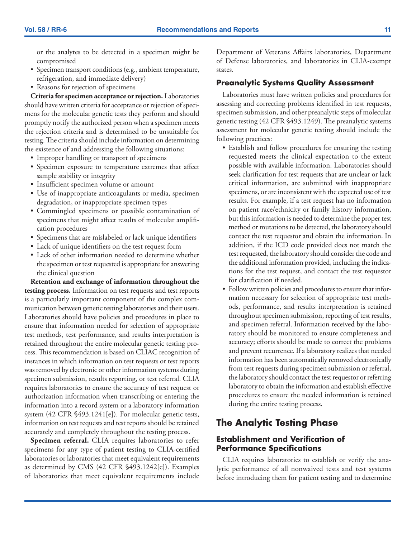<span id="page-12-0"></span>or the analytes to be detected in a specimen might be compromised

- • Specimen transport conditions (e.g., ambient temperature, refrigeration, and immediate delivery)
- Reasons for rejection of specimens

**Criteria for specimen acceptance or rejection.** Laboratories should have written criteria for acceptance or rejection of specimens for the molecular genetic tests they perform and should promptly notify the authorized person when a specimen meets the rejection criteria and is determined to be unsuitable for testing. The criteria should include information on determining the existence of and addressing the following situations:

- Improper handling or transport of specimens
- • Specimen exposure to temperature extremes that affect sample stability or integrity
- • Insufficient specimen volume or amount
- Use of inappropriate anticoagulants or media, specimen degradation, or inappropriate specimen types
- • Commingled specimens or possible contamination of specimens that might affect results of molecular amplification procedures
- Specimens that are mislabeled or lack unique identifiers
- Lack of unique identifiers on the test request form
- Lack of other information needed to determine whether the specimen or test requested is appropriate for answering the clinical question

**Retention and exchange of information throughout the testing process.** Information on test requests and test reports is a particularly important component of the complex communication between genetic testing laboratories and their users. Laboratories should have policies and procedures in place to ensure that information needed for selection of appropriate test methods, test performance, and results interpretation is retained throughout the entire molecular genetic testing process. This recommendation is based on CLIAC recognition of instances in which information on test requests or test reports was removed by electronic or other information systems during specimen submission, results reporting, or test referral. CLIA requires laboratories to ensure the accuracy of test request or authorization information when transcribing or entering the information into a record system or a laboratory information system (42 CFR §493.1241[e]). For molecular genetic tests, information on test requests and test reports should be retained accurately and completely throughout the testing process.

**Specimen referral.** CLIA requires laboratories to refer specimens for any type of patient testing to CLIA-certified laboratories or laboratories that meet equivalent requirements as determined by CMS (42 CFR §493.1242[c]). Examples of laboratories that meet equivalent requirements include Department of Veterans Affairs laboratories, Department of Defense laboratories, and laboratories in CLIA-exempt states.

#### **Preanalytic Systems Quality Assessment**

Laboratories must have written policies and procedures for assessing and correcting problems identified in test requests, specimen submission, and other preanalytic steps of molecular genetic testing (42 CFR §493.1249). The preanalytic systems assessment for molecular genetic testing should include the following practices:

- Establish and follow procedures for ensuring the testing requested meets the clinical expectation to the extent possible with available information. Laboratories should seek clarification for test requests that are unclear or lack critical information, are submitted with inappropriate specimens, or are inconsistent with the expected use of test results. For example, if a test request has no information on patient race/ethnicity or family history information, but this information is needed to determine the proper test method or mutations to be detected, the laboratory should contact the test requestor and obtain the information. In addition, if the ICD code provided does not match the test requested, the laboratory should consider the code and the additional information provided, including the indications for the test request, and contact the test requestor for clarification if needed.
- Follow written policies and procedures to ensure that information necessary for selection of appropriate test methods, performance, and results interpretation is retained throughout specimen submission, reporting of test results, and specimen referral. Information received by the laboratory should be monitored to ensure completeness and accuracy; efforts should be made to correct the problems and prevent recurrence. If a laboratory realizes that needed information has been automatically removed electronically from test requests during specimen submission or referral, the laboratory should contact the test requestor or referring laboratory to obtain the information and establish effective procedures to ensure the needed information is retained during the entire testing process.

# **The Analytic Testing Phase**

### **Establishment and Verification of Performance Specifications**

CLIA requires laboratories to establish or verify the analytic performance of all nonwaived tests and test systems before introducing them for patient testing and to determine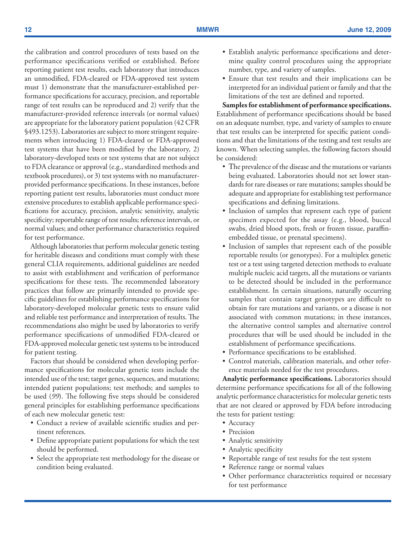the calibration and control procedures of tests based on the performance specifications verified or established. Before reporting patient test results, each laboratory that introduces an unmodified, FDA-cleared or FDA-approved test system must 1) demonstrate that the manufacturer-established performance specifications for accuracy, precision, and reportable range of test results can be reproduced and 2) verify that the manufacturer-provided reference intervals (or normal values) are appropriate for the laboratory patient population (42 CFR §493.1253). Laboratories are subject to more stringent requirements when introducing 1) FDA-cleared or FDA-approved test systems that have been modified by the laboratory, 2) laboratory-developed tests or test systems that are not subject to FDA clearance or approval (e.g., standardized methods and textbook procedures), or 3) test systems with no manufacturerprovided performance specifications. In these instances, before reporting patient test results, laboratories must conduct more extensive procedures to establish applicable performance specifications for accuracy, precision, analytic sensitivity, analytic specificity; reportable range of test results; reference intervals, or normal values; and other performance characteristics required for test performance.

Although laboratories that perform molecular genetic testing for heritable diseases and conditions must comply with these general CLIA requirements, additional guidelines are needed to assist with establishment and verification of performance specifications for these tests. The recommended laboratory practices that follow are primarily intended to provide specific guidelines for establishing performance specifications for laboratory-developed molecular genetic tests to ensure valid and reliable test performance and interpretation of results. The recommendations also might be used by laboratories to verify performance specifications of unmodified FDA-cleared or FDA-approved molecular genetic test systems to be introduced for patient testing.

Factors that should be considered when developing performance specifications for molecular genetic tests include the intended use of the test; target genes, sequences, and mutations; intended patient populations; test methods; and samples to be used (*99*). The following five steps should be considered general principles for establishing performance specifications of each new molecular genetic test:

- Conduct a review of available scientific studies and pertinent references.
- • Define appropriate patient populations for which the test should be performed.
- Select the appropriate test methodology for the disease or condition being evaluated.
- • Establish analytic performance specifications and determine quality control procedures using the appropriate number, type, and variety of samples.
- • Ensure that test results and their implications can be interpreted for an individual patient or family and that the limitations of the test are defined and reported.

**Samples for establishment of performance specifications.**  Establishment of performance specifications should be based on an adequate number, type, and variety of samples to ensure that test results can be interpreted for specific patient conditions and that the limitations of the testing and test results are known. When selecting samples, the following factors should be considered:

- The prevalence of the disease and the mutations or variants being evaluated. Laboratories should not set lower standards for rare diseases or rare mutations; samples should be adequate and appropriate for establishing test performance specifications and defining limitations.
- Inclusion of samples that represent each type of patient specimen expected for the assay (e.g., blood, buccal swabs, dried blood spots, fresh or frozen tissue, paraffinembedded tissue, or prenatal specimens).
- Inclusion of samples that represent each of the possible reportable results (or genotypes). For a multiplex genetic test or a test using targeted detection methods to evaluate multiple nucleic acid targets, all the mutations or variants to be detected should be included in the performance establishment. In certain situations, naturally occurring samples that contain target genotypes are difficult to obtain for rare mutations and variants, or a disease is not associated with common mutations; in these instances, the alternative control samples and alternative control procedures that will be used should be included in the establishment of performance specifications.
- Performance specifications to be established.
- Control materials, calibration materials, and other reference materials needed for the test procedures.

**Analytic performance specifications.** Laboratories should determine performance specifications for all of the following analytic performance characteristics for molecular genetic tests that are not cleared or approved by FDA before introducing the tests for patient testing:

- Accuracy
- Precision
- Analytic sensitivity
- Analytic specificity
- Reportable range of test results for the test system
- Reference range or normal values
- • Other performance characteristics required or necessary for test performance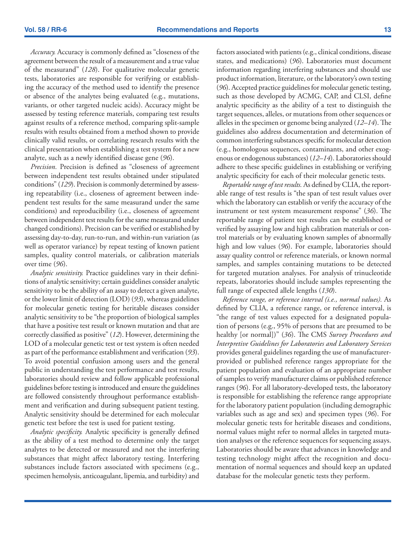*Accuracy.* Accuracy is commonly defined as "closeness of the agreement between the result of a measurement and a true value of the measurand" (*128*). For qualitative molecular genetic tests, laboratories are responsible for verifying or establishing the accuracy of the method used to identify the presence or absence of the analytes being evaluated (e.g., mutations, variants, or other targeted nucleic acids). Accuracy might be assessed by testing reference materials, comparing test results against results of a reference method, comparing split-sample results with results obtained from a method shown to provide clinically valid results, or correlating research results with the clinical presentation when establishing a test system for a new analyte, such as a newly identified disease gene (*96*).

*Precision.* Precision is defined as "closeness of agreement between independent test results obtained under stipulated conditions" (*129*). Precision is commonly determined by assessing repeatability (i.e., closeness of agreement between independent test results for the same measurand under the same conditions) and reproducibility (i.e., closeness of agreement between independent test results for the same measurand under changed conditions). Precision can be verified or established by assessing day-to-day, run-to-run, and within-run variation (as well as operator variance) by repeat testing of known patient samples, quality control materials, or calibration materials over time (*96*).

*Analytic sensitivity.* Practice guidelines vary in their definitions of analytic sensitivity; certain guidelines consider analytic sensitivity to be the ability of an assay to detect a given analyte, or the lower limit of detection (LOD) (*93*), whereas guidelines for molecular genetic testing for heritable diseases consider analytic sensitivity to be "the proportion of biological samples that have a positive test result or known mutation and that are correctly classified as positive" (*12*). However, determining the LOD of a molecular genetic test or test system is often needed as part of the performance establishment and verification (*93*). To avoid potential confusion among users and the general public in understanding the test performance and test results, laboratories should review and follow applicable professional guidelines before testing is introduced and ensure the guidelines are followed consistently throughout performance establishment and verification and during subsequent patient testing. Analytic sensitivity should be determined for each molecular genetic test before the test is used for patient testing.

*Analytic specificity.* Analytic specificity is generally defined as the ability of a test method to determine only the target analytes to be detected or measured and not the interfering substances that might affect laboratory testing. Interfering substances include factors associated with specimens (e.g., specimen hemolysis, anticoagulant, lipemia, and turbidity) and factors associated with patients (e.g., clinical conditions, disease states, and medications) (*96*). Laboratories must document information regarding interfering substances and should use product information, literature, or the laboratory's own testing (*96*). Accepted practice guidelines for molecular genetic testing, such as those developed by ACMG, CAP, and CLSI, define analytic specificity as the ability of a test to distinguish the target sequences, alleles, or mutations from other sequences or alleles in the specimen or genome being analyzed (*12–14*). The guidelines also address documentation and determination of common interfering substances specific for molecular detection (e.g., homologous sequences, contaminants, and other exogenous or endogenous substances) (*12–14*). Laboratories should adhere to these specific guidelines in establishing or verifying analytic specificity for each of their molecular genetic tests.

*Reportable range of test results.* As defined by CLIA, the reportable range of test results is "the span of test result values over which the laboratory can establish or verify the accuracy of the instrument or test system measurement response" (*36*). The reportable range of patient test results can be established or verified by assaying low and high calibration materials or control materials or by evaluating known samples of abnormally high and low values (*96*). For example, laboratories should assay quality control or reference materials, or known normal samples, and samples containing mutations to be detected for targeted mutation analyses. For analysis of trinucleotide repeats, laboratories should include samples representing the full range of expected allele lengths (*130*).

*Reference range, or reference interval (i.e., normal values).* As defined by CLIA, a reference range, or reference interval, is "the range of test values expected for a designated population of persons (e.g., 95% of persons that are presumed to be healthy [or normal])" (*36*). The CMS *Survey Procedures and Interpretive Guidelines for Laboratories and Laboratory Services*  provides general guidelines regarding the use of manufacturerprovided or published reference ranges appropriate for the patient population and evaluation of an appropriate number of samples to verify manufacturer claims or published reference ranges (*96*). For all laboratory-developed tests, the laboratory is responsible for establishing the reference range appropriate for the laboratory patient population (including demographic variables such as age and sex) and specimen types (*96*). For molecular genetic tests for heritable diseases and conditions, normal values might refer to normal alleles in targeted mutation analyses or the reference sequences for sequencing assays. Laboratories should be aware that advances in knowledge and testing technology might affect the recognition and documentation of normal sequences and should keep an updated database for the molecular genetic tests they perform.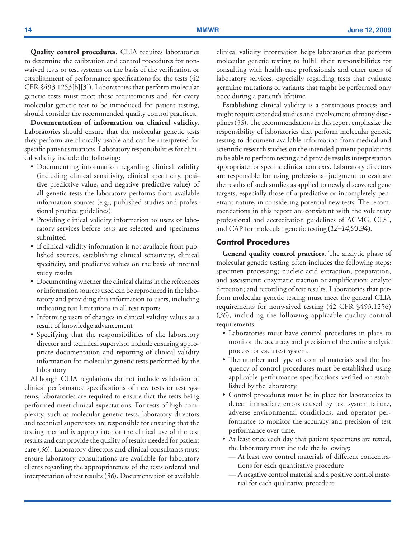**Quality control procedures.** CLIA requires laboratories to determine the calibration and control procedures for nonwaived tests or test systems on the basis of the verification or establishment of performance specifications for the tests (42 CFR §493.1253[b][3]). Laboratories that perform molecular genetic tests must meet these requirements and, for every molecular genetic test to be introduced for patient testing, should consider the recommended quality control practices.

**Documentation of information on clinical validity.**  Laboratories should ensure that the molecular genetic tests they perform are clinically usable and can be interpreted for specific patient situations. Laboratory responsibilities for clinical validity include the following:

- Documenting information regarding clinical validity (including clinical sensitivity, clinical specificity, positive predictive value, and negative predictive value) of all genetic tests the laboratory performs from available information sources (e.g., published studies and professional practice guidelines)
- Providing clinical validity information to users of laboratory services before tests are selected and specimens submitted
- If clinical validity information is not available from published sources, establishing clinical sensitivity, clinical specificity, and predictive values on the basis of internal study results
- Documenting whether the clinical claims in the references or information sources used can be reproduced in the laboratory and providing this information to users, including indicating test limitations in all test reports
- Informing users of changes in clinical validity values as a result of knowledge advancement
- Specifying that the responsibilities of the laboratory director and technical supervisor include ensuring appropriate documentation and reporting of clinical validity information for molecular genetic tests performed by the laboratory

Although CLIA regulations do not include validation of clinical performance specifications of new tests or test systems, laboratories are required to ensure that the tests being performed meet clinical expectations. For tests of high complexity, such as molecular genetic tests, laboratory directors and technical supervisors are responsible for ensuring that the testing method is appropriate for the clinical use of the test results and can provide the quality of results needed for patient care (*36*). Laboratory directors and clinical consultants must ensure laboratory consultations are available for laboratory clients regarding the appropriateness of the tests ordered and interpretation of test results (*36*). Documentation of available

clinical validity information helps laboratories that perform molecular genetic testing to fulfill their responsibilities for consulting with health-care professionals and other users of laboratory services, especially regarding tests that evaluate germline mutations or variants that might be performed only once during a patient's lifetime.

Establishing clinical validity is a continuous process and might require extended studies and involvement of many disciplines (*38*). The recommendations in this report emphasize the responsibility of laboratories that perform molecular genetic testing to document available information from medical and scientific research studies on the intended patient populations to be able to perform testing and provide results interpretation appropriate for specific clinical contexts. Laboratory directors are responsible for using professional judgment to evaluate the results of such studies as applied to newly discovered gene targets, especially those of a predictive or incompletely penetrant nature, in considering potential new tests. The recommendations in this report are consistent with the voluntary professional and accreditation guidelines of ACMG, CLSI, and CAP for molecular genetic testing (*12–14,93,94*).

### **Control Procedures**

**General quality control practices.** The analytic phase of molecular genetic testing often includes the following steps: specimen processing; nucleic acid extraction, preparation, and assessment; enzymatic reaction or amplification; analyte detection; and recording of test results. Laboratories that perform molecular genetic testing must meet the general CLIA requirements for nonwaived testing (42 CFR §493.1256) (*36*), including the following applicable quality control requirements:

- • Laboratories must have control procedures in place to monitor the accuracy and precision of the entire analytic process for each test system.
- The number and type of control materials and the frequency of control procedures must be established using applicable performance specifications verified or established by the laboratory.
- Control procedures must be in place for laboratories to detect immediate errors caused by test system failure, adverse environmental conditions, and operator performance to monitor the accuracy and precision of test performance over time.
- At least once each day that patient specimens are tested, the laboratory must include the following:
	- At least two control materials of different concentrations for each quantitative procedure
	- A negative control material and a positive control material for each qualitative procedure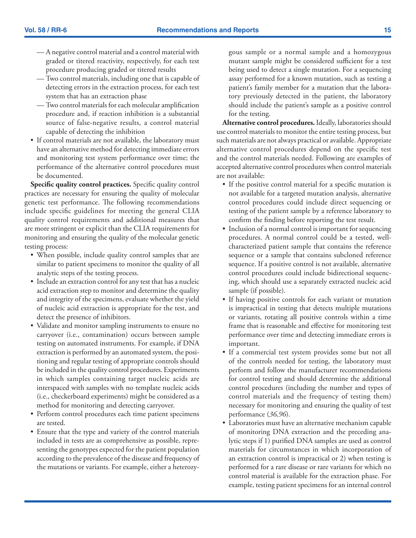- A negative control material and a control material with graded or titered reactivity, respectively, for each test procedure producing graded or titered results
- Two control materials, including one that is capable of detecting errors in the extraction process, for each test system that has an extraction phase
- Two control materials for each molecular amplification procedure and, if reaction inhibition is a substantial source of false-negative results, a control material capable of detecting the inhibition
- If control materials are not available, the laboratory must have an alternative method for detecting immediate errors and monitoring test system performance over time; the performance of the alternative control procedures must be documented.

**Specific quality control practices.** Specific quality control practices are necessary for ensuring the quality of molecular genetic test performance. The following recommendations include specific guidelines for meeting the general CLIA quality control requirements and additional measures that are more stringent or explicit than the CLIA requirements for monitoring and ensuring the quality of the molecular genetic testing process:

- When possible, include quality control samples that are similar to patient specimens to monitor the quality of all analytic steps of the testing process.
- Include an extraction control for any test that has a nucleic acid extraction step to monitor and determine the quality and integrity of the specimens, evaluate whether the yield of nucleic acid extraction is appropriate for the test, and detect the presence of inhibitors.
- Validate and monitor sampling instruments to ensure no carryover (i.e., contamination) occurs between sample testing on automated instruments. For example, if DNA extraction is performed by an automated system, the positioning and regular testing of appropriate controls should be included in the quality control procedures. Experiments in which samples containing target nucleic acids are interspaced with samples with no template nucleic acids (i.e., checkerboard experiments) might be considered as a method for monitoring and detecting carryover.
- Perform control procedures each time patient specimens are tested.
- Ensure that the type and variety of the control materials included in tests are as comprehensive as possible, representing the genotypes expected for the patient population according to the prevalence of the disease and frequency of the mutations or variants. For example, either a heterozy-

gous sample or a normal sample and a homozygous mutant sample might be considered sufficient for a test being used to detect a single mutation. For a sequencing assay performed for a known mutation, such as testing a patient's family member for a mutation that the laboratory previously detected in the patient, the laboratory should include the patient's sample as a positive control for the testing.

**Alternative control procedures.** Ideally, laboratories should use control materials to monitor the entire testing process, but such materials are not always practical or available. Appropriate alternative control procedures depend on the specific test and the control materials needed. Following are examples of accepted alternative control procedures when control materials are not available:

- If the positive control material for a specific mutation is not available for a targeted mutation analysis, alternative control procedures could include direct sequencing or testing of the patient sample by a reference laboratory to confirm the finding before reporting the test result.
- Inclusion of a normal control is important for sequencing procedures. A normal control could be a tested, wellcharacterized patient sample that contains the reference sequence or a sample that contains subcloned reference sequence. If a positive control is not available, alternative control procedures could include bidirectional sequencing, which should use a separately extracted nucleic acid sample (if possible).
- If having positive controls for each variant or mutation is impractical in testing that detects multiple mutations or variants, rotating all positive controls within a time frame that is reasonable and effective for monitoring test performance over time and detecting immediate errors is important.
- If a commercial test system provides some but not all of the controls needed for testing, the laboratory must perform and follow the manufacturer recommendations for control testing and should determine the additional control procedures (including the number and types of control materials and the frequency of testing them) necessary for monitoring and ensuring the quality of test performance (*36,96*).
- Laboratories must have an alternative mechanism capable of monitoring DNA extraction and the preceding analytic steps if 1) purified DNA samples are used as control materials for circumstances in which incorporation of an extraction control is impractical or 2) when testing is performed for a rare disease or rare variants for which no control material is available for the extraction phase. For example, testing patient specimens for an internal control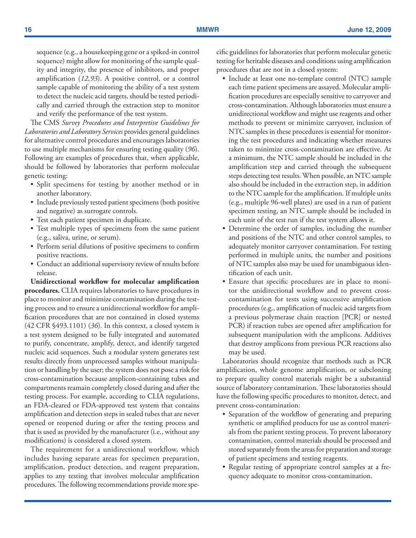sequence (e.g., a housekeeping gene or a spiked-in control sequence) might allow for monitoring of the sample quality and integrity, the presence of inhibitors, and proper amplification (*12,93*). A positive control, or a control sample capable of monitoring the ability of a test system to detect the nucleic acid targets, should be tested periodically and carried through the extraction step to monitor and verify the performance of the test system.

The CMS *Survey Procedures and Interpretive Guidelines for Laboratories and Laboratory Services* provides general guidelines for alternative control procedures and encourages laboratories to use multiple mechanisms for ensuring testing quality (*96*). Following are examples of procedures that, when applicable, should be followed by laboratories that perform molecular genetic testing:

- Split specimens for testing by another method or in another laboratory.
- Include previously tested patient specimens (both positive and negative) as surrogate controls.
- Test each patient specimen in duplicate.
- Test multiple types of specimens from the same patient (e.g., saliva, urine, or serum).
- • Perform serial dilutions of positive specimens to confirm positive reactions.
- Conduct an additional supervisory review of results before release.

**Unidirectional workflow for molecular amplification procedures.** CLIA requires laboratories to have procedures in place to monitor and minimize contamination during the testing process and to ensure a unidirectional workflow for amplification procedures that are not contained in closed systems (42 CFR §493.1101) (*36*). In this context, a closed system is a test system designed to be fully integrated and automated to purify, concentrate, amplify, detect, and identify targeted nucleic acid sequences. Such a modular system generates test results directly from unprocessed samples without manipulation or handling by the user; the system does not pose a risk for cross-contamination because amplicon-containing tubes and compartments reamain completely closed during and after the testing process. For example, according to CLIA regulations, an FDA-cleared or FDA-approved test system that contains amplification and detection steps in sealed tubes that are never opened or reopened during or after the testing process and that is used as provided by the manufacturer (i.e., without any modifications) is considered a closed system.

The requirement for a unidirectional workflow, which includes having separate areas for specimen preparation, amplification, product detection, and reagent preparation, applies to any testing that involves molecular amplification procedures. The following recommendations provide more specific guidelines for laboratories that perform molecular genetic testing for heritable diseases and conditions using amplification procedures that are not in a closed system:

- Include at least one no-template control (NTC) sample each time patient specimens are assayed. Molecular amplification procedures are especially sensitive to carryover and cross-contamination. Although laboratories must ensure a unidirectional workflow and might use reagents and other methods to prevent or minimize carryover, inclusion of NTC samples in these procedures is essential for monitoring the test procedures and indicating whether measures taken to minimize cross-contamination are effective. At a minimum, the NTC sample should be included in the amplification step and carried through the subsequent steps detecting test results. When possible, an NTC sample also should be included in the extraction step, in addition to the NTC sample for the amplification. If multiple units (e.g., multiple 96-well plates) are used in a run of patient specimen testing, an NTC sample should be included in each unit of the test run if the test system allows it.
- Determine the order of samples, including the number and positions of the NTC and other control samples, to adequately monitor carryover contamination. For testing performed in multiple units, the number and positions of NTC samples also may be used for unambiguous identification of each unit.
- Ensure that specific procedures are in place to monitor the unidirectional workflow and to prevent crosscontamination for tests using successive amplification procedures (e.g., amplification of nucleic acid targets from a previous polymerase chain reaction [PCR] or nested PCR) if reaction tubes are opened after amplification for subsequent manipulation with the amplicons. Additives that destroy amplicons from previous PCR reactions also may be used.

Laboratories should recognize that methods such as PCR amplification, whole genome amplification, or subcloning to prepare quality control materials might be a substantial source of laboratory contamination. These laboratories should have the following specific procedures to monitor, detect, and prevent cross-contamination:

- • Separation of the workflow of generating and preparing synthetic or amplified products for use as control materials from the patient testing process. To prevent laboratory contamination, control materials should be processed and stored separately from the areas for preparation and storage of patient specimens and testing reagents.
- • Regular testing of appropriate control samples at a frequency adequate to monitor cross-contamination.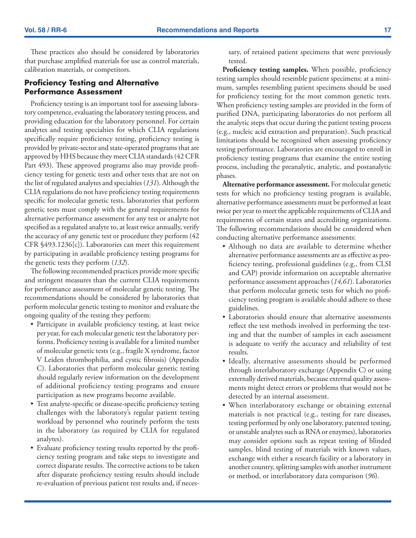These practices also should be considered by laboratories that purchase amplified materials for use as control materials, calibration materials, or competitors.

### **Proficiency Testing and Alternative Performance Assessment**

Proficiency testing is an important tool for assessing laboratory competence, evaluating the laboratory testing process, and providing education for the laboratory personnel. For certain analytes and testing specialties for which CLIA regulations specifically require proficiency testing, proficiency testing is provided by private-sector and state-operated programs that are approved by HHS because they meet CLIA standards (42 CFR Part 493). These approved programs also may provide proficiency testing for genetic tests and other tests that are not on the list of regulated analytes and specialties (*131*). Although the CLIA regulations do not have proficiency testing requirements specific for molecular genetic tests, laboratories that perform genetic tests must comply with the general requirements for alternative performance assessment for any test or analyte not specified as a regulated analyte to, at least twice annually, verify the accuracy of any genetic test or procedure they perform (42 CFR §493.1236[c]). Laboratories can meet this requirement by participating in available proficiency testing programs for the genetic tests they perform (*132*).

The following recommended practices provide more specific and stringent measures than the current CLIA requirements for performance assessment of molecular genetic testing. The recommendations should be considered by laboratories that perform molecular genetic testing to monitor and evaluate the ongoing quality of the testing they perform:

- • Participate in available proficiency testing, at least twice per year, for each molecular genetic test the laboratory performs. Proficiency testing is available for a limited number of molecular genetic tests (e.g., fragile X syndrome, factor V Leiden thrombophilia, and cystic fibrosis) (Appendix C). Laboratories that perform molecular genetic testing should regularly review information on the development of additional proficiency testing programs and ensure participation as new programs become available.
- Test analyte-specific or disease-specific proficiency testing challenges with the laboratory's regular patient testing workload by personnel who routinely perform the tests in the laboratory (as required by CLIA for regulated analytes).
- • Evaluate proficiency testing results reported by the proficiency testing program and take steps to investigate and correct disparate results. The corrective actions to be taken after disparate proficiency testing results should include re-evaluation of previous patient test results and, if neces-

sary, of retained patient specimens that were previously tested.

**Proficiency testing samples.** When possible, proficiency testing samples should resemble patient specimens; at a minimum, samples resembling patient specimens should be used for proficiency testing for the most common genetic tests. When proficiency testing samples are provided in the form of purified DNA, participating laboratories do not perform all the analytic steps that occur during the patient testing process (e.g., nucleic acid extraction and preparation). Such practical limitations should be recognized when assessing proficiency testing performance. Laboratories are encouraged to enroll in proficiency testing programs that examine the entire testing process, including the preanalytic, analytic, and postanalytic phases.

**Alternative performance assessment.** For molecular genetic tests for which no proficiency testing program is available, alternative performance assessments must be performed at least twice per year to meet the applicable requirements of CLIA and requirements of certain states and accrediting organizations. The following recommendations should be considered when conducting alternative performance assessments:

- • Although no data are available to determine whether alternative performance assessments are as effective as proficiency testing, professional guidelines (e.g., from CLSI and CAP) provide information on acceptable alternative performance assessment approaches (*14,61*). Laboratories that perform molecular genetic tests for which no proficiency testing program is available should adhere to these guidelines.
- Laboratories should ensure that alternative assessments reflect the test methods involved in performing the testing and that the number of samples in each assessment is adequate to verify the accuracy and reliability of test results.
- Ideally, alternative assessments should be performed through interlaboratory exchange (Appendix C) or using externally derived materials, because external quality assessments might detect errors or problems that would not be detected by an internal assessment.
- When interlaboratory exchange or obtaining external materials is not practical (e.g., testing for rare diseases, testing performed by only one laboratory, patented testing, or unstable analytes such as RNA or enzymes), laboratories may consider options such as repeat testing of blinded samples, blind testing of materials with known values, exchange with either a research facility or a laboratory in another country, splitting samples with another instrument or method, or interlaboratory data comparison (*96*).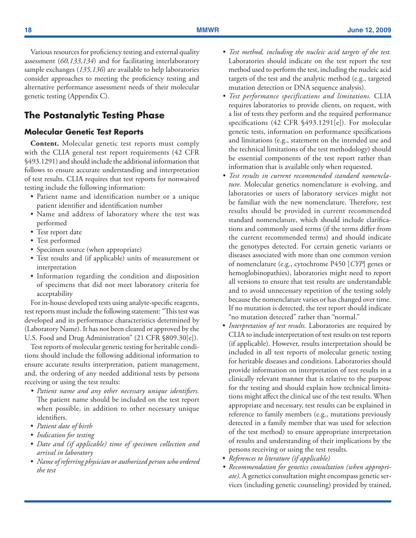<span id="page-19-0"></span>Various resources for proficiency testing and external quality assessment (*60,133,134*) and for facilitating interlaboratory sample exchanges (*135,136*) are available to help laboratories consider approaches to meeting the proficiency testing and alternative performance assessment needs of their molecular genetic testing (Appendix C).

# **The Postanalytic Testing Phase**

### **Molecular Genetic Test Reports**

**Content.** Molecular genetic test reports must comply with the CLIA general test report requirements (42 CFR §493.1291) and should include the additional information that follows to ensure accurate understanding and interpretation of test results. CLIA requires that test reports for nonwaived testing include the following information:

- • Patient name and identification number or a unique patient identifier and identification number
- Name and address of laboratory where the test was performed
- Test report date
- Test performed
- Specimen source (when appropriate)
- Test results and (if applicable) units of measurement or interpretation
- Information regarding the condition and disposition of specimens that did not meet laboratory criteria for acceptability

For in-house developed tests using analyte-specific reagents, test reports must include the following statement: "This test was developed and its performance characteristics determined by (Laboratory Name). It has not been cleared or approved by the U.S. Food and Drug Administration" (21 CFR §809.30[e]).

Test reports of molecular genetic testing for heritable conditions should include the following additional information to ensure accurate results interpretation, patient management, and, the ordering of any needed additional tests by persons receiving or using the test results:

- *• Patient name and any other necessary unique identifiers.*  The patient name should be included on the test report when possible, in addition to other necessary unique identifiers.
- • *Patient date of birth*
- • *Indication for testing*
- • *Date and (if applicable) time of specimen collection and arrival in laboratory*
- • *Name of referring physician or authorized person who ordered the test*
- *• Test method, including the nucleic acid targets of the test.* Laboratories should indicate on the test report the test method used to perform the test, including the nucleic acid targets of the test and the analytic method (e.g., targeted mutation detection or DNA sequence analysis).
- *• Test performance specifications and limitations.* CLIA requires laboratories to provide clients, on request, with a list of tests they perform and the required performance specifications (42 CFR §493.1291[e]). For molecular genetic tests, information on performance specifications and limitations (e.g., statement on the intended use and the technical limitations of the test methodology) should be essential components of the test report rather than information that is available only when requested.
- *• Test results in current recommended standard nomenclature.* Molecular genetics nomenclature is evolving, and laboratories or users of laboratory services might not be familiar with the new nomenclature. Therefore, test results should be provided in current recommended standard nomenclature, which should include clarifications and commonly used terms (if the terms differ from the current recommended terms) and should indicate the genotypes detected. For certain genetic variants or diseases associated with more than one common version of nomenclature (e.g., cytochrome P450 [*CYP*] genes or hemoglobinopathies), laboratories might need to report all versions to ensure that test results are understandable and to avoid unnecessary repetition of the testing solely because the nomenclature varies or has changed over time. If no mutation is detected, the test report should indicate "no mutation detected" rather than "normal."
- *Interpretation of test results*. Laboratories are required by CLIA to include interpretation of test results on test reports (if applicable). However, results interpretation should be included in all test reports of molecular genetic testing for heritable diseases and conditions. Laboratories should provide information on interpretation of test results in a clinically relevant manner that is relative to the purpose for the testing and should explain how technical limitations might affect the clinical use of the test results. When appropriate and necessary, test results can be explained in reference to family members (e.g., mutations previously detected in a family member that was used for selection of the test method) to ensure appropriate interpretation of results and understanding of their implications by the persons receiving or using the test results.
- • *References to literature (if applicable)*
- *• Recommendation for genetics consultation (when appropriate).* A genetics consultation might encompass genetic services (including genetic counseling) provided by trained,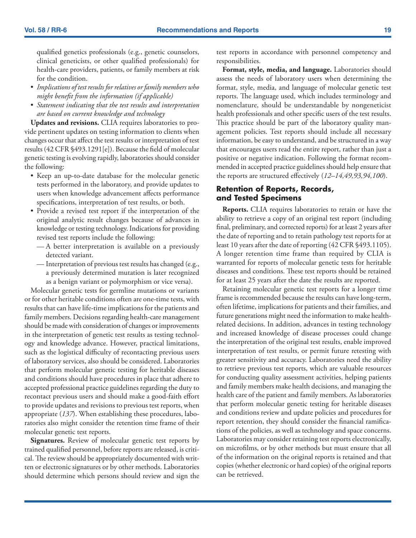qualified genetics professionals (e.g., genetic counselors, clinical geneticists, or other qualified professionals) for health-care providers, patients, or family members at risk for the condition.

- • *Implications of test results for relatives or family members who might benefit from the information (if applicable)*
- • *Statement indicating that the test results and interpretation are based on current knowledge and technology*

**Updates and revisions.** CLIA requires laboratories to provide pertinent updates on testing information to clients when changes occur that affect the test results or interpretation of test results (42 CFR §493.1291[e]). Because the field of molecular genetic testing is evolving rapidly, laboratories should consider the following:

- Keep an up-to-date database for the molecular genetic tests performed in the laboratory, and provide updates to users when knowledge advancement affects performance specifications, interpretation of test results, or both.
- Provide a revised test report if the interpretation of the original analytic result changes because of advances in knowledge or testing technology. Indications for providing revised test reports include the following:
	- A better interpretation is available on a previously detected variant.
	- Interpretation of previous test results has changed (e.g., a previously determined mutation is later recognized as a benign variant or polymorphism or vice versa).

Molecular genetic tests for germline mutations or variants or for other heritable conditions often are one-time tests, with results that can have life-time implications for the patients and family members. Decisions regarding health-care management should be made with consideration of changes or improvements in the interpretation of genetic test results as testing technology and knowledge advance. However, practical limitations, such as the logistical difficulty of recontacting previous users of laboratory services, also should be considered. Laboratories that perform molecular genetic testing for heritable diseases and conditions should have procedures in place that adhere to accepted professional practice guidelines regarding the duty to recontact previous users and should make a good-faith effort to provide updates and revisions to previous test reports, when appropriate (*137*). When establishing these procedures, laboratories also might consider the retention time frame of their molecular genetic test reports.

**Signatures.** Review of molecular genetic test reports by trained qualified personnel, before reports are released, is critical. The review should be appropriately documented with written or electronic signatures or by other methods. Laboratories should determine which persons should review and sign the test reports in accordance with personnel competency and responsibilities.

**Format, style, media, and language.** Laboratories should assess the needs of laboratory users when determining the format, style, media, and language of molecular genetic test reports. The language used, which includes terminology and nomenclature, should be understandable by nongeneticist health professionals and other specific users of the test results. This practice should be part of the laboratory quality management policies. Test reports should include all necessary information, be easy to understand, and be structured in a way that encourages users read the entire report, rather than just a positive or negative indication. Following the format recommended in accepted practice guidelines should help ensure that the reports are structured effectively (*12–14,49,93,94,100*).

### **Retention of Reports, Records, and Tested Specimens**

**Reports.** CLIA requires laboratories to retain or have the ability to retrieve a copy of an original test report (including final, preliminary, and corrected reports) for at least 2 years after the date of reporting and to retain pathology test reports for at least 10 years after the date of reporting (42 CFR §493.1105). A longer retention time frame than required by CLIA is warranted for reports of molecular genetic tests for heritable diseases and conditions. These test reports should be retained for at least 25 years after the date the results are reported.

Retaining molecular genetic test reports for a longer time frame is recommended because the results can have long-term, often lifetime, implications for patients and their families, and future generations might need the information to make healthrelated decisions. In addition, advances in testing technology and increased knowledge of disease processes could change the interpretation of the original test results, enable improved interpretation of test results, or permit future retesting with greater sensitivity and accuracy. Laboratories need the ability to retrieve previous test reports, which are valuable resources for conducting quality assessment activities, helping patients and family members make health decisions, and managing the health care of the patient and family members. As laboratories that perform molecular genetic testing for heritable diseases and conditions review and update policies and procedures for report retention, they should consider the financial ramifications of the policies, as well as technology and space concerns. Laboratories may consider retaining test reports electronically, on microfilms, or by other methods but must ensure that all of the information on the original reports is retained and that copies (whether electronic or hard copies) of the original reports can be retrieved.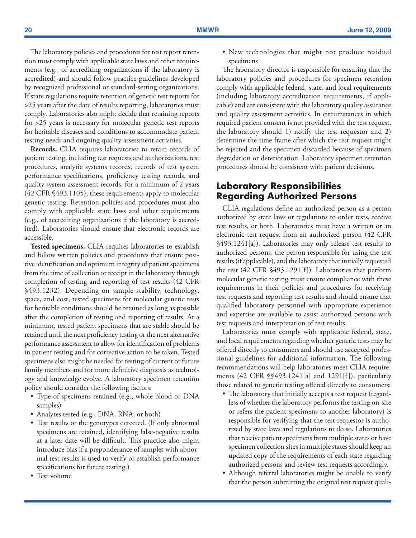<span id="page-21-0"></span>The laboratory policies and procedures for test report retention must comply with applicable state laws and other requirements (e.g., of accrediting organizations if the laboratory is accredited) and should follow practice guidelines developed by recognized professional or standard-setting organizations. If state regulations require retention of genetic test reports for >25 years after the date of results reporting, laboratories must comply. Laboratories also might decide that retaining reports for >25 years is necessary for molecular genetic test reports for heritable diseases and conditions to accommodate patient testing needs and ongoing quality assessment activities.

**Records.** CLIA requires laboratories to retain records of patient testing, including test requests and authorizations, test procedures, analytic systems records, records of test system performance specifications, proficiency testing records, and quality system assessment records, for a minimum of 2 years (42 CFR §493.1105); these requirements apply to molecular genetic testing. Retention policies and procedures must also comply with applicable state laws and other requirements (e.g., of accrediting organizations if the laboratory is accredited). Laboratories should ensure that electronic records are accessible.

**Tested specimens.** CLIA requires laboratories to establish and follow written policies and procedures that ensure positive identification and optimum integrity of patient specimens from the time of collection or receipt in the laboratory through completion of testing and reporting of test results (42 CFR §493.1232). Depending on sample stability, technology, space, and cost, tested specimens for molecular genetic tests for heritable conditions should be retained as long as possible after the completion of testing and reporting of results. At a minimum, tested patient specimens that are stable should be retained until the next proficiency testing or the next alternative performance assessment to allow for identification of problems in patient testing and for corrective action to be taken. Tested specimens also might be needed for testing of current or future family members and for more definitive diagnosis as technology and knowledge evolve. A laboratory specimen retention policy should consider the following factors:

- Type of specimens retained (e.g., whole blood or DNA samples)
- Analytes tested (e.g., DNA, RNA, or both)
- Test results or the genotypes detected. (If only abnormal specimens are retained, identifying false-negative results at a later date will be difficult. This practice also might introduce bias if a preponderance of samples with abnormal test results is used to verify or establish performance specifications for future testing.)
- Test volume

• New technologies that might not produce residual specimens

The laboratory director is responsible for ensuring that the laboratory policies and procedures for specimen retention comply with applicable federal, state, and local requirements (including laboratory accreditation requirements, if applicable) and are consistent with the laboratory quality assurance and quality assessment activities. In circumstances in which required patient consent is not provided with the test request, the laboratory should 1) notify the test requestor and 2) determine the time frame after which the test request might be rejected and the specimen discarded because of specimen degradation or deterioration. Laboratory specimen retention procedures should be consistent with patient decisions.

### **Laboratory Responsibilities Regarding Authorized Persons**

CLIA regulations define an authorized person as a person authorized by state laws or regulations to order tests, receive test results, or both. Laboratories must have a written or an electronic test request from an authorized person (42 CFR §493.1241[a]). Laboratories may only release test results to authorized persons, the person responsible for using the test results (if applicable), and the laboratory that initially requested the test (42 CFR §493.1291[f]). Laboratories that perform molecular genetic testing must ensure compliance with these requirements in their policies and procedures for receiving test requests and reporting test results and should ensure that qualified laboratory personnel with appropriate experience and expertise are available to assist authorized persons with test requests and interpretation of test results.

Laboratories must comply with applicable federal, state, and local requirements regarding whether genetic tests may be offered directly to consumers and should use accepted professional guidelines for additional information. The following recommendations will help laboratories meet CLIA requirements (42 CFR §§493.1241[a] and 1291[f]), particularly those related to genetic testing offered directly to consumers:

- The laboratory that initially accepts a test request (regardless of whether the laboratory performs the testing on-site or refers the patient specimens to another laboratory) is responsible for verifying that the test requestor is authorized by state laws and regulations to do so. Laboratories that receive patient specimens from multiple states or have specimen collection sites in multiple states should keep an updated copy of the requirements of each state regarding authorized persons and review test requests accordingly.
- Although referral laboratories might be unable to verify that the person submitting the original test request quali-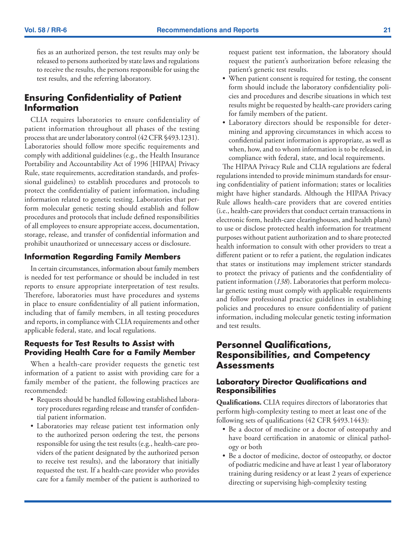<span id="page-22-0"></span>fies as an authorized person, the test results may only be released to persons authorized by state laws and regulations to receive the results, the persons responsible for using the test results, and the referring laboratory.

# **Ensuring Confidentiality of Patient Information**

CLIA requires laboratories to ensure confidentiality of patient information throughout all phases of the testing process that are under laboratory control (42 CFR §493.1231). Laboratories should follow more specific requirements and comply with additional guidelines (e.g., the Health Insurance Portability and Accountability Act of 1996 [HIPAA] Privacy Rule, state requirements, accreditation standards, and professional guidelines) to establish procedures and protocols to protect the confidentiality of patient information, including information related to genetic testing. Laboratories that perform molecular genetic testing should establish and follow procedures and protocols that include defined responsibilities of all employees to ensure appropriate access, documentation, storage, release, and transfer of confidential information and prohibit unauthorized or unnecessary access or disclosure.

### **Information Regarding Family Members**

In certain circumstances, information about family members is needed for test performance or should be included in test reports to ensure appropriate interpretation of test results. Therefore, laboratories must have procedures and systems in place to ensure confidentiality of all patient information, including that of family members, in all testing procedures and reports, in compliance with CLIA requirements and other applicable federal, state, and local regulations.

### **Requests for Test Results to Assist with Providing Health Care for a Family Member**

When a health-care provider requests the genetic test information of a patient to assist with providing care for a family member of the patient, the following practices are recommended:

- Requests should be handled following established laboratory procedures regarding release and transfer of confidential patient information.
- • Laboratories may release patient test information only to the authorized person ordering the test, the persons responsible for using the test results (e.g., health-care providers of the patient designated by the authorized person to receive test results), and the laboratory that initially requested the test. If a health-care provider who provides care for a family member of the patient is authorized to

request patient test information, the laboratory should request the patient's authorization before releasing the patient's genetic test results.

- • When patient consent is required for testing, the consent form should include the laboratory confidentiality policies and procedures and describe situations in which test results might be requested by health-care providers caring for family members of the patient.
- • Laboratory directors should be responsible for determining and approving circumstances in which access to confidential patient information is appropriate, as well as when, how, and to whom information is to be released, in compliance with federal, state, and local requirements.

The HIPAA Privacy Rule and CLIA regulations are federal regulations intended to provide minimum standards for ensuring confidentiality of patient information; states or localities might have higher standards. Although the HIPAA Privacy Rule allows health-care providers that are covered entities (i.e., health-care providers that conduct certain transactions in electronic form, health-care clearinghouses, and health plans) to use or disclose protected health information for treatment purposes without patient authorization and to share protected health information to consult with other providers to treat a different patient or to refer a patient, the regulation indicates that states or institutions may implement stricter standards to protect the privacy of patients and the confidentiality of patient information (*138*). Laboratories that perform molecular genetic testing must comply with applicable requirements and follow professional practice guidelines in establishing policies and procedures to ensure confidentiality of patient information, including molecular genetic testing information and test results.

# **Personnel Qualifications, Responsibilities, and Competency Assessments**

### **Laboratory Director Qualifications and Responsibilities**

**Qualifications.** CLIA requires directors of laboratories that perform high-complexity testing to meet at least one of the following sets of qualifications (42 CFR §493.1443):

- Be a doctor of medicine or a doctor of osteopathy and have board certification in anatomic or clinical pathology or both
- • Be a doctor of medicine, doctor of osteopathy, or doctor of podiatric medicine and have at least 1 year of laboratory training during residency or at least 2 years of experience directing or supervising high-complexity testing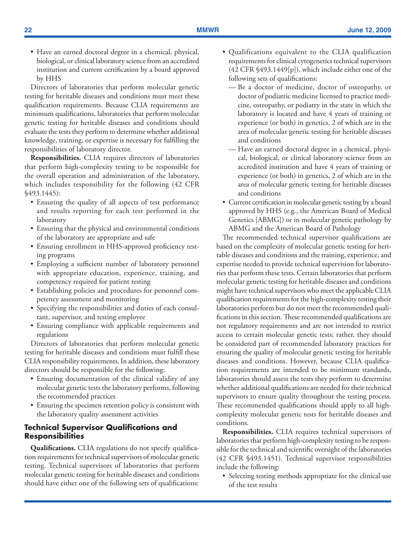• Have an earned doctoral degree in a chemical, physical, biological, or clinical laboratory science from an accredited institution and current certification by a board approved by HHS

Directors of laboratories that perform molecular genetic testing for heritable diseases and conditions must meet these qualification requirements. Because CLIA requirements are minimum qualifications, laboratories that perform molecular genetic testing for heritable diseases and conditions should evaluate the tests they perform to determine whether additional knowledge, training, or expertise is necessary for fulfilling the responsibilities of laboratory director.

**Responsibilities.** CLIA requires directors of laboratories that perform high-complexity testing to be responsible for the overall operation and administration of the laboratory, which includes responsibility for the following (42 CFR §493.1445):

- Ensuring the quality of all aspects of test performance and results reporting for each test performed in the laboratory
- Ensuring that the physical and environmental conditions of the laboratory are appropriate and safe
- Ensuring enrollment in HHS-approved proficiency testing programs
- Employing a sufficient number of laboratory personnel with appropriate education, experience, training, and competency required for patient testing
- • Establishing policies and procedures for personnel competency assessment and monitoring
- Specifying the responsibilities and duties of each consultant, supervisor, and testing employee
- Ensuring compliance with applicable requirements and regulations

Directors of laboratories that perform molecular genetic testing for heritable diseases and conditions must fulfill these CLIA responsibility requirements. In addition, these laboratory directors should be responsible for the following:

- Ensuring documentation of the clinical validity of any molecular genetic tests the laboratory performs, following the recommended practices
- Ensuring the specimen retention policy is consistent with the laboratory quality assessment activities

### **Technical Supervisor Qualifications and Responsibilities**

**Qualifications.** CLIA regulations do not specify qualification requirements for technical supervisors of molecular genetic testing. Technical supervisors of laboratories that perform molecular genetic testing for heritable diseases and conditions should have either one of the following sets of qualifications:

- • Qualifications equivalent to the CLIA qualification requirements for clinical cytogenetics technical supervisors (42 CFR §493.1449[p]), which include either one of the following sets of qualifications:
	- Be a doctor of medicine, doctor of osteopathy, or doctor of podiatric medicine licensed to practice medicine, osteopathy, or podiatry in the state in which the laboratory is located and have 4 years of training or experience (or both) in genetics, 2 of which are in the area of molecular genetic testing for heritable diseases and conditions
	- Have an earned doctoral degree in a chemical, physical, biological, or clinical laboratory science from an accredited institution and have 4 years of training or experience (or both) in genetics, 2 of which are in the area of molecular genetic testing for heritable diseases and conditions
- Current certification in molecular genetic testing by a board approved by HHS (e.g., the American Board of Medical Genetics [ABMG]) or in molecular genetic pathology by ABMG and the American Board of Pathology

The recommended technical supervisor qualifications are based on the complexity of molecular genetic testing for heritable diseases and conditions and the training, experience, and expertise needed to provide technical supervision for laboratories that perform these tests. Certain laboratories that perform molecular genetic testing for heritable diseases and conditions might have technical supervisors who meet the applicable CLIA qualification requirements for the high-complexity testing their laboratories perform but do not meet the recommended qualifications in this section. These recommended qualifications are not regulatory requirements and are not intended to restrict access to certain molecular genetic tests; rather, they should be considered part of recommended laboratory practices for ensuring the quality of molecular genetic testing for heritable diseases and conditions. However, because CLIA qualification requirements are intended to be minimum standards, laboratories should assess the tests they perform to determine whether additional qualifications are needed for their technical supervisors to ensure quality throughout the testing process. These recommended qualifications should apply to all highcomplexity molecular genetic tests for heritable diseases and conditions.

**Responsibilities.** CLIA requires technical supervisors of laboratories that perform high-complexity testing to be responsible for the technical and scientific oversight of the laboratories (42 CFR §493.1451). Technical supervisor responsibilities include the following:

• Selecting testing methods appropriate for the clinical use of the test results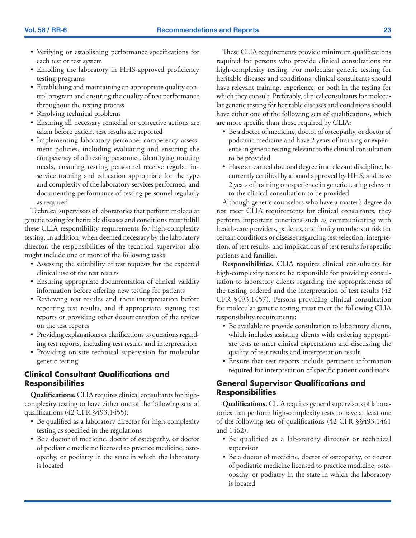- • Verifying or establishing performance specifications for each test or test system
- Enrolling the laboratory in HHS-approved proficiency testing programs
- Establishing and maintaining an appropriate quality control program and ensuring the quality of test performance throughout the testing process
- Resolving technical problems
- • Ensuring all necessary remedial or corrective actions are taken before patient test results are reported
- Implementing laboratory personnel competency assessment policies, including evaluating and ensuring the competency of all testing personnel, identifying training needs, ensuring testing personnel receive regular inservice training and education appropriate for the type and complexity of the laboratory services performed, and documenting performance of testing personnel regularly as required

Technical supervisors of laboratories that perform molecular genetic testing for heritable diseases and conditions must fulfill these CLIA responsibility requirements for high-complexity testing. In addition, when deemed necessary by the laboratory director, the responsibilities of the technical supervisor also might include one or more of the following tasks:

- Assessing the suitability of test requests for the expected clinical use of the test results
- Ensuring appropriate documentation of clinical validity information before offering new testing for patients
- Reviewing test results and their interpretation before reporting test results, and if appropriate, signing test reports or providing other documentation of the review on the test reports
- Providing explanations or clarifications to questions regarding test reports, including test results and interpretation
- Providing on-site technical supervision for molecular genetic testing

### **Clinical Consultant Qualifications and Responsibilities**

**Qualifications.** CLIA requires clinical consultants for highcomplexity testing to have either one of the following sets of qualifications (42 CFR §493.1455):

- Be qualified as a laboratory director for high-complexity testing as specified in the regulations
- Be a doctor of medicine, doctor of osteopathy, or doctor of podiatric medicine licensed to practice medicine, osteopathy, or podiatry in the state in which the laboratory is located

These CLIA requirements provide minimum qualifications required for persons who provide clinical consultations for high-complexity testing. For molecular genetic testing for heritable diseases and conditions, clinical consultants should have relevant training, experience, or both in the testing for which they consult. Preferably, clinical consultants for molecular genetic testing for heritable diseases and conditions should have either one of the following sets of qualifications, which are more specific than those required by CLIA:

- Be a doctor of medicine, doctor of osteopathy, or doctor of podiatric medicine and have 2 years of training or experience in genetic testing relevant to the clinical consultation to be provided
- Have an earned doctoral degree in a relevant discipline, be currently certified by a board approved by HHS, and have 2 years of training or experience in genetic testing relevant to the clinical consultation to be provided

Although genetic counselors who have a master's degree do not meet CLIA requirements for clinical consultants, they perform important functions such as communicating with health-care providers, patients, and family members at risk for certain conditions or diseases regarding test selection, interpretion, of test results, and implications of test results for specific patients and families.

**Responsibilities.** CLIA requires clinical consultants for high-complexity tests to be responsible for providing consultation to laboratory clients regarding the appropriateness of the testing ordered and the interpretation of test results (42 CFR §493.1457). Persons providing clinical consultation for molecular genetic testing must meet the following CLIA responsibility requirements:

- Be available to provide consultation to laboratory clients, which includes assisting clients with ordering appropriate tests to meet clinical expectations and discussing the quality of test results and interpretation result
- Ensure that test reports include pertinent information required for interpretation of specific patient conditions

### **General Supervisor Qualifications and Responsibilities**

**Qualifications.** CLIA requires general supervisors of laboratories that perform high-complexity tests to have at least one of the following sets of qualifications (42 CFR §§493.1461 and 1462):

- Be qualified as a laboratory director or technical supervisor
- Be a doctor of medicine, doctor of osteopathy, or doctor of podiatric medicine licensed to practice medicine, osteopathy, or podiatry in the state in which the laboratory is located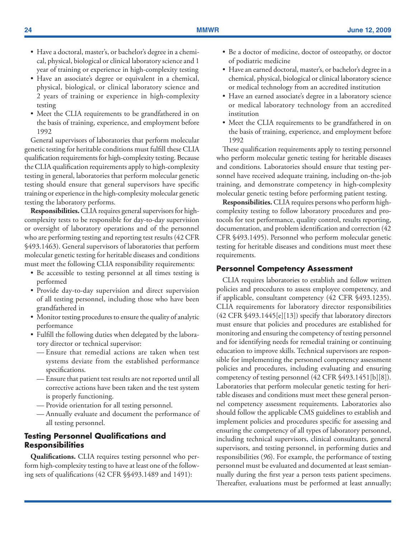- Have a doctoral, master's, or bachelor's degree in a chemical, physical, biological or clinical laboratory science and 1 year of training or experience in high-complexity testing
- Have an associate's degree or equivalent in a chemical, physical, biological, or clinical laboratory science and 2 years of training or experience in high-complexity testing
- Meet the CLIA requirements to be grandfathered in on the basis of training, experience, and employment before 1992

General supervisors of laboratories that perform molecular genetic testing for heritable conditions must fulfill these CLIA qualification requirements for high-complexity testing. Because the CLIA qualification requirements apply to high-complexity testing in general, laboratories that perform molecular genetic testing should ensure that general supervisors have specific training or experience in the high-complexity molecular genetic testing the laboratory performs.

**Responsibilities.** CLIA requires general supervisors for highcomplexity tests to be responsible for day-to-day supervision or oversight of laboratory operations and of the personnel who are performing testing and reporting test results (42 CFR §493.1463). General supervisors of laboratories that perform molecular genetic testing for heritable diseases and conditions must meet the following CLIA responsibility requirements:

- Be accessible to testing personnel at all times testing is performed
- Provide day-to-day supervision and direct supervision of all testing personnel, including those who have been grandfathered in
- Monitor testing procedures to ensure the quality of analytic performance
- Fulfill the following duties when delegated by the laboratory director or technical supervisor:
	- Ensure that remedial actions are taken when test systems deviate from the established performance specifications.
	- Ensure that patient test results are not reported until all corrective actions have been taken and the test system is properly functioning.
	- Provide orientation for all testing personnel.
	- Annually evaluate and document the performance of all testing personnel.

### **Testing Personnel Qualifications and Responsibilities**

**Qualifications.** CLIA requires testing personnel who perform high-complexity testing to have at least one of the following sets of qualifications (42 CFR §§493.1489 and 1491):

- • Be a doctor of medicine, doctor of osteopathy, or doctor of podiatric medicine
- Have an earned doctoral, master's, or bachelor's degree in a chemical, physical, biological or clinical laboratory science or medical technology from an accredited institution
- Have an earned associate's degree in a laboratory science or medical laboratory technology from an accredited institution
- Meet the CLIA requirements to be grandfathered in on the basis of training, experience, and employment before 1992

These qualification requirements apply to testing personnel who perform molecular genetic testing for heritable diseases and conditions. Laboratories should ensure that testing personnel have received adequate training, including on-the-job training, and demonstrate competency in high-complexity molecular genetic testing before performing patient testing.

**Responsibilities.** CLIA requires persons who perform highcomplexity testing to follow laboratory procedures and protocols for test performance, quality control, results reporting, documentation, and problem identification and correction (42 CFR §493.1495). Personnel who perform molecular genetic testing for heritable diseases and conditions must meet these requirements.

#### **Personnel Competency Assessment**

CLIA requires laboratories to establish and follow written policies and procedures to assess employee competency, and if applicable, consultant competency (42 CFR §493.1235). CLIA requirements for laboratory director responsibilities (42 CFR §493.1445[e][13]) specify that laboratory directors must ensure that policies and procedures are established for monitoring and ensuring the competency of testing personnel and for identifying needs for remedial training or continuing education to improve skills. Technical supervisors are responsible for implementing the personnel competency assessment policies and procedures, including evaluating and ensuring competency of testing personnel (42 CFR §493.1451[b][8]). Laboratories that perform molecular genetic testing for heritable diseases and conditions must meet these general personnel competency assessment requirements. Laboratories also should follow the applicable CMS guidelines to establish and implement policies and procedures specific for assessing and ensuring the competency of all types of laboratory personnel, including technical supervisors, clinical consultants, general supervisors, and testing personnel, in performing duties and responsibilities (*96*). For example, the performance of testing personnel must be evaluated and documented at least semiannually during the first year a person tests patient specimens. Thereafter, evaluations must be performed at least annually;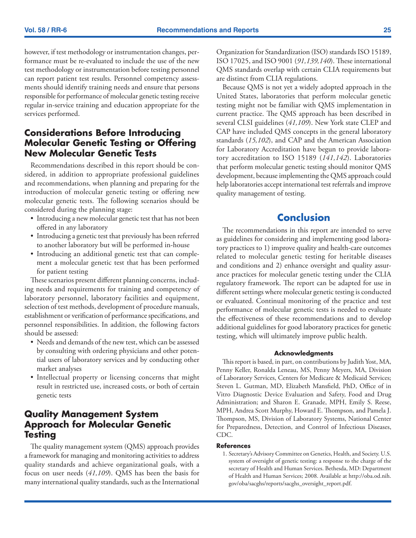<span id="page-26-0"></span>however, if test methodology or instrumentation changes, performance must be re-evaluated to include the use of the new test methodology or instrumentation before testing personnel can report patient test results. Personnel competency assessments should identify training needs and ensure that persons responsible for performance of molecular genetic testing receive regular in-service training and education appropriate for the services performed.

# **Considerations Before Introducing Molecular Genetic Testing or Offering New Molecular Genetic Tests**

Recommendations described in this report should be considered, in addition to appropriate professional guidelines and recommendations, when planning and preparing for the introduction of molecular genetic testing or offering new molecular genetic tests. The following scenarios should be considered during the planning stage:

- Introducing a new molecular genetic test that has not been offered in any laboratory
- Introducing a genetic test that previously has been referred to another laboratory but will be performed in-house
- • Introducing an additional genetic test that can complement a molecular genetic test that has been performed for patient testing

These scenarios present different planning concerns, including needs and requirements for training and competency of laboratory personnel, laboratory facilities and equipment, selection of test methods, development of procedure manuals, establishment or verification of performance specifications, and personnel responsibilities. In addition, the following factors should be assessed:

- Needs and demands of the new test, which can be assessed by consulting with ordering physicians and other potential users of laboratory services and by conducting other market analyses
- • Intellectual property or licensing concerns that might result in restricted use, increased costs, or both of certain genetic tests

## **Quality Management System Approach for Molecular Genetic Testing**

The quality management system (QMS) approach provides a framework for managing and monitoring activities to address quality standards and achieve organizational goals, with a focus on user needs (*41,109*). QMS has been the basis for many international quality standards, such as the International Organization for Standardization (ISO) standards ISO 15189, ISO 17025, and ISO 9001 (*91,139,140*). These international QMS standards overlap with certain CLIA requirements but are distinct from CLIA regulations.

Because QMS is not yet a widely adopted approach in the United States, laboratories that perform molecular genetic testing might not be familiar with QMS implementation in current practice. The QMS approach has been described in several CLSI guidelines (*41,109*). New York state CLEP and CAP have included QMS concepts in the general laboratory standards (*15,102*), and CAP and the American Association for Laboratory Accreditation have begun to provide laboratory accreditation to ISO 15189 (*141,142*). Laboratories that perform molecular genetic testing should monitor QMS development, because implementing the QMS approach could help laboratories accept international test referrals and improve quality management of testing.

# **Conclusion**

The recommendations in this report are intended to serve as guidelines for considering and implementing good laboratory practices to 1) improve quality and health-care outcomes related to molecular genetic testing for heritable diseases and conditions and 2) enhance oversight and quality assurance practices for molecular genetic testing under the CLIA regulatory framework. The report can be adapted for use in different settings where molecular genetic testing is conducted or evaluated. Continual monitoring of the practice and test performance of molecular genetic tests is needed to evaluate the effectiveness of these recommendations and to develop additional guidelines for good laboratory practices for genetic testing, which will ultimately improve public health.

#### **Acknowledgments**

This report is based, in part, on contributions by Judith Yost, MA, Penny Keller, Ronalda Leneau, MS, Penny Meyers, MA, Division of Laboratory Services, Centers for Medicare & Medicaid Services; Steven L. Gutman, MD, Elizabeth Mansfield, PhD, Office of in Vitro Diagnostic Device Evaluation and Safety, Food and Drug Administration; and Sharon E. Granade, MPH, Emily S. Reese, MPH, Andrea Scott Murphy, Howard E. Thompson, and Pamela J. Thompson, MS, Division of Laboratory Systems, National Center for Preparedness, Detection, and Control of Infectious Diseases, CDC.

#### **References**

1. Secretary's Advisory Committee on Genetics, Health, and Society. U.S. system of oversight of genetic testing: a response to the charge of the secretary of Health and Human Services. Bethesda, MD: Department of Health and Human Services; 2008. Available at [http://oba.od.nih.](http://oba.od.nih.gov/oba/sacghs/reports/sacghs_oversight_report.pdf) [gov/oba/sacghs/reports/sacghs\\_oversight\\_report.pdf.](http://oba.od.nih.gov/oba/sacghs/reports/sacghs_oversight_report.pdf)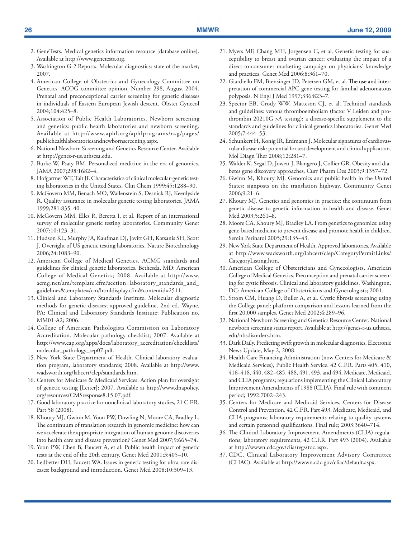- 2. GeneTests. Medical genetics information resource [database online]. Available at [http://www.genetests.org.](http://www.genetests.org)
- 3. Washington G-2 Reports. Molecular diagnostics: state of the market; 2007.
- 4. American College of Obstetrics and Gynecology Committee on Genetics. ACOG committee opinion. Number 298, August 2004. Prenatal and preconceptional carrier screening for genetic diseases in individuals of Eastern European Jewish descent. Obstet Gynecol 2004;104:425–8.
- 5. Association of Public Health Laboratories. Newborn screening and genetics: public health laboratories and newborn screening. Available at [http://www.aphl.org/aphlprograms/nsg/pages/](http://www.aphl.org/aphlprograms/nsg/pages/publichealthlaboratoriesandnewbornscreening.aspx) [publichealthlaboratoriesandnewbornscreening.aspx.](http://www.aphl.org/aphlprograms/nsg/pages/publichealthlaboratoriesandnewbornscreening.aspx)
- 6. National Newborn Screening and Genetics Resource Center. Available at [http://genes-r-us.uthscsa.edu.](http://genes-r-us.uthscsa.edu)
- 7. Burke W, Psaty BM. Personalized medicine in the era of genomics. JAMA 2007;298*:*1682–4.
- 8. Hofgartner WT, Tait JF. Characteristics of clinical molecular-genetic testing laboratories in the United States. Clin Chem 1999;45:1288–90.
- 9. McGovern MM, Benach MO, Wallenstein S, Desnick RJ, Keenlyside R. Quality assurance in molecular genetic testing laboratories. JAMA 1999;281*:*835–40.
- 10. McGovern MM, Elles R, Beretta I, et al. Report of an international survey of molecular genetic testing laboratories. Community Genet 2007;10:123–31.
- 11. Hudson KL, Murphy JA, Kaufman DJ, Javitt GH, Katsanis SH, Scott J. Oversight of US genetic testing laboratories. Nature Biotechnology 2006;24:1083–90.
- 12. American College of Medical Genetics. ACMG standards and guidelines for clinical genetic laboratories. Bethesda, MD: American College of Medical Genetics; 2008. Available at [http://www.](http://www.acmg.net/am/template.cfm?section=laboratory_standards_and_guidelines&template=/cm/htmldisplay.cfm&contentid=2511) [acmg.net/am/template.cfm?section=laboratory\\_standards\\_and\\_](http://www.acmg.net/am/template.cfm?section=laboratory_standards_and_guidelines&template=/cm/htmldisplay.cfm&contentid=2511) [guidelines&template=/cm/htmldisplay.cfm&contentid=2511](http://www.acmg.net/am/template.cfm?section=laboratory_standards_and_guidelines&template=/cm/htmldisplay.cfm&contentid=2511).
- 13. Clinical and Laboratory Standards Institute. Molecular diagnostic methods for genetic diseases; approved guideline, 2nd ed. Wayne, PA: Clinical and Laboratory Standards Institute; Publication no. MM01-A2; 2006.
- 14. College of American Pathologists Commission on Laboratory Accreditation. Molecular pathology checklist; 2007. Available at [http://www.cap.org/apps/docs/laboratory\\_accreditation/checklists/](http://www.cap.org/apps/docs/laboratory_accreditation/checklists/molecular_pathology_sep07.pdf) [molecular\\_pathology\\_sep07.pdf.](http://www.cap.org/apps/docs/laboratory_accreditation/checklists/molecular_pathology_sep07.pdf)
- 15. New York State Department of Health. Clinical laboratory evaluation program, laboratory standards; 2008. Available at [http://www.](http://www.wadsworth.org/labcert/clep/standards.htm) [wadsworth.org/labcert/clep/standards.htm.](http://www.wadsworth.org/labcert/clep/standards.htm)
- 16. Centers for Medicare & Medicaid Services. Action plan for oversight of genetic testing [Letter]; 2007. Available at [http://www.dnapolicy.](http://www.dnapolicy.org/resources/CMSresponse8.15.07.pdf) [org/resources/CMSresponse8.15.07.pdf.](http://www.dnapolicy.org/resources/CMSresponse8.15.07.pdf)
- 17. Good laboratory practice for nonclinical laboratory studies, 21 C.F.R. Part 58 (2008).
- 18. Khoury MJ, Gwinn M, Yoon PW, Dowling N, Moore CA, Bradley L. The continuum of translation research in genomic medicine: how can we accelerate the appropriate integration of human genome discoveries into health care and disease prevention? Genet Med 2007;9:665–74.
- 19. Yoon PW, Chen B, Faucett A, et al. Public health impact of genetic tests at the end of the 20th century. Genet Med 2001;3:405–10.
- 20. Ledbetter DH, Faucett WA. Issues in genetic testing for ultra-rare diseases: background and introduction. Genet Med 2008;10:309–13.
- 21. Myers MF, Chang MH, Jorgensen C, et al. Genetic testing for susceptibility to breast and ovarian cancer: evaluating the impact of a direct-to-consumer marketing campaign on physicians' knowledge and practices. Genet Med 2006;8:361–70.
- 22. Giardiello FM, Brensinger JD, Petersen GM, et al. The use and interpretation of commercial APC gene testing for familial adenomatous polyposis. N Engl J Med 1997;336*:*823–7.
- 23. Spector EB, Grody WW, Matteson CJ, et al. Technical standards and guidelines: venous thromboembolism (factor V Leiden and prothrombin 20210G >A testing): a disease-specific supplement to the standards and guidelines for clinical genetics laboratories. Genet Med 2005;7:444–53.
- 24. Schunkert H, Konig IR, Erdmann J. Molecular signatures of cardiovascular disease risk: potential for test development and clinical application. Mol Diagn Ther 2008;12:281–7.
- 25. Walder K, Segal D, Jowett J, Blangero J, Collier GR. Obesity and diabetes gene discovery approaches. Curr Pharm Des 2003;9:1357–72.
- 26. Gwinn M, Khoury MJ. Genomics and public health in the United States: signposts on the translation highway. Community Genet 2006;9:21–6.
- 27. Khoury MJ. Genetics and genomics in practice: the continuum from genetic disease to genetic information in health and disease. Genet Med 2003;5:261–8.
- 28. Moore CA, Khoury MJ, Bradley LA. From genetics to genomics: using gene-based medicine to prevent disease and promote health in children. Semin Perinatol 2005;29:135–43.
- 29. New York State Department of Health. Approved laboratories. Available at [http://www.wadsworth.org/labcert/clep/CategoryPermitLinks/](http://www.wadsworth.org/labcert/clep/CategoryPermitLinks/CategoryListing.htm) [CategoryListing.htm](http://www.wadsworth.org/labcert/clep/CategoryPermitLinks/CategoryListing.htm).
- 30. American College of Obstetricians and Gynecologists, American College of Medical Genetics. Preconception and prenatal carrier screening for cystic fibrosis. Clinical and laboratory guidelines. Washington, DC: American College of Obstetricians and Gynecologists; 2001.
- 31. Strom CM, Huang D, Buller A, et al. Cystic fibrosis screening using the College panel: platform comparison and lessons learned from the first 20,000 samples. Genet Med 2002;4:289–96.
- 32. National Newborn Screening and Genetics Resource Center. National newborn screening status report. Available at [http://genes-r-us.uthscsa.](http://genes-r-us.uthscsa.edu/nbsdisorders.htm) [edu/nbsdisorders.htm](http://genes-r-us.uthscsa.edu/nbsdisorders.htm).
- 33. Dark Daily. Predicting swift growth in molecular diagnostics. Electronic News Update, May 2, 2008.
- 34. Health Care Financing Administration (now Centers for Medicare & Medicaid Services), Public Health Service. 42 C.F.R. Parts 405, 410, 416–418, 440, 482–485, 488, 491, 493, and 494. Medicare, Medicaid, and CLIA programs; regulations implementing the Clinical Laboratory Improvement Amendments of 1988 (CLIA). Final rule with comment period; 1992:7002–243.
- 35. Centers for Medicare and Medicaid Services, Centers for Disease Control and Prevention. 42 C.F.R. Part 493. Medicare, Medicaid, and CLIA programs; laboratory requirements relating to quality systems and certain personnel qualifications. Final rule; 2003:3640–714.
- 36. The Clinical Laboratory Improvement Amendments (CLIA) regulations; laboratory requirements, 42 C.F.R. Part 493 (2004). Available at<http://wwwn.cdc.gov/clia/regs/toc.aspx>.
- 37. CDC. Clinical Laboratory Improvement Advisory Committee (CLIAC). Available at <http://wwwn.cdc.gov/cliac/default.aspx>.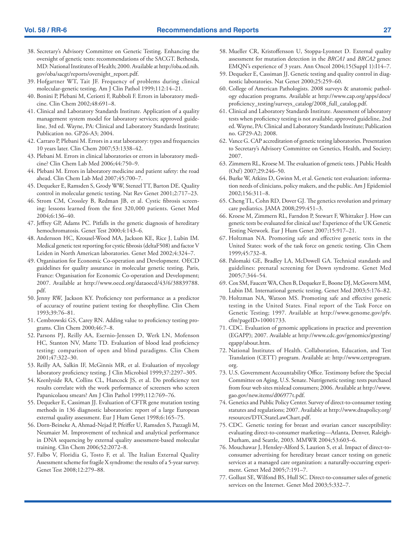- 38. Secretary's Advisory Committee on Genetic Testing. Enhancing the oversight of genetic tests: recommendations of the SACGT. Bethesda, MD: National Institutes of Health; 2000. Available at [http://oba.od.nih.](http://oba.od.nih.gov/oba/sacgt/reports/oversight_report.pdf) [gov/oba/sacgt/reports/oversight\\_report.pdf](http://oba.od.nih.gov/oba/sacgt/reports/oversight_report.pdf).
- 39. Hofgartner WT, Tait JF. Frequency of problems during clinical molecular-genetic testing. Am J Clin Pathol 1999;112:14–21.
- 40. Bonini P, Plebani M, Ceriotti F, Rubboli F. Errors in laboratory medicine. Clin Chem 2002;48:691–8.
- 41. Clinical and Laboratory Standards Institute. Application of a quality management system model for laboratory services; approved guideline, 3rd ed. Wayne, PA: Clinical and Laboratory Standards Institute; Publication no. GP26-A3; 2004.
- 42. Carraro P, Plebani M. Errors in a stat laboratory: types and frequencies 10 years later. Clin Chem 2007;53:1338–42.
- 43. Plebani M. Errors in clinical laboratories or errors in laboratory medicine? Clin Chem Lab Med 2006;44:750–9.
- 44. Plebani M. Errors in laboratory medicine and patient safety: the road ahead. Clin Chem Lab Med 2007;45:700–7.
- 45. Dequeker E, Ramsden S, Grody WW, Stenzel TT, Barton DE. Quality control in molecular genetic testing. Nat Rev Genet 2001;2:717–23.
- 46. Strom CM, Crossley B, Redman JB, et al. Cystic fibrosis screening: lessons learned from the first 320,000 patients. Genet Med 2004;6:136–40.
- 47. Jeffrey GP, Adams PC. Pitfalls in the genetic diagnosis of hereditary hemochromatosis. Genet Test 2000;4:143–6.
- 48. Andersson HC, Krousel-Wood MA, Jackson KE, Rice J, Lubin IM. Medical genetic test reporting for cystic fibrosis (deltaF508) and factor V Leiden in North American laboratories. Genet Med 2002;4:324–7.
- 49. Organisation for Economic Co-operation and Development. OECD guidelines for quality assurance in molecular genetic testing. Paris, France: Organisation for Economic Co-operation and Development; 2007. Available at [http://www.oecd.org/dataoecd/43/6/38839788.](http://www.oecd.org/dataoecd/43/6/38839788.pdf) [pdf.](http://www.oecd.org/dataoecd/43/6/38839788.pdf)
- 50. Jenny RW, Jackson KY. Proficiency test performance as a predictor of accuracy of routine patient testing for theophylline. Clin Chem 1993;39:76–81.
- 51. Cembrowski GS, Carey RN. Adding value to proficiency testing programs. Clin Chem 2000;46:7–8.
- 52. Parsons PJ, Reilly AA, Esernio-Jenssen D, Werk LN, Mofenson HC, Stanton NV, Matte TD. Evaluation of blood lead proficiency testing: comparison of open and blind paradigms. Clin Chem 2001;47:322–30.
- 53. Reilly AA, Salkin IF, McGinnis MR, et al. Evaluation of mycology laboratory proficiency testing. J Clin Microbiol 1999;37:2297–305.
- 54. Keenlyside RA, Collins CL, Hancock JS, et al. Do proficiency test results correlate with the work performance of screeners who screen Papanicolaou smears? Am J Clin Pathol 1999;112:769–76.
- 55. Dequeker E, Cassiman JJ. Evaluation of CFTR gene mutation testing methods in 136 diagnostic laboratories: report of a large European external quality assessment. Eur J Hum Genet 1998;6:165–75.
- 56. Dorn-Beineke A, Ahmad-Nejad P, Pfeiffer U, Ramsden S, Pazzagli M, Neumaier M. Improvement of technical and analytical performance in DNA sequencing by external quality assessment-based molecular training. Clin Chem 2006;52:2072–8.
- 57. Falbo V, Floridia G, Tosto F, et al. The Italian External Quality Assessment scheme for fragile X syndrome: the results of a 5-year survey. Genet Test 2008;12:279–88.
- 58. Mueller CR, Kristoffersson U, Stoppa-Lyonnet D. External quality assessment for mutation detection in the *BRCA1* and *BRCA2* genes: EMQN's experience of 3 years. Ann Oncol 2004;15(Suppl 1):I14–7.
- 59. Dequeker E, Cassiman JJ. Genetic testing and quality control in diagnostic laboratories. Nat Genet 2000;25:259–60.
- 60. College of American Pathologists. 2008 surveys & anatomic pathology education programs. Available at [http://www.cap.org/apps/docs/](http://www.cap.org/apps/docs/proficiency_testing/surveys_catalog/2008_full_catalog.pdf) [proficiency\\_testing/surveys\\_catalog/2008\\_full\\_catalog.pdf.](http://www.cap.org/apps/docs/proficiency_testing/surveys_catalog/2008_full_catalog.pdf)
- 61. Clinical and Laboratory Standards Institute. Assessment of laboratory tests when proficiency testing is not available; approved guideline, 2nd ed. Wayne, PA: Clinical and Laboratory Standards Institute; Publication no. GP29-A2; 2008.
- 62. Vance G. CAP accreditation of genetic testing laboratories. Presentation to Secretary's Advisory Committee on Genetics, Health, and Society; 2007.
- 63. Zimmern RL, Kroese M. The evaluation of genetic tests. J Public Health (Oxf) 2007;29:246–50.
- 64. Burke W, Atkins D, Gwinn M, et al. Genetic test evaluation: information needs of clinicians, policy makers, and the public. Am J Epidemiol 2002;156:311–8.
- 65. Cheng TL, Cohn RD, Dover GJ. The genetics revolution and primary care pediatrics. JAMA 2008;299:451–3.
- 66. Kroese M, Zimmern RL, Farndon P, Stewart F, Whittaker J. How can genetic tests be evaluated for clinical use? Experience of the UK Genetic Testing Network. Eur J Hum Genet 2007;15:917–21.
- 67. Holtzman NA. Promoting safe and effective genetic tests in the United States: work of the task force on genetic testing. Clin Chem 1999;45:732–8.
- 68. Palomaki GE, Bradley LA, McDowell GA. Technical standards and guidelines: prenatal screening for Down syndrome. Genet Med 2005;7:344–54.
- 69. Cox SM, Faucett WA, Chen B, Dequeker E, Boone DJ, McGovern MM, Lubin IM. International genetic testing. Genet Med 2003;5:176–82.
- 70. Holtzman NA, Watson MS. Promoting safe and effective genetic testing in the United States. Final report of the Task Force on Genetic Testing; 1997. Available at [http://www.genome.gov/pfv.](http://www.genome.gov/pfv.cfm?pageID=10001733) [cfm?pageID=10001733](http://www.genome.gov/pfv.cfm?pageID=10001733).
- 71. CDC. Evaluation of genomic applications in practice and prevention (EGAPP); 2007. Available at [http://www.cdc.gov/genomics/gtesting/](http://www.cdc.gov/genomics/gtesting/egapp/about.htm) [egapp/about.htm](http://www.cdc.gov/genomics/gtesting/egapp/about.htm).
- 72. National Institutes of Health. Collaboration, Education, and Test Translation (CETT) program. Available at: [http://www.cettprogram.](http://www.cettprogram.org) [org.](http://www.cettprogram.org)
- 73. U.S. Government Accountability Office. Testimony before the Special Committee on Aging, U.S. Senate. Nutrigenetic testing: tests purchased from four web sites mislead consumers; 2006. Available at [http://www.](http://www.gao.gov/new.items/d06977t.pdf) [gao.gov/new.items/d06977t.pdf.](http://www.gao.gov/new.items/d06977t.pdf)
- 74. Genetics and Public Policy Center. Survey of direct-to-consumer testing statutes and regulations; 2007. Available at [http://www.dnapolicy.org/](http://www.dnapolicy.org/resources/DTCStateLawChart.pdf) [resources/DTCStateLawChart.pdf.](http://www.dnapolicy.org/resources/DTCStateLawChart.pdf)
- 75. CDC. Genetic testing for breast and ovarian cancer susceptibility: evaluating direct-to-consumer marketing—Atlanta, Denver, Raleigh-Durham, and Seattle, 2003. MMWR 2004;53:603–6.
- 76. Mouchawar J, Hensley-Alford S, Laurion S, et al. Impact of direct-toconsumer advertising for hereditary breast cancer testing on genetic services at a managed care organization: a naturally-occurring experiment. Genet Med 2005;7:191–7.
- 77. Gollust SE, Wilfond BS, Hull SC. Direct-to-consumer sales of genetic services on the Internet. Genet Med 2003;5:332–7.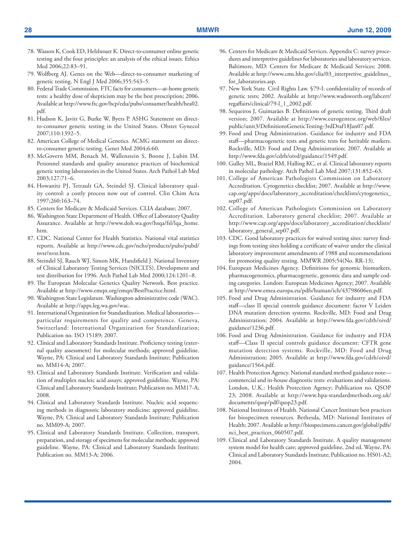- 78. Wasson K, Cook ED, Helzlsouer K. Direct-to-consumer online genetic testing and the four principles: an analysis of the ethical issues. Ethics Med 2006;22:83–91.
- 79. Wolfberg AJ. Genes on the Web—direct-to-consumer marketing of genetic testing. N Engl J Med 2006;355:543–5.
- 80. Federal Trade Commission. FTC facts for consumers—at-home genetic tests: a healthy dose of skepticism may be the best prescription; 2006. Available at [http://www.ftc.gov/bcp/edu/pubs/consumer/health/hea02.](http://www.ftc.gov/bcp/edu/pubs/consumer/health/hea02.pdf) [pdf.](http://www.ftc.gov/bcp/edu/pubs/consumer/health/hea02.pdf)
- 81. Hudson K, Javitt G, Burke W, Byers P. ASHG Statement on directto-consumer genetic testing in the United States. Obstet Gynecol 2007;110:1392–5.
- 82. American College of Medical Genetics. ACMG statement on directto-consumer genetic testing. Genet Med 2004;6:60.
- 83. McGovern MM, Benach M, Wallenstein S, Boone J, Lubin IM. Personnel standards and quality assurance practices of biochemical genetic testing laboratories in the United States. Arch Pathol Lab Med 2003;127:71–6.
- 84. Howanitz PJ, Tetrault GA, Steindel SJ. Clinical laboratory quality control: a costly process now out of control. Clin Chim Acta 1997;260:163–74.
- 85. Centers for Medicare & Medicaid Services. CLIA database; 2007.
- 86. Washington State Department of Health. Office of Laboratory Quality Assurance. Available at [http://www.doh.wa.gov/hsqa/fsl/lqa\\_home.](http://www.doh.wa.gov/hsqa/fsl/lqa_home.htm) [htm](http://www.doh.wa.gov/hsqa/fsl/lqa_home.htm).
- 87. CDC. National Center for Health Statistics. National vital statistics reports. Available at [http://www.cdc.gov/nchs/products/pubs/pubd/](http://www.cdc.gov/nchs/products/pubs/pubd/nvsr/nvsr.htm) [nvsr/nvsr.htm](http://www.cdc.gov/nchs/products/pubs/pubd/nvsr/nvsr.htm).
- 88. Steindel SJ, Rauch WJ, Simon MK, Handsfield J. National Inventory of Clinical Laboratory Testing Services (NICLTS). Development and test distribution for 1996. Arch Pathol Lab Med 2000;124:1201–8.
- 89. The European Molecular Genetics Quality Network. Best practice. Available at<http://www.emqn.org/emqn/BestPractice.html>.
- 90. Washington State Legislature. Washington administrative code (WAC). Available at [http://apps.leg.wa.gov/wac.](http://apps.leg.wa.gov/wac)
- 91. International Organization for Standardization. Medical laboratories particular requirements for quality and competence. Geneva, Switzerland: International Organization for Standardization; Publication no. ISO 15189; 2007.
- 92. Clinical and Laboratory Standards Institute. Proficiency testing (external quality assessment) for molecular methods; approved guideline. Wayne, PA: Clinical and Laboratory Standards Institute; Publication no. MM14-A; 2007.
- 93. Clinical and Laboratory Standards Institute. Verification and validation of multiplex nucleic acid assays; approved guideline. Wayne, PA: Clinical and Laboratory Standards Institute; Publication no. MM17-A; 2008.
- 94. Clinical and Laboratory Standards Institute. Nucleic acid sequencing methods in diagnostic laboratory medicine; approved guideline. Wayne, PA: Clinical and Laboratory Standards Institute; Publication no. MM09-A; 2007.
- 95. Clinical and Laboratory Standards Institute. Collection, transport, preparation, and storage of specimens for molecular methods; approved guideline. Wayne, PA: Clinical and Laboratory Standards Institute; Publication no. MM13-A; 2006.
- 96. Centers for Medicare & Medicaid Services. Appendix C: survey procedures and interpretive guidelines for laboratories and laboratory services. Baltimore, MD: Centers for Medicare & Medicaid Services; 2008. Available at [http://www.cms.hhs.gov/clia/03\\_interpretive\\_guidelines\\_](http://www.cms.hhs.gov/clia/03_interpretive_guidelines_for_laboratories.asp) [for\\_laboratories.asp.](http://www.cms.hhs.gov/clia/03_interpretive_guidelines_for_laboratories.asp)
- 97. New York State. Civil Rights Law. §79-I: confidentiality of records of genetic tests; 2002. Available at [http://www.wadsworth.org/labcert/](http://www.wadsworth.org/labcert/regaffairs/clinical/79-l_1_2002.pdf) [regaffairs/clinical/79-l\\_1\\_2002.pdf.](http://www.wadsworth.org/labcert/regaffairs/clinical/79-l_1_2002.pdf)
- 98. Sequeiros J, Guimarães B. Definitions of genetic testing. Third draft version; 2007. Available at [http://www.eurogentest.org/web/files/](http://www.eurogentest.org/web/files/public/unit3/DefinitionsGeneticTesting-3rdDraf18Jan07.pdf) [public/unit3/DefinitionsGeneticTesting-3rdDraf18Jan07.pdf.](http://www.eurogentest.org/web/files/public/unit3/DefinitionsGeneticTesting-3rdDraf18Jan07.pdf)
- 99. Food and Drug Administration. Guidance for industry and FDA staff—pharmacogenetic tests and genetic tests for heritable markers. Rockville, MD: Food and Drug Administration; 2007. Available at [http://www.fda.gov/cdrh/oivd/guidance/1549.pdf.](http://www.fda.gov/cdrh/oivd/guidance/1549.pdf)
- 100. Gulley ML, Braziel RM, Halling KC, et al. Clinical laboratory reports in molecular pathology. Arch Pathol Lab Med 2007;131:852–63.
- 101. College of American Pathologists Commission on Laboratory Accreditation. Cytogenetics checklist; 2007. Available at [http://www.](http://www.cap.org/apps/docs/laboratory_accreditation/checklists/cytogenetics_sep07.pdf) [cap.org/apps/docs/laboratory\\_accreditation/checklists/cytogenetics\\_](http://www.cap.org/apps/docs/laboratory_accreditation/checklists/cytogenetics_sep07.pdf) [sep07.pdf](http://www.cap.org/apps/docs/laboratory_accreditation/checklists/cytogenetics_sep07.pdf).
- 102. College of American Pathologists Commission on Laboratory Accreditation. Laboratory general checklist; 2007. Available at [http://www.cap.org/apps/docs/laboratory\\_accreditation/checklists/](http://www.cap.org/apps/docs/laboratory_accreditation/checklists/laboratory_general_sep07.pdf) [laboratory\\_general\\_sep07.pdf.](http://www.cap.org/apps/docs/laboratory_accreditation/checklists/laboratory_general_sep07.pdf)
- 103. CDC. Good laboratory practices for waived testing sites: survey findings from testing sites holding a certificate of waiver under the clinical laboratory improvement amendments of 1988 and recommendations for promoting quality testing. MMWR 2005;54(No. RR-13).
- 104. European Medicines Agency. Definitions for genomic biomarkers, pharmacogenomics, pharmacogenetic, genomic data and sample coding categories. London: European Medicines Agency; 2007. Available at [http://www.emea.europa.eu/pdfs/human/ich/43798606en.pdf.](http://www.emea.europa.eu/pdfs/human/ich/43798606en.pdf)
- 105. Food and Drug Administration. Guidance for industry and FDA staff—class II special controls guidance document: factor V Leiden DNA mutation detection systems. Rockville, MD: Food and Drug Administration; 2004. Available at [http://www.fda.gov/cdrh/oivd/](http://www.fda.gov/cdrh/oivd/guidance/1236.pdf) [guidance/1236.pdf](http://www.fda.gov/cdrh/oivd/guidance/1236.pdf).
- 106. Food and Drug Administration. Guidance for industry and FDA staff—Class II special controls guidance document: CFTR gene mutation detection systems. Rockville, MD: Food and Drug Administration; 2005. Available at [http://www.fda.gov/cdrh/oivd/](http://www.fda.gov/cdrh/oivd/guidance/1564.pdf) [guidance/1564.pdf](http://www.fda.gov/cdrh/oivd/guidance/1564.pdf).
- 107. Health Protection Agency. National standard method guidance note commercial and in-house diagnostic tests: evaluations and validations. London, U.K.: Health Protection Agency; Publication no. QSOP 23; 2008. Available at [http://www.hpa-standardmethods.org.uk/](http://www.hpa-standardmethods.org.uk/documents/qsop/pdf/qsop23.pdf) [documents/qsop/pdf/qsop23.pdf.](http://www.hpa-standardmethods.org.uk/documents/qsop/pdf/qsop23.pdf)
- 108. National Institutes of Health. National Cancer Institute best practices for biospecimen resources. Bethesda, MD: National Institutes of Health; 2007. Available at [http://biospecimens.cancer.gov/global/pdfs/](http://biospecimens.cancer.gov/global/pdfs/nci_best_practices_060507.pdf) [nci\\_best\\_practices\\_060507.pdf](http://biospecimens.cancer.gov/global/pdfs/nci_best_practices_060507.pdf).
- 109. Clinical and Laboratory Standards Institute. A quality management system model for health care; approved guideline, 2nd ed. Wayne, PA: Clinical and Laboratory Standards Institute; Publication no. HS01-A2; 2004.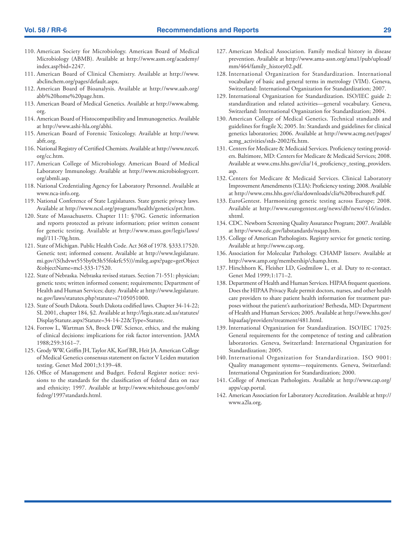- 110. American Society for Microbiology. American Board of Medical Microbiology (ABMB). Available at [http://www.asm.org/academy/](http://www.asm.org/academy/index.asp?bid=2247) [index.asp?bid=2247](http://www.asm.org/academy/index.asp?bid=2247).
- 111. American Board of Clinical Chemistry. Available at [http://www.](http://www.abclinchem.org/pages/default.aspx) [abclinchem.org/pages/default.aspx](http://www.abclinchem.org/pages/default.aspx).
- 112. American Board of Bioanalysis. Available at [http://www.aab.org/](http://www.aab.org/abb%20home%20page.htm) [abb%20home%20page.htm.](http://www.aab.org/abb%20home%20page.htm)
- 113. American Board of Medical Genetics. Available at [http://www.abmg.](http://www.abmg.org) [org](http://www.abmg.org).
- 114. American Board of Histocompatibility and Immunogenetics. Available at <http://www.ashi-hla.org/abhi>.
- 115. American Board of Forensic Toxicology. Available at [http://www.](http://www.abft.org) [abft.org](http://www.abft.org).
- 116. National Registry of Certified Chemists. Available at [http://www.nrcc6.](http://www.nrcc6.org/cc.htm) [org/cc.htm](http://www.nrcc6.org/cc.htm).
- 117. American College of Microbiology. American Board of Medical Laboratory Immunology. Available at [http://www.microbiologycert.](http://www.microbiologycert.org/abmli.asp) [org/abmli.asp](http://www.microbiologycert.org/abmli.asp).
- 118. National Credentialing Agency for Laboratory Personnel. Available at www.nca-info.org.
- 119. National Conference of State Legislatures. State genetic privacy laws. Available at [http://www.ncsl.org/programs/health/genetics/prt.htm.](http://www.ncsl.org/programs/health/genetics/prt.htm)
- 120. State of Massachusetts. Chapter 111: §70G. Genetic information and reports protected as private information; prior written consent for genetic testing. Available at [http://www.mass.gov/legis/laws/](http://www.mass.gov/legis/laws/mgl/111-70g.htm) [mgl/111-70g.htm](http://www.mass.gov/legis/laws/mgl/111-70g.htm).
- 121. State of Michigan. Public Health Code. Act 368 of 1978. §333.17520. Genetic test; informed consent. Available at h[ttp://www.legislature.](ttp://www.legislature.mi.gov/(S(hdvwt555by0t3h55fokrfc55))/mileg.aspx?page=getObject&objectName=mcl-333-17520) [mi.gov/\(S\(hdvwt555by0t3h55fokrfc55\)\)/mileg.aspx?page=getObject](ttp://www.legislature.mi.gov/(S(hdvwt555by0t3h55fokrfc55))/mileg.aspx?page=getObject&objectName=mcl-333-17520) [&objectName=mcl-333-17520.](ttp://www.legislature.mi.gov/(S(hdvwt555by0t3h55fokrfc55))/mileg.aspx?page=getObject&objectName=mcl-333-17520)
- 122. State of Nebraska. Nebraska revised statues. Section 71-551: physician; genetic tests; written informed consent; requirements; Department of Health and Human Services; duty. Available at [http://www.legislature.](hhttp://www.legislature.ne.gov/laws/statutes.php?statute=s7105051000) [ne.gov/laws/statutes.php?statute=s7105051000](hhttp://www.legislature.ne.gov/laws/statutes.php?statute=s7105051000).
- 123. State of South Dakota. South Dakota codified laws. Chapter 34-14-22; SL 2001, chapter 184, §2. Available at [http://legis.state.sd.us/statutes/](http://legis.state.sd.us/statutes/DisplayStatute.aspx?Statute=34-14-22&Type=Statute) [DisplayStatute.aspx?Statute=34-14-22&Type=Statute.](http://legis.state.sd.us/statutes/DisplayStatute.aspx?Statute=34-14-22&Type=Statute)
- 124. Forrow L, Wartman SA, Brock DW. Science, ethics, and the making of clinical decisions: implications for risk factor intervention. JAMA 1988;259:3161–7.
- 125. Grody WW, Griffin JH, Taylor AK, Korf BR, Heit JA. American College of Medical Genetics consensus statement on factor V Leiden mutation testing. Genet Med 2001;3:139–48.
- 126. Office of Management and Budget. Federal Register notice: revisions to the standards for the classification of federal data on race and ethnicity; 1997. Available at [http://www.whitehouse.gov/omb/](http://www.whitehouse.gov/omb/fedreg/1997standards.html) [fedreg/1997standards.html.](http://www.whitehouse.gov/omb/fedreg/1997standards.html)
- 127. American Medical Association. Family medical history in disease prevention. Available at [http://www.ama-assn.org/ama1/pub/upload/](http://www.ama-assn.org/ama1/pub/upload/mm/464/family_history02.pdf) [mm/464/family\\_history02.pdf](http://www.ama-assn.org/ama1/pub/upload/mm/464/family_history02.pdf).
- 128. International Organization for Standardization. International vocabulary of basic and general terms in metrology (VIM). Geneva, Switzerland: International Organization for Standardization; 2007.
- 129. International Organization for Standardization. ISO/IEC guide 2: standardization and related activities—general vocabulary. Geneva, Switzerland: International Organization for Standardization; 2004.
- 130. American College of Medical Genetics. Technical standards and guidelines for fragile X; 2005. In: Standards and guidelines for clinical genetics laboratories; 2006. Available at [http://www.acmg.net/pages/](http://www.acmg.net/pages/acmg_activities/stds-2002/fx.htm) [acmg\\_activities/stds-2002/fx.htm.](http://www.acmg.net/pages/acmg_activities/stds-2002/fx.htm)
- 131. Centers for Medicare & Medicaid Services. Proficiency testing providers. Baltimore, MD: Centers for Medicare & Medicaid Services; 2008. Available at www.cms.hhs.gov/clia/14\_proficiency\_testing\_providers. asp.
- 132. Centers for Medicare & Medicaid Services. Clinical Laboratory Improvement Amendments (CLIA): Proficiency testing; 2008. Available at [http://www.cms.hhs.gov/clia/downloads/clia%20brochure8.pdf.](http://www.cms.hhs.gov/clia/downloads/clia%20brochure8.pdf)
- 133. EuroGentest. Harmonizing genetic testing across Europe; 2008. Available at [http://www.eurogentest.org/news/db/news/416/index.](http://www.eurogentest.org/news/db/news/416/index.xhtml) [xhtml](http://www.eurogentest.org/news/db/news/416/index.xhtml).
- 134. CDC. Newborn Screening Quality Assurance Program; 2007. Available at<http://www.cdc.gov/labstandards/nsqap.htm>.
- 135. College of American Pathologists. Registry service for genetic testing. Available at <http://www.cap.org>.
- 136. Association for Molecular Pathology. CHAMP listserv. Available at [http://www.amp.org/membership/champ.htm.](http://www.amp.org/membership/champ.htm)
- 137. Hirschhorn K, Fleisher LD, Godmilow L, et al. Duty to re-contact. Genet Med 1999;1:171–2.
- 138. Department of Health and Human Services. HIPAA frequent questions. Does the HIPAA Privacy Rule permit doctors, nurses, and other health care providers to share patient health information for treatment purposes without the patient's authorization? Bethesda, MD: Department of Health and Human Services; 2005. Available at [http://www.hhs.gov/](http://www.hhs.gov/hipaafaq/providers/treatment/481.html) [hipaafaq/providers/treatment/481.html](http://www.hhs.gov/hipaafaq/providers/treatment/481.html).
- 139. International Organization for Standardization. ISO/IEC 17025: General requirements for the competence of testing and calibration laboratories. Geneva, Switzerland: International Organization for Standardization; 2005.
- 140. International Organization for Standardization. ISO 9001: Quality management systems—requirements. Geneva, Switzerland: International Organization for Standardization; 2000.
- 141. College of American Pathologists. Available at [http://www.cap.org/](http://www.cap.org/apps/cap.portal) [apps/cap.portal.](http://www.cap.org/apps/cap.portal)
- 142. American Association for Laboratory Accreditation. Available at [http://](http://www.a2la.org) [www.a2la.org.](http://www.a2la.org)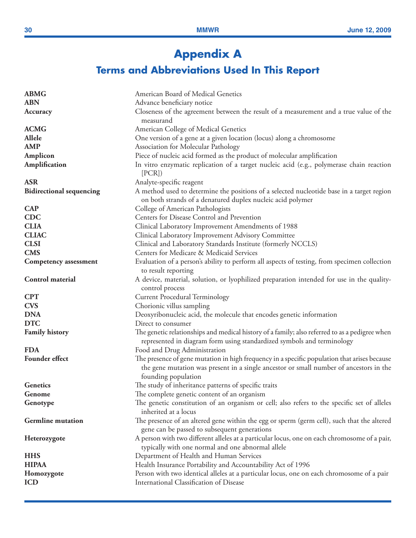# **Appendix A**

# **Terms and Abbreviations Used In This Report**

| <b>ABMG</b>                     | American Board of Medical Genetics                                                                                                                                                                            |
|---------------------------------|---------------------------------------------------------------------------------------------------------------------------------------------------------------------------------------------------------------|
| <b>ABN</b>                      | Advance beneficiary notice                                                                                                                                                                                    |
| Accuracy                        | Closeness of the agreement between the result of a measurement and a true value of the<br>measurand                                                                                                           |
| <b>ACMG</b>                     | American College of Medical Genetics                                                                                                                                                                          |
| Allele                          | One version of a gene at a given location (locus) along a chromosome                                                                                                                                          |
| <b>AMP</b>                      | Association for Molecular Pathology                                                                                                                                                                           |
| Amplicon                        | Piece of nucleic acid formed as the product of molecular amplification                                                                                                                                        |
| Amplification                   | In vitro enzymatic replication of a target nucleic acid (e.g., polymerase chain reaction<br>[PCR]                                                                                                             |
| <b>ASR</b>                      | Analyte-specific reagent                                                                                                                                                                                      |
| <b>Bidirectional sequencing</b> | A method used to determine the positions of a selected nucleotide base in a target region<br>on both strands of a denatured duplex nucleic acid polymer                                                       |
| <b>CAP</b>                      | College of American Pathologists                                                                                                                                                                              |
| <b>CDC</b>                      | Centers for Disease Control and Prevention                                                                                                                                                                    |
| <b>CLIA</b>                     | Clinical Laboratory Improvement Amendments of 1988                                                                                                                                                            |
| <b>CLIAC</b>                    | Clinical Laboratory Improvement Advisory Committee                                                                                                                                                            |
| <b>CLSI</b>                     | Clinical and Laboratory Standards Institute (formerly NCCLS)                                                                                                                                                  |
| <b>CMS</b>                      | Centers for Medicare & Medicaid Services                                                                                                                                                                      |
| <b>Competency assessment</b>    | Evaluation of a person's ability to perform all aspects of testing, from specimen collection                                                                                                                  |
|                                 | to result reporting                                                                                                                                                                                           |
| Control material                | A device, material, solution, or lyophilized preparation intended for use in the quality-<br>control process                                                                                                  |
| <b>CPT</b>                      | <b>Current Procedural Terminology</b>                                                                                                                                                                         |
| <b>CVS</b>                      | Chorionic villus sampling                                                                                                                                                                                     |
| <b>DNA</b>                      | Deoxyribonucleic acid, the molecule that encodes genetic information                                                                                                                                          |
| <b>DTC</b>                      | Direct to consumer                                                                                                                                                                                            |
| <b>Family history</b>           | The genetic relationships and medical history of a family; also referred to as a pedigree when<br>represented in diagram form using standardized symbols and terminology                                      |
| <b>FDA</b>                      | Food and Drug Administration                                                                                                                                                                                  |
| Founder effect                  |                                                                                                                                                                                                               |
|                                 | The presence of gene mutation in high frequency in a specific population that arises because<br>the gene mutation was present in a single ancestor or small number of ancestors in the<br>founding population |
| Genetics                        | The study of inheritance patterns of specific traits                                                                                                                                                          |
| Genome                          | The complete genetic content of an organism                                                                                                                                                                   |
| Genotype                        | The genetic constitution of an organism or cell; also refers to the specific set of alleles<br>inherited at a locus                                                                                           |
| <b>Germline</b> mutation        |                                                                                                                                                                                                               |
|                                 | The presence of an altered gene within the egg or sperm (germ cell), such that the altered                                                                                                                    |
| Heterozygote                    | gene can be passed to subsequent generations<br>A person with two different alleles at a particular locus, one on each chromosome of a pair,                                                                  |
|                                 | typically with one normal and one abnormal allele                                                                                                                                                             |
| <b>HHS</b>                      | Department of Health and Human Services                                                                                                                                                                       |
| <b>HIPAA</b>                    | Health Insurance Portability and Accountability Act of 1996                                                                                                                                                   |
| Homozygote                      | Person with two identical alleles at a particular locus, one on each chromosome of a pair                                                                                                                     |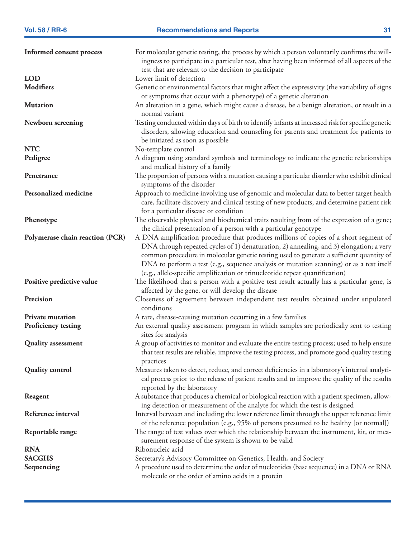| Informed consent process        | For molecular genetic testing, the process by which a person voluntarily confirms the will-<br>ingness to participate in a particular test, after having been informed of all aspects of the                                                                                                                                                                                                                                                           |
|---------------------------------|--------------------------------------------------------------------------------------------------------------------------------------------------------------------------------------------------------------------------------------------------------------------------------------------------------------------------------------------------------------------------------------------------------------------------------------------------------|
| <b>LOD</b>                      | test that are relevant to the decision to participate<br>Lower limit of detection                                                                                                                                                                                                                                                                                                                                                                      |
| <b>Modifiers</b>                | Genetic or environmental factors that might affect the expressivity (the variability of signs<br>or symptoms that occur with a phenotype) of a genetic alteration                                                                                                                                                                                                                                                                                      |
| <b>Mutation</b>                 | An alteration in a gene, which might cause a disease, be a benign alteration, or result in a<br>normal variant                                                                                                                                                                                                                                                                                                                                         |
| Newborn screening               | Testing conducted within days of birth to identify infants at increased risk for specific genetic<br>disorders, allowing education and counseling for parents and treatment for patients to<br>be initiated as soon as possible                                                                                                                                                                                                                        |
| <b>NTC</b>                      | No-template control                                                                                                                                                                                                                                                                                                                                                                                                                                    |
| Pedigree                        | A diagram using standard symbols and terminology to indicate the genetic relationships<br>and medical history of a family                                                                                                                                                                                                                                                                                                                              |
| Penetrance                      | The proportion of persons with a mutation causing a particular disorder who exhibit clinical<br>symptoms of the disorder                                                                                                                                                                                                                                                                                                                               |
| Personalized medicine           | Approach to medicine involving use of genomic and molecular data to better target health<br>care, facilitate discovery and clinical testing of new products, and determine patient risk<br>for a particular disease or condition                                                                                                                                                                                                                       |
| Phenotype                       | The observable physical and biochemical traits resulting from of the expression of a gene;<br>the clinical presentation of a person with a particular genotype                                                                                                                                                                                                                                                                                         |
| Polymerase chain reaction (PCR) | A DNA amplification procedure that produces millions of copies of a short segment of<br>DNA through repeated cycles of 1) denaturation, 2) annealing, and 3) elongation; a very<br>common procedure in molecular genetic testing used to generate a sufficient quantity of<br>DNA to perform a test (e.g., sequence analysis or mutation scanning) or as a test itself<br>(e.g., allele-specific amplification or trinucleotide repeat quantification) |
| Positive predictive value       | The likelihood that a person with a positive test result actually has a particular gene, is<br>affected by the gene, or will develop the disease                                                                                                                                                                                                                                                                                                       |
| Precision                       | Closeness of agreement between independent test results obtained under stipulated<br>conditions                                                                                                                                                                                                                                                                                                                                                        |
| <b>Private mutation</b>         | A rare, disease-causing mutation occurring in a few families                                                                                                                                                                                                                                                                                                                                                                                           |
| Proficiency testing             | An external quality assessment program in which samples are periodically sent to testing<br>sites for analysis                                                                                                                                                                                                                                                                                                                                         |
| <b>Quality assessment</b>       | A group of activities to monitor and evaluate the entire testing process; used to help ensure<br>that test results are reliable, improve the testing process, and promote good quality testing<br>practices                                                                                                                                                                                                                                            |
| <b>Quality control</b>          | Measures taken to detect, reduce, and correct deficiencies in a laboratory's internal analyti-<br>cal process prior to the release of patient results and to improve the quality of the results<br>reported by the laboratory                                                                                                                                                                                                                          |
| Reagent                         | A substance that produces a chemical or biological reaction with a patient specimen, allow-<br>ing detection or measurement of the analyte for which the test is designed                                                                                                                                                                                                                                                                              |
| Reference interval              | Interval between and including the lower reference limit through the upper reference limit<br>of the reference population (e.g., 95% of persons presumed to be healthy [or normal])                                                                                                                                                                                                                                                                    |
| Reportable range                | The range of test values over which the relationship between the instrument, kit, or mea-<br>surement response of the system is shown to be valid                                                                                                                                                                                                                                                                                                      |
| <b>RNA</b>                      | Ribonucleic acid                                                                                                                                                                                                                                                                                                                                                                                                                                       |
| <b>SACGHS</b>                   | Secretary's Advisory Committee on Genetics, Health, and Society                                                                                                                                                                                                                                                                                                                                                                                        |
| Sequencing                      | A procedure used to determine the order of nucleotides (base sequence) in a DNA or RNA<br>molecule or the order of amino acids in a protein                                                                                                                                                                                                                                                                                                            |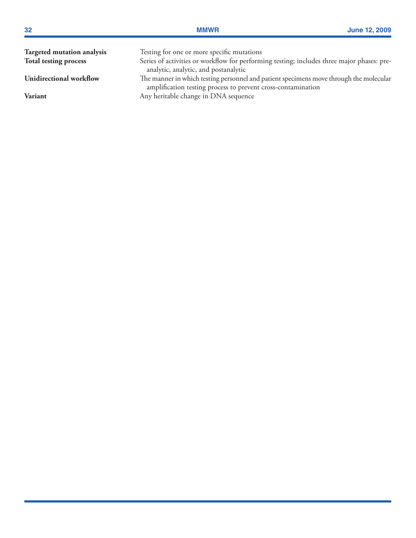| 32                         | <b>MMWR</b>                                                                                                                                            | <b>June 12, 2009</b> |
|----------------------------|--------------------------------------------------------------------------------------------------------------------------------------------------------|----------------------|
| Targeted mutation analysis | Testing for one or more specific mutations                                                                                                             |                      |
| Total testing process      | Series of activities or workflow for performing testing; includes three major phases: pre-<br>analytic, analytic, and postanalytic                     |                      |
| Unidirectional workflow    | The manner in which testing personnel and patient specimens move through the molecular<br>amplification testing process to prevent cross-contamination |                      |
| <b>Variant</b>             | Any heritable change in DNA sequence                                                                                                                   |                      |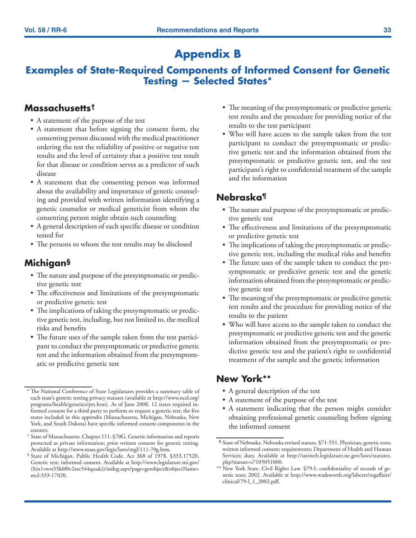# **Appendix B**

# **Examples of State-Required Components of Informed Consent for Genetic Testing — Selected States\***

### **Massachusetts†**

- A statement of the purpose of the test
- A statement that before signing the consent form, the consenting person discussed with the medical practitioner ordering the test the reliability of positive or negative test results and the level of certainty that a positive test result for that disease or condition serves as a predictor of such disease
- A statement that the consenting person was informed about the availability and importance of genetic counseling and provided with written information identifying a genetic counselor or medical geneticist from whom the consenting person might obtain such counseling
- A general description of each specific disease or condition tested for
- The persons to whom the test results may be disclosed

# **Michigan§**

- The nature and purpose of the presymptomatic or predictive genetic test
- The effectiveness and limitations of the presymptomatic or predictive genetic test
- The implications of taking the presymptomatic or predictive genetic test, including, but not limited to, the medical risks and benefits
- The future uses of the sample taken from the test participant to conduct the presymptomatic or predictive genetic test and the information obtained from the presymptomatic or predictive genetic test
- The meaning of the presymptomatic or predictive genetic test results and the procedure for providing notice of the results to the test participant
- Who will have access to the sample taken from the test participant to conduct the presymptomatic or predictive genetic test and the information obtained from the presymptomatic or predictive genetic test, and the test participant's right to confidential treatment of the sample and the information

# **Nebraska¶**

- The nature and purpose of the presymptomatic or predictive genetic test
- The effectiveness and limitations of the presymptomatic or predictive genetic test
- The implications of taking the presymptomatic or predictive genetic test, including the medical risks and benefits
- The future uses of the sample taken to conduct the presymptomatic or predictive genetic test and the genetic information obtained from the presymptomatic or predictive genetic test
- The meaning of the presymptomatic or predictive genetic test results and the procedure for providing notice of the results to the patient
- Who will have access to the sample taken to conduct the presymptomatic or predictive genetic test and the genetic information obtained from the presymptomatic or predictive genetic test and the patient's right to confidential treatment of the sample and the genetic information

# **New York\*\***

- A general description of the test
- A statement of the purpose of the test
- A statement indicating that the person might consider obtaining professional genetic counseling before signing the informed consent

<sup>\*</sup> The National Conference of State Legislatures provides a summary table of each state's genetic testing privacy statutes (available at [http://www.ncsl.org/](http://www.ncsl.org/programs/health/genetics/prt.htm) [programs/health/genetics/prt.htm\)](http://www.ncsl.org/programs/health/genetics/prt.htm). As of June 2008, 12 states required informed consent for a third party to perform or request a genetic test; the five states included in this appendix (Massachusetts, Michigan, Nebraska, New York, and South Dakota) have specific informed consent components in the statutes.

<sup>†</sup> State of Massachusetts. Chapter 111: §70G. Genetic information and reports protected as private information; prior written consent for genetic testing. Available at [http://www.mass.gov/legis/laws/mgl/111-70g.htm.](http://www.mass.gov/legis/laws/mgl/111-70g.htm)

<sup>§</sup> State of Michigan. Public Health Code. Act 368 of 1978. §333.17520. Genetic test; informed consent. Available at [http://www.legislature.mi.gov/](http://www.legislature.mi.gov/(S(n1vwrs55k0f0v2zec544quuk))/mileg.aspx?page=getobject&objectName=mcl-333-17020) [\(S\(n1vwrs55k0f0v2zec544quuk\)\)/mileg.aspx?page=getobject&objectName=](http://www.legislature.mi.gov/(S(n1vwrs55k0f0v2zec544quuk))/mileg.aspx?page=getobject&objectName=mcl-333-17020) [mcl-333-17020.](http://www.legislature.mi.gov/(S(n1vwrs55k0f0v2zec544quuk))/mileg.aspx?page=getobject&objectName=mcl-333-17020)

<sup>¶</sup> State of Nebraska. Nebraska revised statues. §71-551. Physician; genetic tests; written informed consent; requirements; Department of Health and Human Services; duty. Available at [http://uniweb.legislature.ne.gov/laws/statutes.](http://uniweb.legislature.ne.gov/laws/statutes.php?statute=s7105051000) [php?statute=s7105051000.](http://uniweb.legislature.ne.gov/laws/statutes.php?statute=s7105051000)

<sup>\*\*</sup> New York State. Civil Rights Law. §79-I: confidentiality of records of genetic tests; 2002. Available at [http://www.wadsworth.org/labcert/regaffairs/](http://www.wadsworth.org/labcert/regaffairs/clinical/79-l_1_2002.pdf) [clinical/79-l\\_1\\_2002.pdf](http://www.wadsworth.org/labcert/regaffairs/clinical/79-l_1_2002.pdf).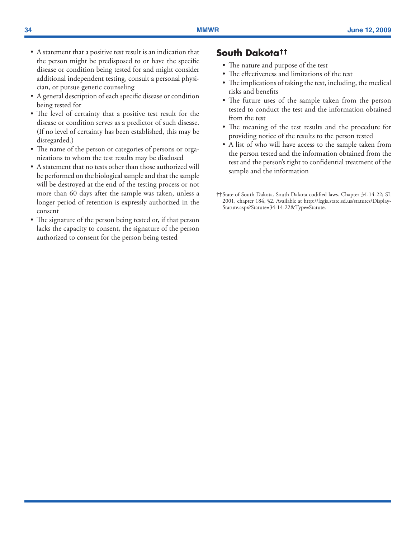- • A statement that a positive test result is an indication that the person might be predisposed to or have the specific disease or condition being tested for and might consider additional independent testing, consult a personal physician, or pursue genetic counseling
- A general description of each specific disease or condition being tested for
- The level of certainty that a positive test result for the disease or condition serves as a predictor of such disease. (If no level of certainty has been established, this may be disregarded.)
- The name of the person or categories of persons or organizations to whom the test results may be disclosed
- A statement that no tests other than those authorized will be performed on the biological sample and that the sample will be destroyed at the end of the testing process or not more than 60 days after the sample was taken, unless a longer period of retention is expressly authorized in the consent
- The signature of the person being tested or, if that person lacks the capacity to consent, the signature of the person authorized to consent for the person being tested

### **South Dakota††**

- The nature and purpose of the test
- The effectiveness and limitations of the test
- The implications of taking the test, including, the medical risks and benefits
- The future uses of the sample taken from the person tested to conduct the test and the information obtained from the test
- The meaning of the test results and the procedure for providing notice of the results to the person tested
- A list of who will have access to the sample taken from the person tested and the information obtained from the test and the person's right to confidential treatment of the sample and the information

<sup>††</sup>State of South Dakota. South Dakota codified laws. Chapter 34-14-22; SL 2001, chapter 184, §2. Available at [http://legis.state.sd.us/statutes/Display-](http://legis.state.sd.us/statutes/DisplayStatute.aspx?Statute=34-14-22&Type=Statute)[Statute.aspx?Statute=34-14-22&Type=Statute.](http://legis.state.sd.us/statutes/DisplayStatute.aspx?Statute=34-14-22&Type=Statute)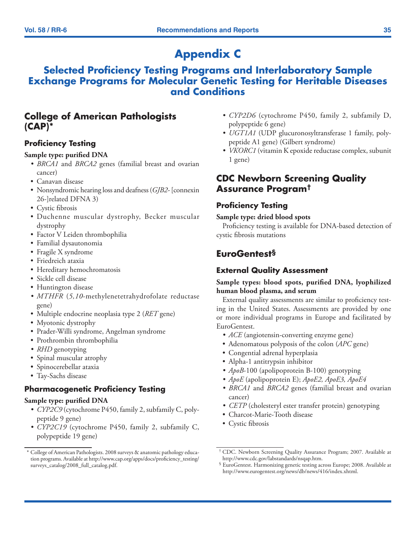# **Appendix C**

# **Selected Proficiency Testing Programs and Interlaboratory Sample Exchange Programs for Molecular Genetic Testing for Heritable Diseases and Conditions**

# **College of American Pathologists (CAP)\***

### **Proficiency Testing**

### **Sample type: purified DNA**

- *• BRCA1* and *BRCA2* genes (familial breast and ovarian cancer)
- Canavan disease
- • Nonsyndromic hearing loss and deafness (*GJB2-* [connexin 26-]related DFNA 3)
- Cystic fibrosis
- • Duchenne muscular dystrophy, Becker muscular dystrophy
- Factor V Leiden thrombophilia
- • Familial dysautonomia
- Fragile X syndrome
- • Friedreich ataxia
- Hereditary hemochromatosis
- Sickle cell disease
- Huntington disease
- *• MTHFR* (*5,10*-methylenetetrahydrofolate reductase gene)
- • Multiple endocrine neoplasia type 2 (*RET* gene)
- Myotonic dystrophy
- • Prader-Willi syndrome, Angelman syndrome
- Prothrombin thrombophilia
- *• RHD* genotyping
- Spinal muscular atrophy
- • Spinocerebellar ataxia
- Tay-Sachs disease

### **Pharmacogenetic Proficiency Testing**

#### **Sample type: purified DNA**

- *• CYP2C9* (cytochrome P450, family 2, subfamily C, polypeptide 9 gene)
- *• CYP2C19* (cytochrome P450, family 2, subfamily C, polypeptide 19 gene)
- *• CYP2D6* (cytochrome P450, family 2, subfamily D, polypeptide 6 gene)
- *UGT1A1* (UDP glucuronosyltransferase 1 family, polypeptide A1 gene) (Gilbert syndrome)
- *• VKORC1* (vitamin K epoxide reductase complex, subunit 1 gene)

# **CDC Newborn Screening Quality Assurance Program†**

### **Proficiency Testing**

#### **Sample type: dried blood spots**

Proficiency testing is available for DNA-based detection of cystic fibrosis mutations

# **EuroGentest§**

### **External Quality Assessment**

### **Sample types: blood spots, purified DNA, lyophilized human blood plasma, and serum**

External quality assessments are similar to proficiency testing in the United States. Assessments are provided by one or more individual programs in Europe and facilitated by EuroGentest.

- *ACE* (angiotensin-converting enzyme gene)
- • Adenomatous polyposis of the colon (*APC* gene)
- Congential adrenal hyperplasia
- Alpha-1 antitrypsin inhibitor
- *• ApoB*-100 (apolipoprotein B-100) genotyping
- *• ApoE* (apolipoprotein E); *ApoE2, ApoE3, ApoE4*
- *• BRCA1* and *BRCA2* genes (familial breast and ovarian cancer)
- *• CETP* (cholesteryl ester transfer protein) genotyping
- • Charcot-Marie-Tooth disease
- Cystic fibrosis

<sup>\*</sup> College of American Pathologists. 2008 surveys & anatomic pathology education programs. Available at [http://www.cap.org/apps/docs/proficiency\\_testing/](http://www.cap.org/apps/docs/proficiency_testing/surveys_catalog/2008_full_catalog.pdf) [surveys\\_catalog/2008\\_full\\_catalog.pdf.](http://www.cap.org/apps/docs/proficiency_testing/surveys_catalog/2008_full_catalog.pdf)

<sup>†</sup> CDC. Newborn Screening Quality Assurance Program; 2007. Available at <http://www.cdc.gov/labstandards/nsqap.htm>.

<sup>§</sup> EuroGentest. Harmonizing genetic testing across Europe; 2008. Available at <http://www.eurogentest.org/news/db/news/416/index.xhtml>.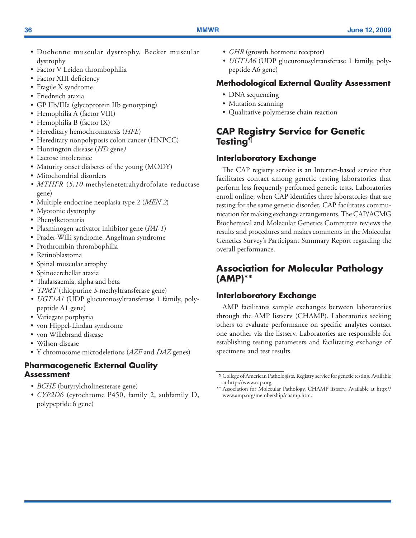- • Duchenne muscular dystrophy, Becker muscular dystrophy
- Factor V Leiden thrombophilia
- Factor XIII deficiency
- Fragile X syndrome
- • Friedreich ataxia
- • GP IIb/IIIa (glycoprotein IIb genotyping)
- Hemophilia A (factor VIII)
- Hemophilia B (factor IX)
- • Hereditary hemochromatosis (*HFE*)
- Hereditary nonpolyposis colon cancer (HNPCC)
- • Huntington disease (*HD* gene*)*
- Lactose intolerance
- Maturity onset diabetes of the young (MODY)
- Mitochondrial disorders
- *• MTHFR* (*5,10*-methylenetetrahydrofolate reductase gene)
- • Multiple endocrine neoplasia type 2 (*MEN 2*)
- Myotonic dystrophy
- Phenylketonuria
- Plasminogen activator inhibitor gene (*PAI-1*)
- Prader-Willi syndrome, Angelman syndrome
- • Prothrombin thrombophilia
- Retinoblastoma
- Spinal muscular atrophy
- • Spinocerebellar ataxia
- Thalassaemia, alpha and beta
- *• TPMT* (thiopurine *S*-methyltransferase gene)
- *UGT1A1* (UDP glucuronosyltransferase 1 family, polypeptide A1 gene)
- Variegate porphyria
- von Hippel-Lindau syndrome
- von Willebrand disease
- Wilson disease
- • Y chromosome microdeletions (*AZF* and *DAZ* genes)

### **Pharmacogenetic External Quality Assessment**

- *BCHE* (butyrylcholinesterase gene)
- *• CYP2D6* (cytochrome P450, family 2, subfamily D, polypeptide 6 gene)
- *GHR* (growth hormone receptor)
- *• UGT1A6* (UDP glucuronosyltransferase 1 family, polypeptide A6 gene)

## **Methodological External Quality Assessment**

- DNA sequencing
- Mutation scanning
- Qualitative polymerase chain reaction

# **CAP Registry Service for Genetic Testing¶**

# **Interlaboratory Exchange**

The CAP registry service is an Internet-based service that facilitates contact among genetic testing laboratories that perform less frequently performed genetic tests. Laboratories enroll online; when CAP identifies three laboratories that are testing for the same genetic disorder, CAP facilitates communication for making exchange arrangements. The CAP/ACMG Biochemical and Molecular Genetics Committee reviews the results and procedures and makes comments in the Molecular Genetics Survey's Participant Summary Report regarding the overall performance.

# **Association for Molecular Pathology (AMP)\*\***

## **Interlaboratory Exchange**

AMP facilitates sample exchanges between laboratories through the AMP listserv (CHAMP). Laboratories seeking others to evaluate performance on specific analytes contact one another via the listserv. Laboratories are responsible for establishing testing parameters and facilitating exchange of specimens and test results.

<sup>¶</sup> College of American Pathologists. Registry service for genetic testing. Available at [http://www.cap.org.](http://www.cap.org)

<sup>\*\*</sup> Association for Molecular Pathology. CHAMP listserv. Available at [http://](http://www.amp.org/membership/champ.htm) [www.amp.org/membership/champ.htm.](http://www.amp.org/membership/champ.htm)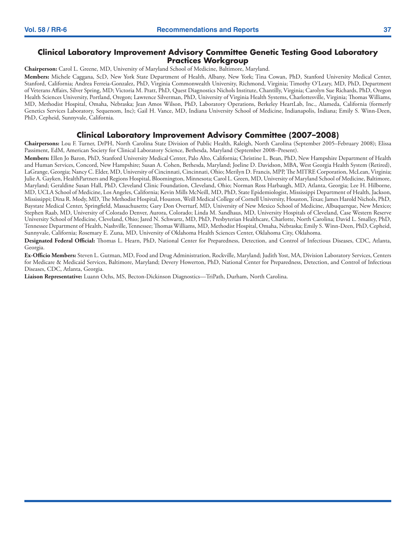#### **Clinical Laboratory Improvement Advisory Committee Genetic Testing Good Laboratory Practices Workgroup**

**Chairperson:** Carol L. Greene, MD, University of Maryland School of Medicine, Baltimore, Maryland.

**Members:** Michele Caggana, ScD, New York State Department of Health, Albany, New York; Tina Cowan, PhD, Stanford University Medical Center, Stanford, California; Andrea Ferreia-Gonzalez, PhD, Virginia Commonwealth University, Richmond, Virginia; Timothy O'Leary, MD, PhD, Department of Veterans Affairs, Silver Spring, MD; Victoria M. Pratt, PhD, Quest Diagnostics Nichols Institute, Chantilly, Virginia; Carolyn Sue Richards, PhD, Oregon Health Sciences University, Portland, Oregon; Lawrence Silverman, PhD, University of Virginia Health Systems, Charlottesville, Virginia; Thomas Williams, MD, Methodist Hospital, Omaha, Nebraska; Jean Amos Wilson, PhD, Laboratory Operations, Berkeley HeartLab, Inc., Alameda, California (formerly Genetics Services Laboratory, Sequenom, Inc); Gail H. Vance, MD, Indiana University School of Medicine, Indianapolis, Indiana; Emily S. Winn-Deen, PhD, Cepheid, Sunnyvale, California.

#### **Clinical Laboratory Improvement Advisory Committee (2007–2008)**

**Chairpersons:** Lou F. Turner, DrPH, North Carolina State Division of Public Health, Raleigh, North Carolina (September 2005–February 2008); Elissa Passiment, EdM, American Society for Clinical Laboratory Science, Bethesda, Maryland (September 2008–Present).

**Members:** Ellen Jo Baron, PhD, Stanford University Medical Center, Palo Alto, California; Christine L. Bean, PhD, New Hampshire Department of Health and Human Services, Concord, New Hampshire; Susan A. Cohen, Bethesda, Maryland; Joeline D. Davidson, MBA, West Georgia Health System (Retired), LaGrange, Georgia; Nancy C. Elder, MD, University of Cincinnati, Cincinnati, Ohio; Merilyn D. Francis, MPP, The MITRE Corporation, McLean, Virginia; Julie A. Gayken, HealthPartners and Regions Hospital, Bloomington, Minnesota; Carol L. Green, MD, University of Maryland School of Medicine, Baltimore, Maryland; Geraldine Susan Hall, PhD, Cleveland Clinic Foundation, Cleveland, Ohio; Norman Ross Harbaugh, MD, Atlanta, Georgia; Lee H. Hilborne, MD, UCLA School of Medicine, Los Angeles, California; Kevin Mills McNeill, MD, PhD, State Epidemiologist, Mississippi Department of Health, Jackson, Mississippi; Dina R. Mody, MD, The Methodist Hospital, Houston, Weill Medical College of Cornell University, Houston, Texas; James Harold Nichols, PhD, Baystate Medical Center, Springfield, Massachusetts; Gary Don Overturf, MD, University of New Mexico School of Medicine, Albuquerque, New Mexico; Stephen Raab, MD, University of Colorado Denver, Aurora, Colorado; Linda M. Sandhaus, MD, University Hospitals of Cleveland, Case Western Reserve University School of Medicine, Cleveland, Ohio; Jared N. Schwartz, MD, PhD, Presbyterian Healthcare, Charlotte, North Carolina; David L. Smalley, PhD, Tennessee Department of Health, Nashville, Tennessee; Thomas Williams, MD, Methodist Hospital, Omaha, Nebraska; Emily S. Winn-Deen, PhD, Cepheid, Sunnyvale, California; Rosemary E. Zuna, MD, University of Oklahoma Health Sciences Center, Oklahoma City, Oklahoma.

**Designated Federal Official:** Thomas L. Hearn, PhD, National Center for Preparedness, Detection, and Control of Infectious Diseases, CDC, Atlanta, Georgia.

**Ex-Officio Members:** Steven L. Gutman, MD, Food and Drug Administration, Rockville, Maryland; Judith Yost, MA, Division Laboratory Services, Centers for Medicare & Medicaid Services, Baltimore, Maryland; Devery Howerton, PhD, National Center for Preparedness, Detection, and Control of Infectious Diseases, CDC, Atlanta, Georgia.

**Liaison Representative:** Luann Ochs, MS, Becton-Dickinson Diagnostics—TriPath, Durham, North Carolina.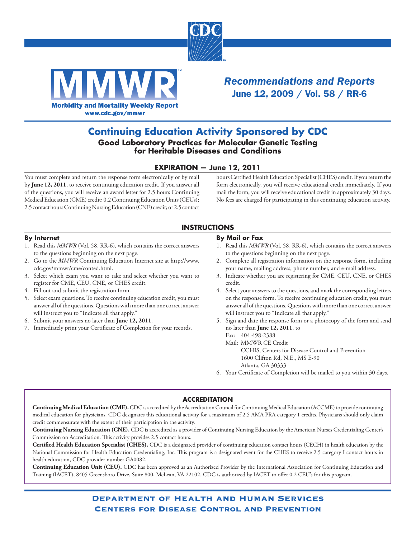



*Recommendations and Reports* June 12, 2009 / Vol. 58 / RR-6

## **Continuing Education Activity Sponsored by CDC Good Laboratory Practices for Molecular Genetic Testing for Heritable Diseases and Conditions**

### **EXPIRATION — June 12, 2011**

You must complete and return the response form electronically or by mail by **June 12, 2011**, to receive continuing education credit. If you answer all of the questions, you will receive an award letter for 2.5 hours Continuing Medical Education (CME) credit; 0.2 Continuing Education Units (CEUs); 2.5 contact hours Continuing Nursing Education (CNE) credit; or 2.5 contact hours Certified Health Education Specialist (CHES) credit. If you return the form electronically, you will receive educational credit immediately. If you mail the form, you will receive educational credit in approximately 30 days. No fees are charged for participating in this continuing education activity.

### **INSTRUCTIONS**

#### **By Internet**

- 1. Read this *MMWR* (Vol. 58, RR-6), which contains the correct answers to the questions beginning on the next page.
- 2. Go to the *MMWR* Continuing Education Internet site at [http://www.](http://www.cdc.gov/mmwr/cme/conted.html) [cdc.gov/mmwr/cme/conted.html](http://www.cdc.gov/mmwr/cme/conted.html).
- 3. Select which exam you want to take and select whether you want to register for CME, CEU, CNE, or CHES credit.
- 4. Fill out and submit the registration form.
- 5. Select exam questions. To receive continuing education credit, you must answer all of the questions. Questions with more than one correct answer will instruct you to "Indicate all that apply."
- 6. Submit your answers no later than **June 12, 2011**.
- 7. Immediately print your Certificate of Completion for your records.

#### **By Mail or Fax**

- 1. Read this *MMWR* (Vol. 58, RR-6), which contains the correct answers to the questions beginning on the next page.
- 2. Complete all registration information on the response form, including your name, mailing address, phone number, and e-mail address.
- 3. Indicate whether you are registering for CME, CEU, CNE, or CHES credit.
- 4. Select your answers to the questions, and mark the corresponding letters on the response form. To receive continuing education credit, you must answer all of the questions. Questions with more than one correct answer will instruct you to "Indicate all that apply."
- 5. Sign and date the response form or a photocopy of the form and send no later than **June 12, 2011**, to
	- Fax: 404-498-2388
	- Mail: MMWR CE Credit

 CCHIS, Centers for Disease Control and Prevention 1600 Clifton Rd, N.E., MS E-90 Atlanta, GA 30333

6. Your Certificate of Completion will be mailed to you within 30 days.

#### **ACCREDITATION**

**Continuing Medical Education (CME).** CDC is accredited by the Accreditation Council for Continuing Medical Education (ACCME) to provide continuing medical education for physicians. CDC designates this educational activity for a maximum of 2.5 AMA PRA category 1 credits. Physicians should only claim credit commensurate with the extent of their participation in the activity.

**Continuing Nursing Education (CNE).** CDC is accredited as a provider of Continuing Nursing Education by the American Nurses Credentialing Center's Commission on Accreditation. This activity provides 2.5 contact hours.

**Certified Health Education Specialist (CHES).** CDC is a designated provider of continuing education contact hours (CECH) in health education by the National Commission for Health Education Credentialing, Inc. This program is a designated event for the CHES to receive 2.5 category I contact hours in health education, CDC provider number GA0082.

**Continuing Education Unit (CEU).** CDC has been approved as an Authorized Provider by the International Association for Continuing Education and Training (IACET), 8405 Greensboro Drive, Suite 800, McLean, VA 22102. CDC is authorized by IACET to offer 0.2 CEU's for this program.

> Department of Health and Human Services Centers for Disease Control and Prevention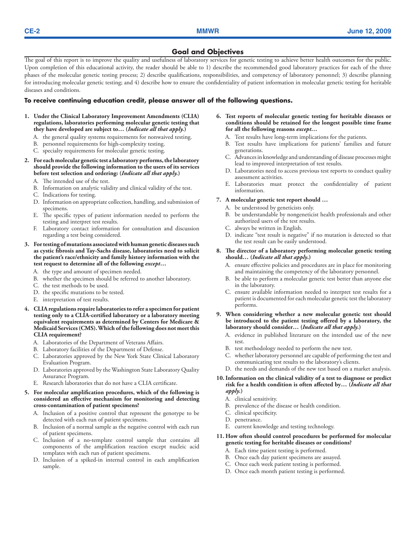#### **Goal and Objectives**

The goal of this report is to improve the quality and usefulness of laboratory services for genetic testing to achieve better health outcomes for the public. Upon completion of this educational activity, the reader should be able to 1) describe the recommended good laboratory practices for each of the three phases of the molecular genetic testing process; 2) describe qualifications, responsibilities, and competency of laboratory personnel; 3) describe planning for introducing molecular genetic testing; and 4) describe how to ensure the confidentiality of patient information in molecular genetic testing for heritable diseases and conditions.

#### **To receive continuing education credit, please answer all of the following questions.**

- **1. Under the Clinical Laboratory Improvement Amendments (CLIA) regulations, laboratories performing molecular genetic testing that they have developed are subject to… (***Indicate all that apply.***)**
	- A. the general quality systems requirements for nonwaived testing.
	- B. personnel requirements for high-complexity testing.
	- C. specialty requirements for molecular genetic testing.
- **2. For each molecular genetic test a laboratory performs, the laboratory should provide the following information to the users of its services before test selection and ordering: (***Indicate all that apply.***)**
	- A. The intended use of the test.
	- B. Information on analytic validity and clinical validity of the test.
	- C. Indications for testing.
	- D. Information on appropriate collection, handling, and submission of specimens.
	- E. The specific types of patient information needed to perform the testing and interpret test results.
	- F. Laboratory contact information for consultation and discussion regarding a test being considered.
- **3. For testing of mutations associated with human genetic diseases such as cystic fibrosis and Tay-Sachs disease, laboratories need to solicit the patient's race/ethnicity and family history information with the test request to determine all of the following** *except***…** 
	- A. the type and amount of specimen needed.
	- B. whether the specimen should be referred to another laboratory.
	- C. the test methods to be used.
	- D. the specific mutations to be tested.
	- E. interpretation of test results.
- **4. CLIA regulations require laboratories to refer a specimen for patient testing only to a CLIA-certified laboratory or a laboratory meeting equivalent requirements as determined by Centers for Medicare & Medicaid Services (CMS). Which of the following does not meet this CLIA requirement?**
	- A. Laboratories of the Department of Veterans Affairs.
	- B. Laboratory facilities of the Department of Defense.
	- C. Laboratories approved by the New York State Clinical Laboratory Evaluation Program.
	- D. Laboratories approved by the Washington State Laboratory Quality Assurance Program.
	- E. Research laboratories that do not have a CLIA certificate.
- **5. For molecular amplification procedures, which of the following is considered an effective mechanism for monitoring and detecting cross-contamination of patient specimens?**
	- A. Inclusion of a positive control that represent the genotype to be detected with each run of patient specimens.
	- B. Inclusion of a normal sample as the negative control with each run of patient specimens.
	- C. Inclusion of a no-template control sample that contains all components of the amplification reaction except nucleic acid templates with each run of patient specimens.
	- D. Inclusion of a spiked-in internal control in each amplification sample.
- **6. Test reports of molecular genetic testing for heritable diseases or conditions should be retained for the longest possible time frame for all the following reasons** *except…*
	- A. Test results have long-term implications for the patients.
	- B. Test results have implications for patients' families and future generations.
	- C. Advances in knowledge and understanding of disease processes might lead to improved interpretation of test results.
	- D. Laboratories need to access previous test reports to conduct quality assessment activities.
	- E. Laboratories must protect the confidentiality of patient information.

#### **7. A molecular genetic test report should …**

- A. be understood by geneticists only.
- B. be understandable by nongeneticist health professionals and other authorized users of the test results.
- C. always be written in English.
- D. indicate "test result is negative" if no mutation is detected so that the test result can be easily understood.
- **8. The director of a laboratory performing molecular genetic testing should… (***Indicate all that apply***.)**
	- A. ensure effective policies and procedures are in place for monitoring and maintaining the competency of the laboratory personnel.
	- B. be able to perform a molecular genetic test better than anyone else in the laboratory.
	- C. ensure available information needed to interpret test results for a patient is documented for each molecular genetic test the laboratory performs.
- **9. When considering whether a new molecular genetic test should be introduced to the patient testing offered by a laboratory, the laboratory should consider… (***Indicate all that apply.***)**
	- A. evidence in published literature on the intended use of the new test.
	- B. test methodology needed to perform the new test.
	- C. whether laboratory personnel are capable of performing the test and communicating test results to the laboratory's clients.
	- D. the needs and demands of the new test based on a market analysis.

#### **10. Information on the clinical validity of a test to diagnose or predict risk for a health condition is often affected by… (***Indicate all that apply.***)**

- A. clinical sensitivity.
- B. prevalence of the disease or health condition.
- C. clinical specificity.
- D. penetrance.
- E. current knowledge and testing technology.
- **11. How often should control procedures be performed for molecular genetic testing for heritable diseases or conditions?** 
	- A. Each time patient testing is performed.
	- B. Once each day patient specimens are assayed.
	- C. Once each week patient testing is performed.
	- D. Once each month patient testing is performed.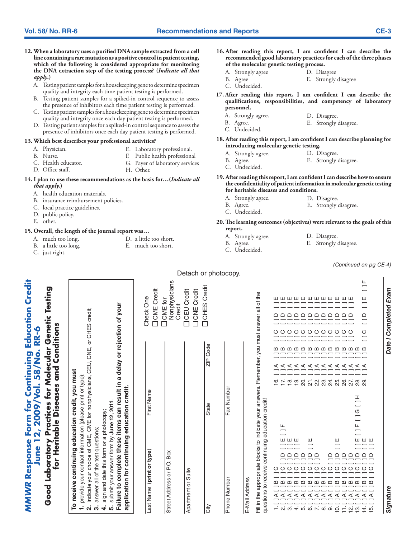- **12. When a laboratory uses a purified DNA sample extracted from a cell line containing a rare mutation as a positive control in patient testing, which of the following is considered appropriate for monitoring the DNA extraction step of the testing process? (***Indicate all that apply***.)**
	- A. Testing patient samples for a housekeeping gene to determine specimen quality and integrity each time patient testing is performed.
	- B. Testing patient samples for a spiked-in control sequence to assess the presence of inhibitors each time patient testing is performed.
	- C. Testing patient samples for a housekeeping gene to determine specimen quality and integrity once each day patient testing is performed.
	- D. Testing patient samples for a spiked-in control sequence to assess the presence of inhibitors once each day patient testing is performed.

#### **13. Which best describes your professional activities?**

- A. Physician.
- B. Nurse.
- F. Public health professional
- C. Health educator. D. Office staff.
- G. Payer of laboratory services

D. a little too short. E. much too short.

E. Laboratory professional.

- H. Other.
- **14. I plan to use these recommendations as the basis for…(***Indicate all that apply.***)**
	- A. health education materials.
	- B. insurance reimbursement policies.
	- C. local practice guidelines.
	- D. public policy.
	- E. other.

#### **15. Overall, the length of the journal report was…**

- A. much too long.
- B. a little too long. C. just right.
- 
- **16. After reading this report, I am confident I can describe the recommended good laboratory practices for each of the three phases of the molecular genetic testing process.**
	- A. Strongly agree D. Disagree
	- B. Agree E. Strongly disagree
	- C. Undecided.
- **17. After reading this report, I am confident I can describe the qualifications, responsibilities, and competency of laboratory personnel.**
	- A. Strongly agree. D. Disagree.
	- B. Agree. E. Strongly disagree.
	- C. Undecided.
- **18. After reading this report, I am confident I can describe planning for introducing molecular genetic testing.**
	- A. Strongly agree. D. Disagree.
	- B. Agree. E. Strongly disagree.
	- C. Undecided.
- **19. After reading this report, I am confident I can describe how to ensure the confidentiality of patient information in molecular genetic testing for heritable diseases and conditions.**
	- A. Strongly agree. D. Disagree.
		- E. Strongly disagree.
	- B. Agree. C. Undecided.
- **20. The learning outcomes (objectives) were relevant to the goals of this report.**
	- A. Strongly agree.
		- D. Disagree. E. Strongly disagree.
	- B. Agree. C. Undecided.

*(Continued on pg CE-4)*

| <b>MMWR Response Form for Continuing Education Credit</b>                                                                                                                                                                                                                                                                                                                                                                                                                                                                                                                                                                                                                                                                                                                                                                                                |                                                                                            | June 12, 2009/Vol. 58/No. RR-6                                                                                                                                                                              |                                                                                                             |
|----------------------------------------------------------------------------------------------------------------------------------------------------------------------------------------------------------------------------------------------------------------------------------------------------------------------------------------------------------------------------------------------------------------------------------------------------------------------------------------------------------------------------------------------------------------------------------------------------------------------------------------------------------------------------------------------------------------------------------------------------------------------------------------------------------------------------------------------------------|--------------------------------------------------------------------------------------------|-------------------------------------------------------------------------------------------------------------------------------------------------------------------------------------------------------------|-------------------------------------------------------------------------------------------------------------|
| Good Laboratory Practices for Molecular Genetic Testing                                                                                                                                                                                                                                                                                                                                                                                                                                                                                                                                                                                                                                                                                                                                                                                                  |                                                                                            | for Heritable Diseases and Conditions                                                                                                                                                                       |                                                                                                             |
| 2. indicate your choice of CME, CME for nonphysicians, CEU, CNE, or CHES credit;<br>To receive continuing education credit, you must<br>1. provide your contact information (please print or type);<br>3. answer all of the test questions;                                                                                                                                                                                                                                                                                                                                                                                                                                                                                                                                                                                                              |                                                                                            |                                                                                                                                                                                                             |                                                                                                             |
| Failure to complete these items can result in a delay or rejection of your<br>application for continuing education credit.<br>submit your answer form by June 12, 2011.<br>sign and date this form or a photocopy;<br>$\vec{r}$<br>.<br>ຜ                                                                                                                                                                                                                                                                                                                                                                                                                                                                                                                                                                                                                |                                                                                            |                                                                                                                                                                                                             |                                                                                                             |
| Last Name (print or type)                                                                                                                                                                                                                                                                                                                                                                                                                                                                                                                                                                                                                                                                                                                                                                                                                                | First Name                                                                                 |                                                                                                                                                                                                             | <b>OCME</b> Credit<br><b>Check One</b>                                                                      |
| Street Address or P.O. Box                                                                                                                                                                                                                                                                                                                                                                                                                                                                                                                                                                                                                                                                                                                                                                                                                               |                                                                                            |                                                                                                                                                                                                             | Nonphysicians<br><b>OCME</b> for<br>Credit                                                                  |
| Apartment or Suite                                                                                                                                                                                                                                                                                                                                                                                                                                                                                                                                                                                                                                                                                                                                                                                                                                       |                                                                                            |                                                                                                                                                                                                             | ONE Credit<br><b>OCEU Credit</b>                                                                            |
| City                                                                                                                                                                                                                                                                                                                                                                                                                                                                                                                                                                                                                                                                                                                                                                                                                                                     | State                                                                                      | ZIP Code                                                                                                                                                                                                    | <b>OCHES</b> Credit                                                                                         |
| Phone Number                                                                                                                                                                                                                                                                                                                                                                                                                                                                                                                                                                                                                                                                                                                                                                                                                                             | Fax Number                                                                                 |                                                                                                                                                                                                             |                                                                                                             |
| E-Mail Address                                                                                                                                                                                                                                                                                                                                                                                                                                                                                                                                                                                                                                                                                                                                                                                                                                           |                                                                                            |                                                                                                                                                                                                             |                                                                                                             |
| Fill in the appropriate blocks to indicate your answers. Remember, you must answer all of the<br>questions to receive continuing education credit!                                                                                                                                                                                                                                                                                                                                                                                                                                                                                                                                                                                                                                                                                                       |                                                                                            |                                                                                                                                                                                                             |                                                                                                             |
| $\frac{\mathsf{I}}{\mathsf{I}}\mathsf{I}\mathsf{I}\mathsf{I}\mathsf{I}\mathsf{I}\mathsf{I}$<br>$\equiv$<br>$\Box$<br><b>QQQQQ</b><br>$\begin{array}{cccccccccccccc} \multicolumn{4}{c}{\textbf{O}} & \multicolumn{4}{c}{\textbf{O}} & \multicolumn{4}{c}{\textbf{O}} & \multicolumn{4}{c}{\textbf{O}} & \multicolumn{4}{c}{\textbf{O}} & \multicolumn{4}{c}{\textbf{O}} & \multicolumn{4}{c}{\textbf{O}} & \multicolumn{4}{c}{\textbf{O}} & \multicolumn{4}{c}{\textbf{O}} & \multicolumn{4}{c}{\textbf{O}} & \multicolumn{4}{c}{\textbf{O}} & \multicolumn{4}{c}{\textbf{O}} & \multicolumn{4}{c}{\textbf{O}} & \mult$<br>$0 0 0 0 0 0 0 0 0 0 0 0 0 0$<br>ပ<br>m<br>$\mathbf m$<br>$\overline{e}$<br>$\frac{1}{11}$<br>$\frac{1}{2}$<br>$\frac{1}{2}$ $\frac{1}{4}$<br>$- \alpha \dot{\sigma} + \dot{\sigma} \dot{\sigma} + \dot{\sigma} \dot{\sigma}$ | 프<br>$\frac{0}{1}$<br>$\overline{\phantom{0}}$<br>$\frac{\mu}{\Box}$<br>$\frac{\mu}{\Box}$ | 000000000000<br><br>$\omega$<br>≃<br><b>aaaaaaaaaaaaa</b><br>-------------<br>$\frac{1}{2}$<br>17.<br>$\frac{1}{2}$<br>$\overline{20}$ .<br>21.<br>22.<br>23,4<br>$\frac{6}{1}$<br>25.<br>26.<br>27.<br>28. | <b>wwwwwwwww</b><br><b>AAAAAAAAAAAA</b><br>کی کی کی کی کی کی کی کی کی کی کی کی                              |
| $\circ$<br>$\frac{15}{1}$                                                                                                                                                                                                                                                                                                                                                                                                                                                                                                                                                                                                                                                                                                                                                                                                                                |                                                                                            | $\circ$<br>$\overline{\phantom{0}}$<br>29                                                                                                                                                                   | $\frac{\mu}{\Box}$<br>L,<br>Ш<br>$\overline{\phantom{0}}$<br>Ē.<br>$\Box$<br>$\overline{\phantom{0}}$<br>Ē, |
| Signature                                                                                                                                                                                                                                                                                                                                                                                                                                                                                                                                                                                                                                                                                                                                                                                                                                                |                                                                                            |                                                                                                                                                                                                             | Date I Completed Exam                                                                                       |

*Signature Date I Completed Exam* Signature